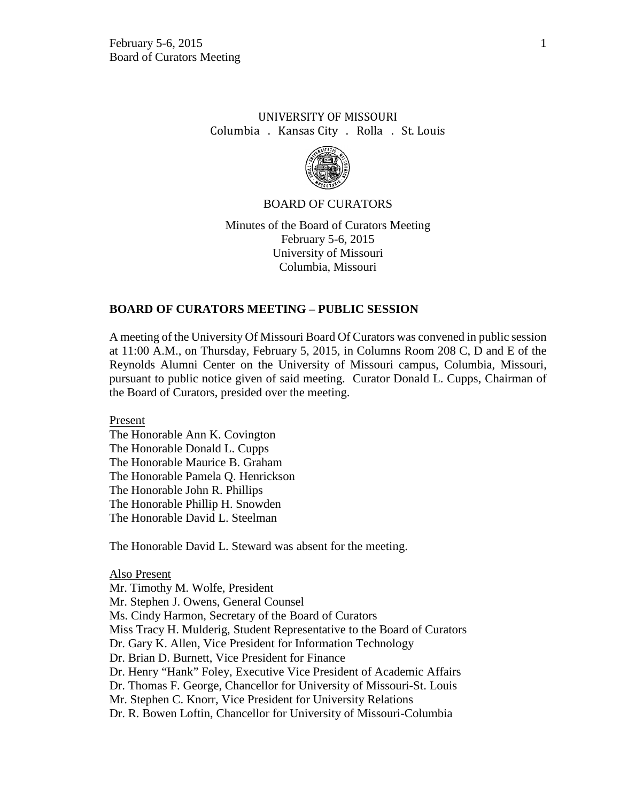# UNIVERSITY OF MISSOURI Columbia . Kansas City . Rolla . St. Louis



## BOARD OF CURATORS

Minutes of the Board of Curators Meeting February 5-6, 2015 University of Missouri Columbia, Missouri

## **BOARD OF CURATORS MEETING – PUBLIC SESSION**

A meeting of the University Of Missouri Board Of Curators was convened in public session at 11:00 A.M., on Thursday, February 5, 2015, in Columns Room 208 C, D and E of the Reynolds Alumni Center on the University of Missouri campus, Columbia, Missouri, pursuant to public notice given of said meeting. Curator Donald L. Cupps, Chairman of the Board of Curators, presided over the meeting.

Present The Honorable Ann K. Covington The Honorable Donald L. Cupps The Honorable Maurice B. Graham The Honorable Pamela Q. Henrickson The Honorable John R. Phillips The Honorable Phillip H. Snowden The Honorable David L. Steelman

The Honorable David L. Steward was absent for the meeting.

Also Present Mr. Timothy M. Wolfe, President Mr. Stephen J. Owens, General Counsel Ms. Cindy Harmon, Secretary of the Board of Curators Miss Tracy H. Mulderig, Student Representative to the Board of Curators Dr. Gary K. Allen, Vice President for Information Technology Dr. Brian D. Burnett, Vice President for Finance Dr. Henry "Hank" Foley, Executive Vice President of Academic Affairs Dr. Thomas F. George, Chancellor for University of Missouri-St. Louis Mr. Stephen C. Knorr, Vice President for University Relations Dr. R. Bowen Loftin, Chancellor for University of Missouri-Columbia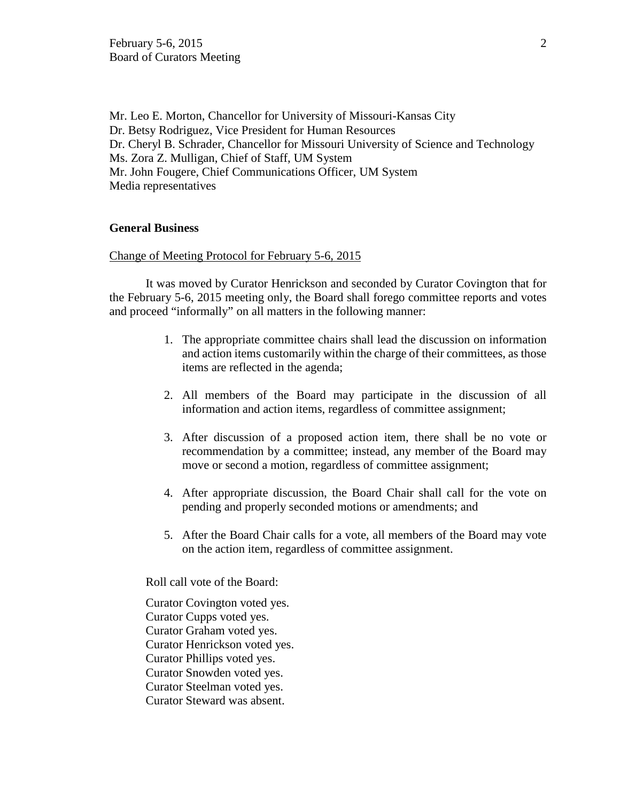Mr. Leo E. Morton, Chancellor for University of Missouri-Kansas City Dr. Betsy Rodriguez, Vice President for Human Resources Dr. Cheryl B. Schrader, Chancellor for Missouri University of Science and Technology Ms. Zora Z. Mulligan, Chief of Staff, UM System Mr. John Fougere, Chief Communications Officer, UM System Media representatives

## **General Business**

#### Change of Meeting Protocol for February 5-6, 2015

It was moved by Curator Henrickson and seconded by Curator Covington that for the February 5-6, 2015 meeting only, the Board shall forego committee reports and votes and proceed "informally" on all matters in the following manner:

- 1. The appropriate committee chairs shall lead the discussion on information and action items customarily within the charge of their committees, as those items are reflected in the agenda;
- 2. All members of the Board may participate in the discussion of all information and action items, regardless of committee assignment;
- 3. After discussion of a proposed action item, there shall be no vote or recommendation by a committee; instead, any member of the Board may move or second a motion, regardless of committee assignment;
- 4. After appropriate discussion, the Board Chair shall call for the vote on pending and properly seconded motions or amendments; and
- 5. After the Board Chair calls for a vote, all members of the Board may vote on the action item, regardless of committee assignment.

Roll call vote of the Board:

Curator Covington voted yes. Curator Cupps voted yes. Curator Graham voted yes. Curator Henrickson voted yes. Curator Phillips voted yes. Curator Snowden voted yes. Curator Steelman voted yes. Curator Steward was absent.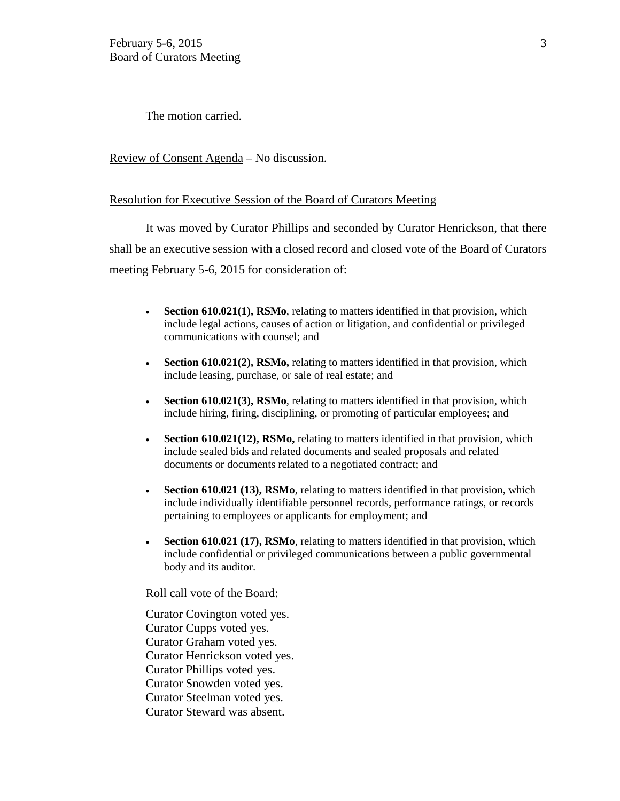The motion carried.

Review of Consent Agenda – No discussion.

## Resolution for Executive Session of the Board of Curators Meeting

It was moved by Curator Phillips and seconded by Curator Henrickson, that there shall be an executive session with a closed record and closed vote of the Board of Curators meeting February 5-6, 2015 for consideration of:

- **Section 610.021(1), RSMo**, relating to matters identified in that provision, which include legal actions, causes of action or litigation, and confidential or privileged communications with counsel; and
- **Section 610.021(2), RSMo, relating to matters identified in that provision, which** include leasing, purchase, or sale of real estate; and
- **Section 610.021(3), RSMo**, relating to matters identified in that provision, which include hiring, firing, disciplining, or promoting of particular employees; and
- **Section 610.021(12), RSMo,** relating to matters identified in that provision, which include sealed bids and related documents and sealed proposals and related documents or documents related to a negotiated contract; and
- **Section 610.021 (13), RSMo**, relating to matters identified in that provision, which include individually identifiable personnel records, performance ratings, or records pertaining to employees or applicants for employment; and
- **Section 610.021 (17), RSMo**, relating to matters identified in that provision, which include confidential or privileged communications between a public governmental body and its auditor.

Roll call vote of the Board:

Curator Covington voted yes. Curator Cupps voted yes. Curator Graham voted yes. Curator Henrickson voted yes. Curator Phillips voted yes. Curator Snowden voted yes. Curator Steelman voted yes. Curator Steward was absent.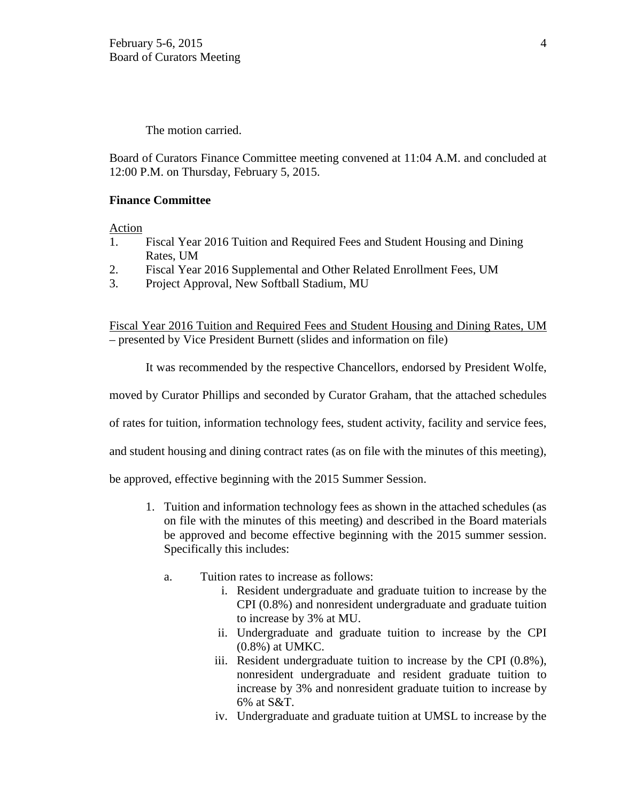The motion carried.

Board of Curators Finance Committee meeting convened at 11:04 A.M. and concluded at 12:00 P.M. on Thursday, February 5, 2015.

## **Finance Committee**

Action

- 1. Fiscal Year 2016 Tuition and Required Fees and Student Housing and Dining Rates, UM
- 2. Fiscal Year 2016 Supplemental and Other Related Enrollment Fees, UM
- 3. Project Approval, New Softball Stadium, MU

Fiscal Year 2016 Tuition and Required Fees and Student Housing and Dining Rates, UM – presented by Vice President Burnett (slides and information on file)

It was recommended by the respective Chancellors, endorsed by President Wolfe,

moved by Curator Phillips and seconded by Curator Graham, that the attached schedules

of rates for tuition, information technology fees, student activity, facility and service fees,

and student housing and dining contract rates (as on file with the minutes of this meeting),

be approved, effective beginning with the 2015 Summer Session.

- 1. Tuition and information technology fees as shown in the attached schedules (as on file with the minutes of this meeting) and described in the Board materials be approved and become effective beginning with the 2015 summer session. Specifically this includes:
	- a. Tuition rates to increase as follows:
		- i. Resident undergraduate and graduate tuition to increase by the CPI (0.8%) and nonresident undergraduate and graduate tuition to increase by 3% at MU.
		- ii. Undergraduate and graduate tuition to increase by the CPI (0.8%) at UMKC.
		- iii. Resident undergraduate tuition to increase by the CPI (0.8%), nonresident undergraduate and resident graduate tuition to increase by 3% and nonresident graduate tuition to increase by 6% at S&T.
		- iv. Undergraduate and graduate tuition at UMSL to increase by the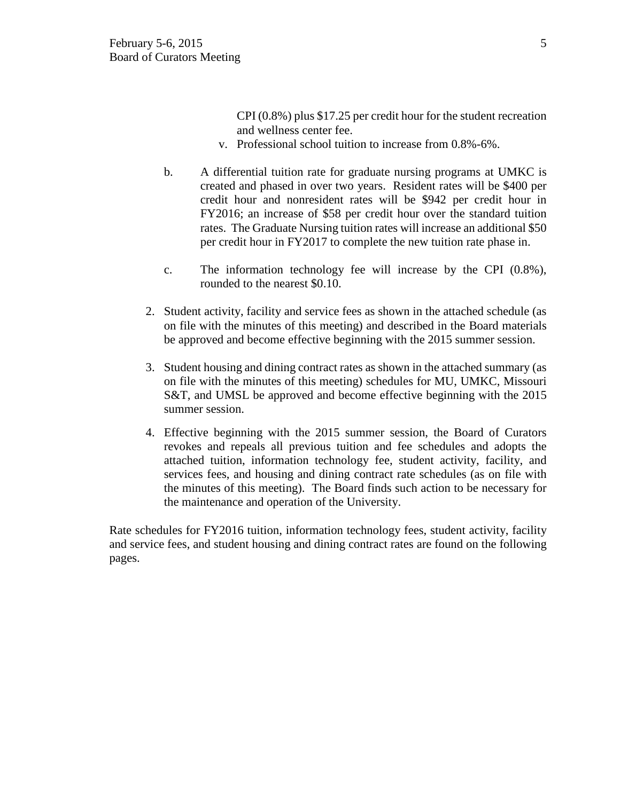CPI (0.8%) plus \$17.25 per credit hour for the student recreation and wellness center fee.

- v. Professional school tuition to increase from 0.8%-6%.
- b. A differential tuition rate for graduate nursing programs at UMKC is created and phased in over two years. Resident rates will be \$400 per credit hour and nonresident rates will be \$942 per credit hour in FY2016; an increase of \$58 per credit hour over the standard tuition rates. The Graduate Nursing tuition rates will increase an additional \$50 per credit hour in FY2017 to complete the new tuition rate phase in.
- c. The information technology fee will increase by the CPI (0.8%), rounded to the nearest \$0.10.
- 2. Student activity, facility and service fees as shown in the attached schedule (as on file with the minutes of this meeting) and described in the Board materials be approved and become effective beginning with the 2015 summer session.
- 3. Student housing and dining contract rates as shown in the attached summary (as on file with the minutes of this meeting) schedules for MU, UMKC, Missouri S&T, and UMSL be approved and become effective beginning with the 2015 summer session.
- 4. Effective beginning with the 2015 summer session, the Board of Curators revokes and repeals all previous tuition and fee schedules and adopts the attached tuition, information technology fee, student activity, facility, and services fees, and housing and dining contract rate schedules (as on file with the minutes of this meeting). The Board finds such action to be necessary for the maintenance and operation of the University.

Rate schedules for FY2016 tuition, information technology fees, student activity, facility and service fees, and student housing and dining contract rates are found on the following pages.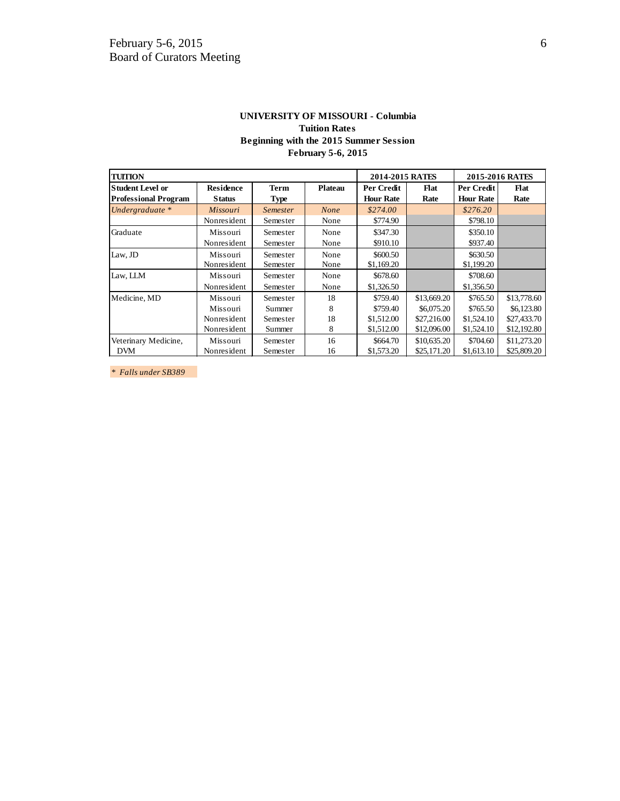#### **UNIVERSITY OF MISSOURI - Columbia Tuition Rates Beginning with the 2015 Summer Session February 5-6, 2015**

| <b>TUITION</b>              |                  |             |                | 2014-2015 RATES  |             | 2015-2016 RATES  |             |
|-----------------------------|------------------|-------------|----------------|------------------|-------------|------------------|-------------|
| <b>Student Level or</b>     | <b>Residence</b> | <b>Term</b> | <b>Plateau</b> | Per Credit       | Flat        | Per Credit       | <b>Flat</b> |
| <b>Professional Program</b> | <b>Status</b>    | Type        |                | <b>Hour Rate</b> | Rate        | <b>Hour Rate</b> | Rate        |
| Undergraduate *             | Missouri         | Semester    | None           | \$274.00         |             | \$276.20         |             |
|                             | Nonresident      | Semester    | None           | \$774.90         |             | \$798.10         |             |
| Graduate                    | Missouri         | Semester    | None           | \$347.30         |             | \$350.10         |             |
|                             | Nonresident      | Semester    | None           | \$910.10         |             | \$937.40         |             |
| Law, JD                     | Missouri         | Semester    | None           | \$600.50         |             | \$630.50         |             |
|                             | Nonresident      | Semester    | None           | \$1,169.20       |             | \$1,199.20       |             |
| Law, LLM                    | Missouri         | Semester    | None           | \$678.60         |             | \$708.60         |             |
|                             | Nonresident      | Semester    | None           | \$1,326.50       |             | \$1,356.50       |             |
| Medicine, MD                | Missouri         | Semester    | 18             | \$759.40         | \$13,669.20 | \$765.50         | \$13,778.60 |
|                             | Missouri         | Summer      | 8              | \$759.40         | \$6,075.20  | \$765.50         | \$6,123.80  |
|                             | Nonresident      | Semester    | 18             | \$1,512.00       | \$27,216.00 | \$1,524.10       | \$27,433.70 |
|                             | Nonresident      | Summer      | 8              | \$1,512.00       | \$12,096.00 | \$1,524.10       | \$12,192.80 |
| Veterinary Medicine,        | Missouri         | Semester    | 16             | \$664.70         | \$10,635.20 | \$704.60         | \$11,273.20 |
| <b>DVM</b>                  | Nonresident      | Semester    | 16             | \$1,573.20       | \$25,171.20 | \$1,613.10       | \$25,809.20 |

*\* Falls under SB389*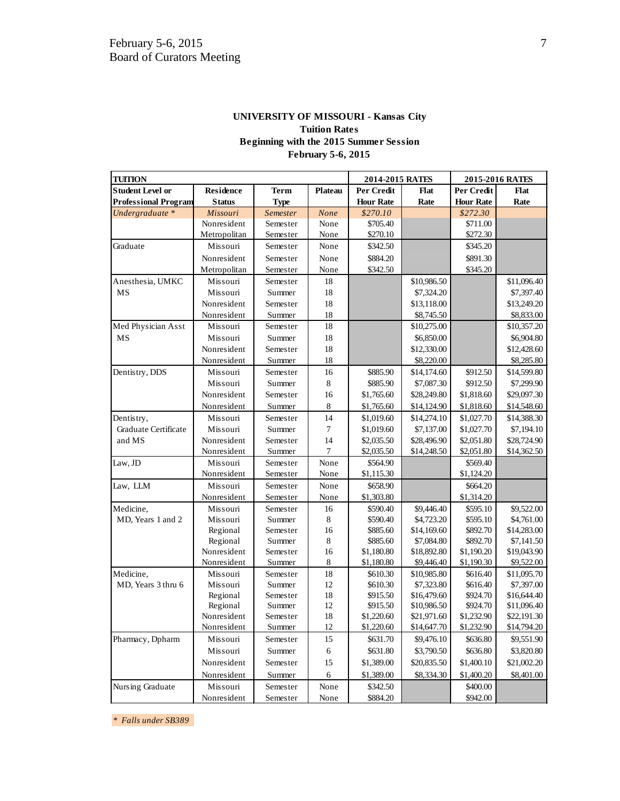| <b>UNIVERSITY OF MISSOURI - Kansas City</b> |  |  |  |  |
|---------------------------------------------|--|--|--|--|
| <b>Tuition Rates</b>                        |  |  |  |  |
| Beginning with the 2015 Summer Session      |  |  |  |  |
| <b>February 5-6, 2015</b>                   |  |  |  |  |

| <b>TUITION</b>              |                  | 2014-2015 RATES |                | 2015-2016 RATES  |             |                  |             |
|-----------------------------|------------------|-----------------|----------------|------------------|-------------|------------------|-------------|
| <b>Student Level or</b>     | <b>Residence</b> | <b>Term</b>     | <b>Plateau</b> | Per Credit       | Flat        | Per Credit       | Flat        |
| <b>Professional Program</b> | <b>Status</b>    | <b>Type</b>     |                | <b>Hour Rate</b> | Rate        | <b>Hour Rate</b> | Rate        |
| Undergraduate *             | Missouri         | Semester        | <b>None</b>    | \$270.10         |             | \$272.30         |             |
|                             | Nonresident      | Semester        | None           | \$705.40         |             | \$711.00         |             |
|                             | Metropolitan     | Semester        | None           | \$270.10         |             | \$272.30         |             |
| Graduate                    | Missouri         | Semester        | None           | \$342.50         |             | \$345.20         |             |
|                             | Nonresident      | Semester        | None           | \$884.20         |             | \$891.30         |             |
|                             | Metropolitan     | Semester        | None           | \$342.50         |             | \$345.20         |             |
| Anesthesia, UMKC            | Missouri         | Semester        | 18             |                  | \$10,986.50 |                  | \$11,096.40 |
| MS                          | Missouri         | Summer          | 18             |                  | \$7,324.20  |                  | \$7,397.40  |
|                             | Nonresident      | Semester        | 18             |                  | \$13,118.00 |                  | \$13,249.20 |
|                             | Nonresident      | Summer          | 18             |                  | \$8,745.50  |                  | \$8,833.00  |
| Med Physician Asst          | Missouri         | Semester        | 18             |                  | \$10,275.00 |                  | \$10,357.20 |
| MS                          | Missouri         | Summer          | 18             |                  | \$6,850.00  |                  | \$6,904.80  |
|                             | Nonresident      | Semester        | 18             |                  | \$12,330.00 |                  | \$12,428.60 |
|                             | Nonresident      | Summer          | 18             |                  | \$8,220.00  |                  | \$8,285.80  |
| Dentistry, DDS              | Missouri         | Semester        | 16             | \$885.90         | \$14,174.60 | \$912.50         | \$14,599.80 |
|                             | Missouri         | Summer          | 8              | \$885.90         | \$7,087.30  | \$912.50         | \$7,299.90  |
|                             | Nonresident      | Semester        | 16             | \$1,765.60       | \$28,249.80 | \$1,818.60       | \$29,097.30 |
|                             | Nonresident      | Summer          | 8              | \$1,765.60       | \$14,124.90 | \$1,818.60       | \$14,548.60 |
| Dentistry,                  | Missouri         | Semester        | 14             | \$1,019.60       | \$14,274.10 | \$1,027.70       | \$14,388.30 |
| Graduate Certificate        | Missouri         | Summer          | $\tau$         | \$1,019.60       | \$7,137.00  | \$1,027.70       | \$7,194.10  |
| and MS                      | Nonresident      | Semester        | 14             | \$2,035.50       | \$28,496.90 | \$2,051.80       | \$28,724.90 |
|                             | Nonresident      | Summer          | 7              | \$2,035.50       | \$14,248.50 | \$2,051.80       | \$14,362.50 |
| Law, JD                     | Missouri         | Semester        | None           | \$564.90         |             | \$569.40         |             |
|                             | Nonresident      | Semester        | None           | \$1,115.30       |             | \$1,124.20       |             |
| Law, LLM                    | Missouri         | Semester        | None           | \$658.90         |             | \$664.20         |             |
|                             | Nonresident      | Semester        | None           | \$1,303.80       |             | \$1,314.20       |             |
| Medicine,                   | Missouri         | Semester        | 16             | \$590.40         | \$9,446.40  | \$595.10         | \$9,522.00  |
| MD, Years 1 and 2           | Missouri         | Summer          | 8              | \$590.40         | \$4,723.20  | \$595.10         | \$4,761.00  |
|                             | Regional         | Semester        | 16             | \$885.60         | \$14,169.60 | \$892.70         | \$14,283.00 |
|                             | Regional         | Summer          | 8              | \$885.60         | \$7,084.80  | \$892.70         | \$7,141.50  |
|                             | Nonresident      | Semester        | 16             | \$1,180.80       | \$18,892.80 | \$1,190.20       | \$19,043.90 |
|                             | Nonresident      | Summer          | 8              | \$1,180.80       | \$9,446.40  | \$1,190.30       | \$9,522.00  |
| Medicine.                   | Missouri         | Semester        | 18             | \$610.30         | \$10,985.80 | \$616.40         | \$11,095.70 |
| MD, Years 3 thru 6          | Missouri         | Summer          | 12             | \$610.30         | \$7,323.80  | \$616.40         | \$7,397.00  |
|                             | Regional         | Semester        | 18             | \$915.50         | \$16,479.60 | \$924.70         | \$16,644.40 |
|                             | Regional         | Summer          | 12             | \$915.50         | \$10,986.50 | \$924.70         | \$11,096.40 |
|                             | Nonresident      | Semester        | 18             | \$1,220.60       | \$21,971.60 | \$1,232.90       | \$22,191.30 |
|                             | Nonresident      | Summer          | 12             | \$1,220.60       | \$14,647.70 | \$1,232.90       | \$14,794.20 |
| Pharmacy, Dpharm            | Missouri         | Semester        | 15             | \$631.70         | \$9,476.10  | \$636.80         | \$9,551.90  |
|                             | Missouri         | Summer          | $\epsilon$     | \$631.80         | \$3,790.50  | \$636.80         | \$3,820.80  |
|                             | Nonresident      | Semester        | 15             | \$1,389.00       | \$20,835.50 | \$1,400.10       | \$21,002.20 |
|                             | Nonresident      | Summer          | 6              | \$1,389.00       | \$8,334.30  | \$1,400.20       | \$8,401.00  |
| Nursing Graduate            | Missouri         | Semester        | None           | \$342.50         |             | \$400.00         |             |
|                             | Nonresident      | Semester        | None           | \$884.20         |             | \$942.00         |             |

*\* Falls under SB389*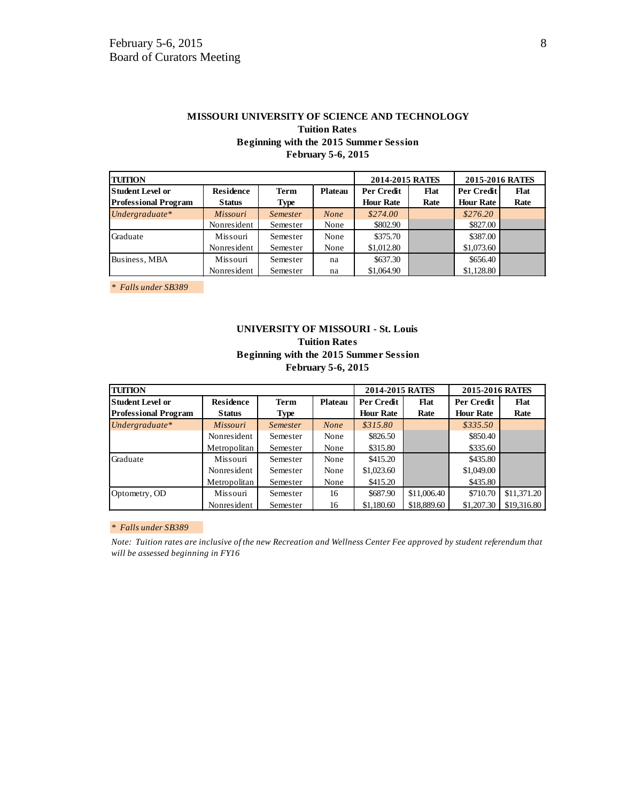| <b>MISSOURI UNIVERSITY OF SCIENCE AND TECHNOLOGY</b> |                 |      |
|------------------------------------------------------|-----------------|------|
| <b>Tuition Rates</b>                                 |                 |      |
| Beginning with the 2015 Summer Session               |                 |      |
| <b>February 5-6, 2015</b>                            |                 |      |
|                                                      |                 |      |
|                                                      | 2014-2015 RATES | 2015 |

| <b>TUITION</b>              |                  |                 |                | 2014-2015 RATES  |      | 2015-2016 RATES  |      |
|-----------------------------|------------------|-----------------|----------------|------------------|------|------------------|------|
| <b>Student Level or</b>     | <b>Residence</b> | <b>Term</b>     | <b>Plateau</b> | Per Credit       | Flat | Per Credit       | Flat |
| <b>Professional Program</b> | <b>Status</b>    | <b>Type</b>     |                | <b>Hour Rate</b> | Rate | <b>Hour Rate</b> | Rate |
| Undergraduate*              | <i>Missouri</i>  | <i>Semester</i> | <b>None</b>    | \$274.00         |      | \$276.20         |      |
|                             | Nonresident      | Semester        | None           | \$802.90         |      | \$827.00         |      |
| Graduate                    | Missouri         | Semester        | None           | \$375.70         |      | \$387.00         |      |
|                             | Nonresident      | Semester        | None           | \$1,012.80       |      | \$1,073.60       |      |
| Business, MBA               | Missouri         | Semester        | na             | \$637.30         |      | \$656.40         |      |
|                             | Nonresident      | Semester        | na             | \$1,064.90       |      | \$1,128.80       |      |

*\* Falls under SB389* 

## **UNIVERSITY OF MISSOURI - St. Louis Tuition Rates Beginning with the 2015 Summer Session February 5-6, 2015**

| <b>TUITION</b>              |                  |                 |                | 2014-2015 RATES  |             | 2015-2016 RATES   |             |
|-----------------------------|------------------|-----------------|----------------|------------------|-------------|-------------------|-------------|
| lStudent Level or           | <b>Residence</b> | <b>Term</b>     | <b>Plateau</b> | Per Credit       | Flat        | <b>Per Credit</b> | <b>Flat</b> |
| <b>Professional Program</b> | <b>Status</b>    | <b>Type</b>     |                | <b>Hour Rate</b> | Rate        | <b>Hour Rate</b>  | Rate        |
| Undergraduate*              | <b>Missouri</b>  | <i>Semester</i> | <b>None</b>    | \$315.80         |             | \$335.50          |             |
|                             | Nonresident      | Semester        | None           | \$826.50         |             | \$850.40          |             |
|                             | Metropolitan     | Semester        | None           | \$315.80         |             | \$335.60          |             |
| Graduate                    | Missouri         | Semester        | None           | \$415.20         |             | \$435.80          |             |
|                             | Nonresident      | Semester        | None           | \$1,023.60       |             | \$1,049.00        |             |
|                             | Metropolitan     | Semester        | None           | \$415.20         |             | \$435.80          |             |
| Optometry, OD               | Missouri         | Semester        | 16             | \$687.90         | \$11,006.40 | \$710.70          | \$11,371.20 |
|                             | Nonresident      | Semester        | 16             | \$1,180.60       | \$18,889.60 | \$1,207.30        | \$19,316.80 |

#### *\* Falls under SB389*

*Note: Tuition rates are inclusive of the new Recreation and Wellness Center Fee approved by student referendum that will be assessed beginning in FY16*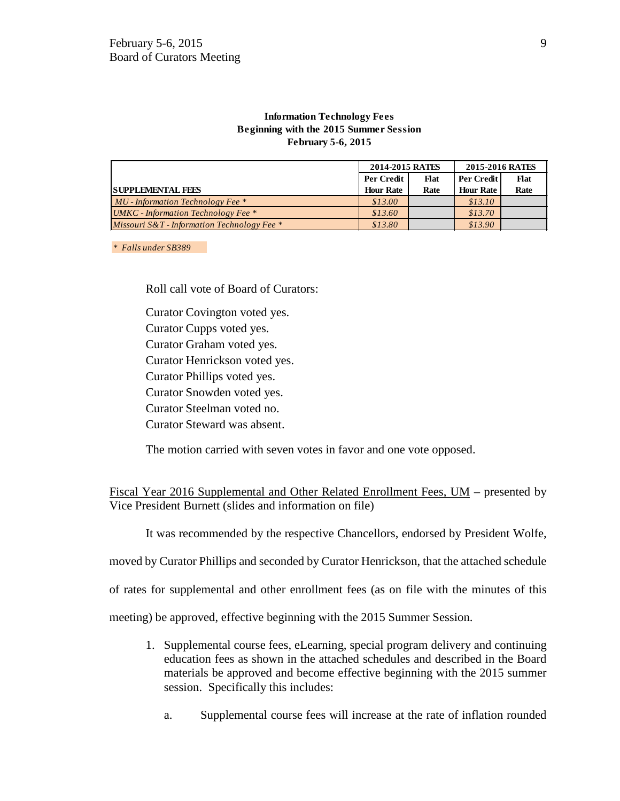#### **Information Technology Fees Beginning with the 2015 Summer Session February 5-6, 2015**

|                                                  | 2014-2015 RATES  |             | 2015-2016 RATES  |      |
|--------------------------------------------------|------------------|-------------|------------------|------|
|                                                  | Per Credit       | <b>Flat</b> | Per Credit       | Flat |
| <b>SUPPLEMENTAL FEES</b>                         | <b>Hour Rate</b> | Rate        | <b>Hour Rate</b> | Rate |
| $MU$ - Information Technology Fee $*$            | \$13.00          |             | \$13.10          |      |
| <b>UMKC</b> - Information Technology Fee $*$     | \$13.60          |             | \$13.70          |      |
| Missouri $S\&T$ - Information Technology Fee $*$ | \$13.80          |             | \$13.90          |      |

*\* Falls under SB389* 

Roll call vote of Board of Curators:

Curator Covington voted yes.

Curator Cupps voted yes.

Curator Graham voted yes.

Curator Henrickson voted yes.

Curator Phillips voted yes.

Curator Snowden voted yes.

Curator Steelman voted no.

Curator Steward was absent.

The motion carried with seven votes in favor and one vote opposed.

Fiscal Year 2016 Supplemental and Other Related Enrollment Fees, UM – presented by Vice President Burnett (slides and information on file)

It was recommended by the respective Chancellors, endorsed by President Wolfe,

moved by Curator Phillips and seconded by Curator Henrickson, that the attached schedule

of rates for supplemental and other enrollment fees (as on file with the minutes of this

meeting) be approved, effective beginning with the 2015 Summer Session.

- 1. Supplemental course fees, eLearning, special program delivery and continuing education fees as shown in the attached schedules and described in the Board materials be approved and become effective beginning with the 2015 summer session. Specifically this includes:
	- a. Supplemental course fees will increase at the rate of inflation rounded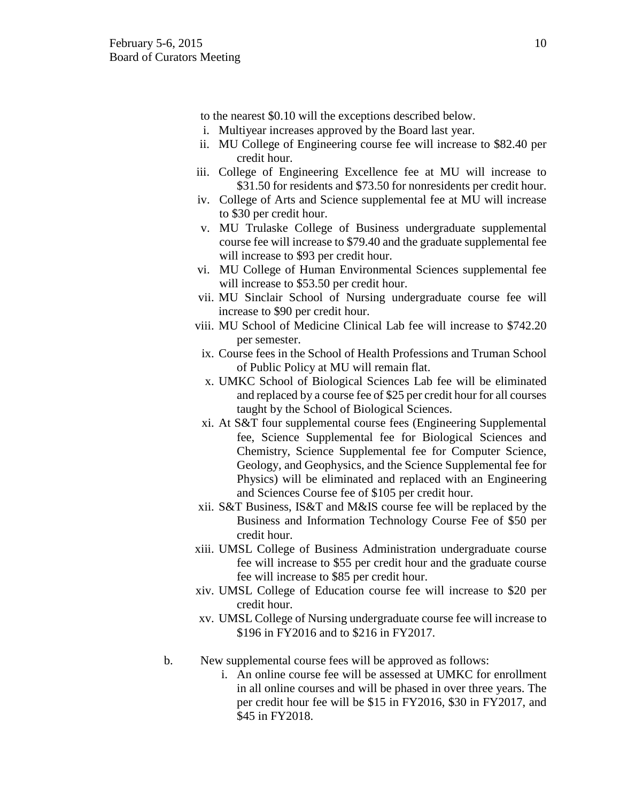to the nearest \$0.10 will the exceptions described below.

- i. Multiyear increases approved by the Board last year.
- ii. MU College of Engineering course fee will increase to \$82.40 per credit hour.
- iii. College of Engineering Excellence fee at MU will increase to \$31.50 for residents and \$73.50 for nonresidents per credit hour.
- iv. College of Arts and Science supplemental fee at MU will increase to \$30 per credit hour.
- v. MU Trulaske College of Business undergraduate supplemental course fee will increase to \$79.40 and the graduate supplemental fee will increase to \$93 per credit hour.
- vi. MU College of Human Environmental Sciences supplemental fee will increase to \$53.50 per credit hour.
- vii. MU Sinclair School of Nursing undergraduate course fee will increase to \$90 per credit hour.
- viii. MU School of Medicine Clinical Lab fee will increase to \$742.20 per semester.
	- ix. Course fees in the School of Health Professions and Truman School of Public Policy at MU will remain flat.
	- x. UMKC School of Biological Sciences Lab fee will be eliminated and replaced by a course fee of \$25 per credit hour for all courses taught by the School of Biological Sciences.
	- xi. At S&T four supplemental course fees (Engineering Supplemental fee, Science Supplemental fee for Biological Sciences and Chemistry, Science Supplemental fee for Computer Science, Geology, and Geophysics, and the Science Supplemental fee for Physics) will be eliminated and replaced with an Engineering and Sciences Course fee of \$105 per credit hour.
- xii. S&T Business, IS&T and M&IS course fee will be replaced by the Business and Information Technology Course Fee of \$50 per credit hour.
- xiii. UMSL College of Business Administration undergraduate course fee will increase to \$55 per credit hour and the graduate course fee will increase to \$85 per credit hour.
- xiv. UMSL College of Education course fee will increase to \$20 per credit hour.
- xv. UMSL College of Nursing undergraduate course fee will increase to \$196 in FY2016 and to \$216 in FY2017.
- b. New supplemental course fees will be approved as follows:
	- i. An online course fee will be assessed at UMKC for enrollment in all online courses and will be phased in over three years. The per credit hour fee will be \$15 in FY2016, \$30 in FY2017, and \$45 in FY2018.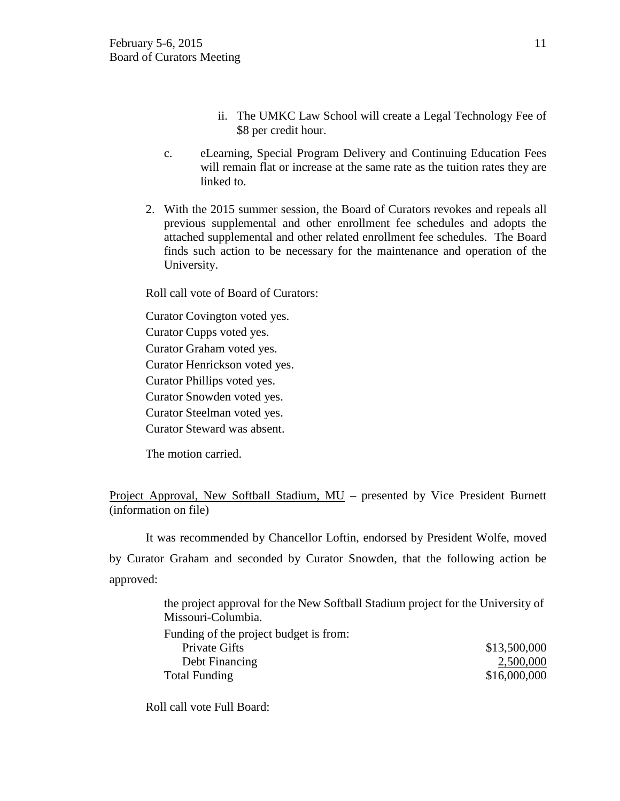- ii. The UMKC Law School will create a Legal Technology Fee of \$8 per credit hour.
- c. eLearning, Special Program Delivery and Continuing Education Fees will remain flat or increase at the same rate as the tuition rates they are linked to.
- 2. With the 2015 summer session, the Board of Curators revokes and repeals all previous supplemental and other enrollment fee schedules and adopts the attached supplemental and other related enrollment fee schedules. The Board finds such action to be necessary for the maintenance and operation of the University.

Roll call vote of Board of Curators:

Curator Covington voted yes.

Curator Cupps voted yes.

Curator Graham voted yes.

Curator Henrickson voted yes.

Curator Phillips voted yes.

Curator Snowden voted yes.

Curator Steelman voted yes.

Curator Steward was absent.

The motion carried.

Project Approval, New Softball Stadium, MU – presented by Vice President Burnett (information on file)

It was recommended by Chancellor Loftin, endorsed by President Wolfe, moved by Curator Graham and seconded by Curator Snowden, that the following action be approved:

> the project approval for the New Softball Stadium project for the University of Missouri-Columbia.

| Funding of the project budget is from: |              |
|----------------------------------------|--------------|
| Private Gifts                          | \$13,500,000 |
| Debt Financing                         | 2,500,000    |
| <b>Total Funding</b>                   | \$16,000,000 |

Roll call vote Full Board: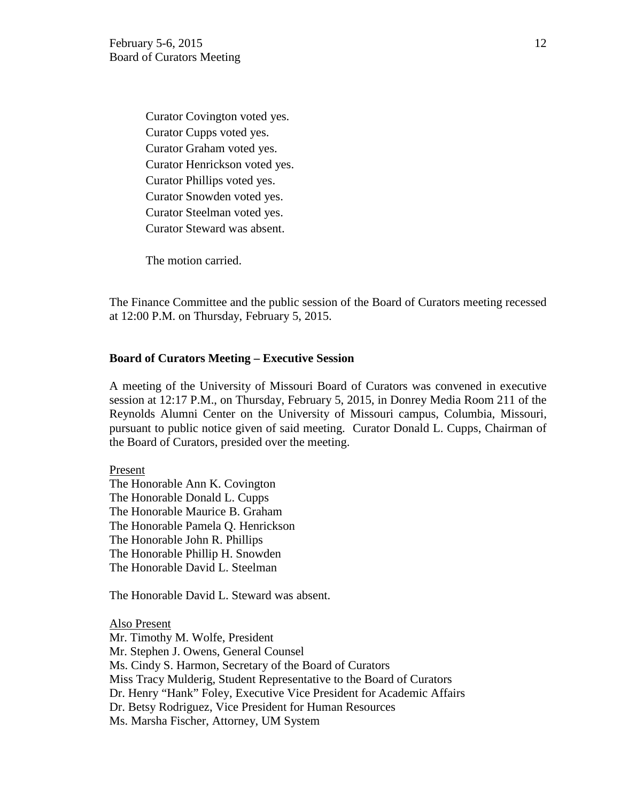Curator Covington voted yes. Curator Cupps voted yes. Curator Graham voted yes. Curator Henrickson voted yes. Curator Phillips voted yes. Curator Snowden voted yes. Curator Steelman voted yes. Curator Steward was absent.

The motion carried.

The Finance Committee and the public session of the Board of Curators meeting recessed at 12:00 P.M. on Thursday, February 5, 2015.

## **Board of Curators Meeting – Executive Session**

A meeting of the University of Missouri Board of Curators was convened in executive session at 12:17 P.M., on Thursday, February 5, 2015, in Donrey Media Room 211 of the Reynolds Alumni Center on the University of Missouri campus, Columbia, Missouri, pursuant to public notice given of said meeting. Curator Donald L. Cupps, Chairman of the Board of Curators, presided over the meeting.

## Present

The Honorable Ann K. Covington The Honorable Donald L. Cupps The Honorable Maurice B. Graham The Honorable Pamela Q. Henrickson The Honorable John R. Phillips The Honorable Phillip H. Snowden The Honorable David L. Steelman

The Honorable David L. Steward was absent.

Also Present Mr. Timothy M. Wolfe, President Mr. Stephen J. Owens, General Counsel Ms. Cindy S. Harmon, Secretary of the Board of Curators Miss Tracy Mulderig, Student Representative to the Board of Curators Dr. Henry "Hank" Foley, Executive Vice President for Academic Affairs Dr. Betsy Rodriguez, Vice President for Human Resources Ms. Marsha Fischer, Attorney, UM System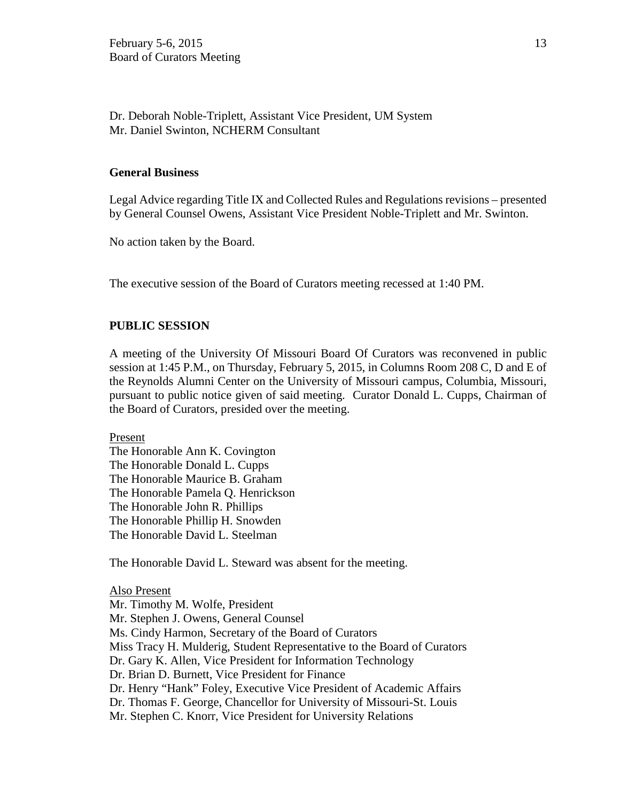Dr. Deborah Noble-Triplett, Assistant Vice President, UM System Mr. Daniel Swinton, NCHERM Consultant

## **General Business**

Legal Advice regarding Title IX and Collected Rules and Regulations revisions – presented by General Counsel Owens, Assistant Vice President Noble-Triplett and Mr. Swinton.

No action taken by the Board.

The executive session of the Board of Curators meeting recessed at 1:40 PM.

## **PUBLIC SESSION**

A meeting of the University Of Missouri Board Of Curators was reconvened in public session at 1:45 P.M., on Thursday, February 5, 2015, in Columns Room 208 C, D and E of the Reynolds Alumni Center on the University of Missouri campus, Columbia, Missouri, pursuant to public notice given of said meeting. Curator Donald L. Cupps, Chairman of the Board of Curators, presided over the meeting.

Present

The Honorable Ann K. Covington The Honorable Donald L. Cupps The Honorable Maurice B. Graham The Honorable Pamela Q. Henrickson The Honorable John R. Phillips The Honorable Phillip H. Snowden The Honorable David L. Steelman

The Honorable David L. Steward was absent for the meeting.

## Also Present Mr. Timothy M. Wolfe, President

Mr. Stephen J. Owens, General Counsel Ms. Cindy Harmon, Secretary of the Board of Curators Miss Tracy H. Mulderig, Student Representative to the Board of Curators Dr. Gary K. Allen, Vice President for Information Technology Dr. Brian D. Burnett, Vice President for Finance Dr. Henry "Hank" Foley, Executive Vice President of Academic Affairs Dr. Thomas F. George, Chancellor for University of Missouri-St. Louis Mr. Stephen C. Knorr, Vice President for University Relations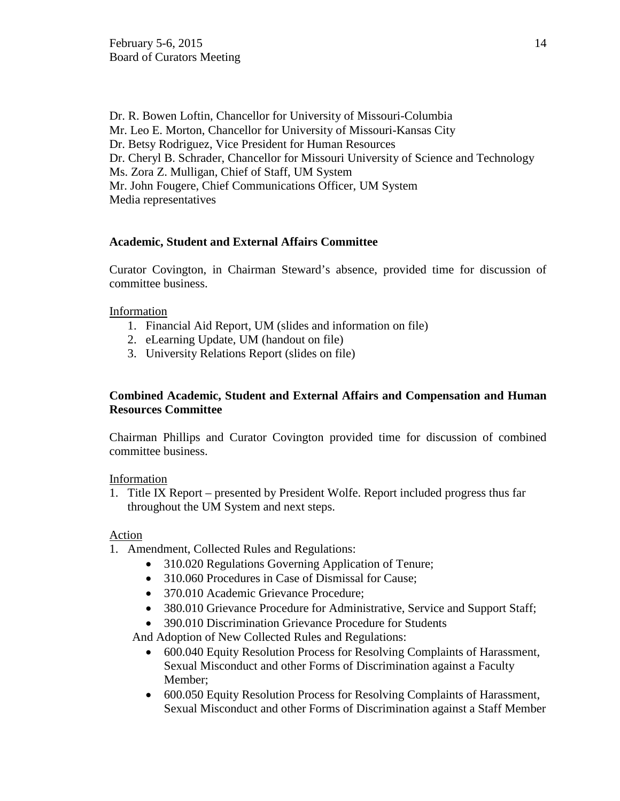Dr. R. Bowen Loftin, Chancellor for University of Missouri-Columbia Mr. Leo E. Morton, Chancellor for University of Missouri-Kansas City Dr. Betsy Rodriguez, Vice President for Human Resources Dr. Cheryl B. Schrader, Chancellor for Missouri University of Science and Technology Ms. Zora Z. Mulligan, Chief of Staff, UM System Mr. John Fougere, Chief Communications Officer, UM System Media representatives

# **Academic, Student and External Affairs Committee**

Curator Covington, in Chairman Steward's absence, provided time for discussion of committee business.

# Information

- 1. Financial Aid Report, UM (slides and information on file)
- 2. eLearning Update, UM (handout on file)
- 3. University Relations Report (slides on file)

# **Combined Academic, Student and External Affairs and Compensation and Human Resources Committee**

Chairman Phillips and Curator Covington provided time for discussion of combined committee business.

# Information

1. Title IX Report – presented by President Wolfe. Report included progress thus far throughout the UM System and next steps.

# Action

- 1. Amendment, Collected Rules and Regulations:
	- 310.020 Regulations Governing Application of Tenure;
	- 310.060 Procedures in Case of Dismissal for Cause;
	- 370.010 Academic Grievance Procedure;
	- 380.010 Grievance Procedure for Administrative, Service and Support Staff;
	- 390.010 Discrimination Grievance Procedure for Students

And Adoption of New Collected Rules and Regulations:

- 600.040 Equity Resolution Process for Resolving Complaints of Harassment, Sexual Misconduct and other Forms of Discrimination against a Faculty Member;
- 600.050 Equity Resolution Process for Resolving Complaints of Harassment, Sexual Misconduct and other Forms of Discrimination against a Staff Member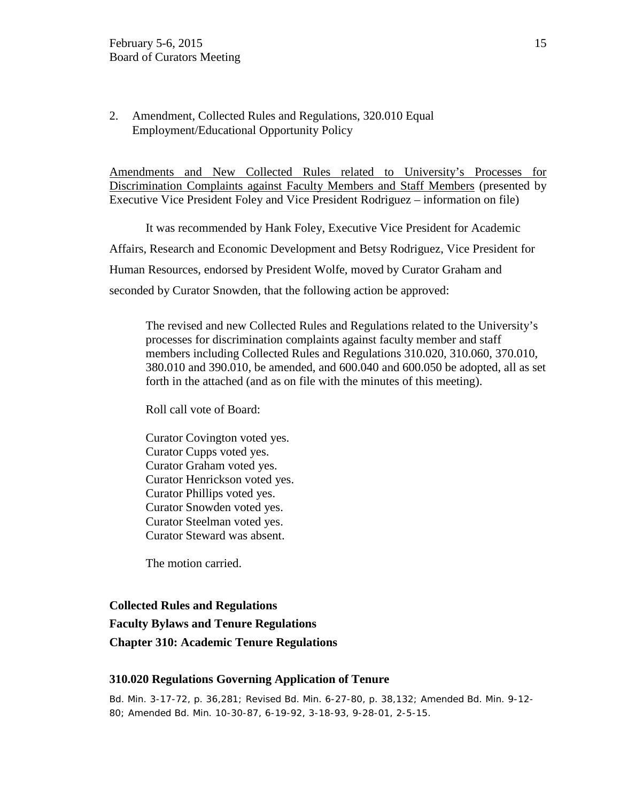2. Amendment, Collected Rules and Regulations, 320.010 Equal Employment/Educational Opportunity Policy

Amendments and New Collected Rules related to University's Processes for Discrimination Complaints against Faculty Members and Staff Members (presented by Executive Vice President Foley and Vice President Rodriguez – information on file)

It was recommended by Hank Foley, Executive Vice President for Academic Affairs, Research and Economic Development and Betsy Rodriguez, Vice President for Human Resources, endorsed by President Wolfe, moved by Curator Graham and seconded by Curator Snowden, that the following action be approved:

The revised and new Collected Rules and Regulations related to the University's processes for discrimination complaints against faculty member and staff members including Collected Rules and Regulations 310.020, 310.060, 370.010, 380.010 and 390.010, be amended, and 600.040 and 600.050 be adopted, all as set forth in the attached (and as on file with the minutes of this meeting).

Roll call vote of Board:

Curator Covington voted yes. Curator Cupps voted yes. Curator Graham voted yes. Curator Henrickson voted yes. Curator Phillips voted yes. Curator Snowden voted yes. Curator Steelman voted yes. Curator Steward was absent.

The motion carried.

## **Collected Rules and Regulations**

**Faculty Bylaws and Tenure Regulations Chapter 310: Academic Tenure Regulations** 

## **310.020 Regulations Governing Application of Tenure**

Bd. Min. 3-17-72, p. 36,281; Revised Bd. Min. 6-27-80, p. 38,132; Amended Bd. Min. 9-12- 80; Amended Bd. Min. 10-30-87, 6-19-92, 3-18-93, 9-28-01, 2-5-15.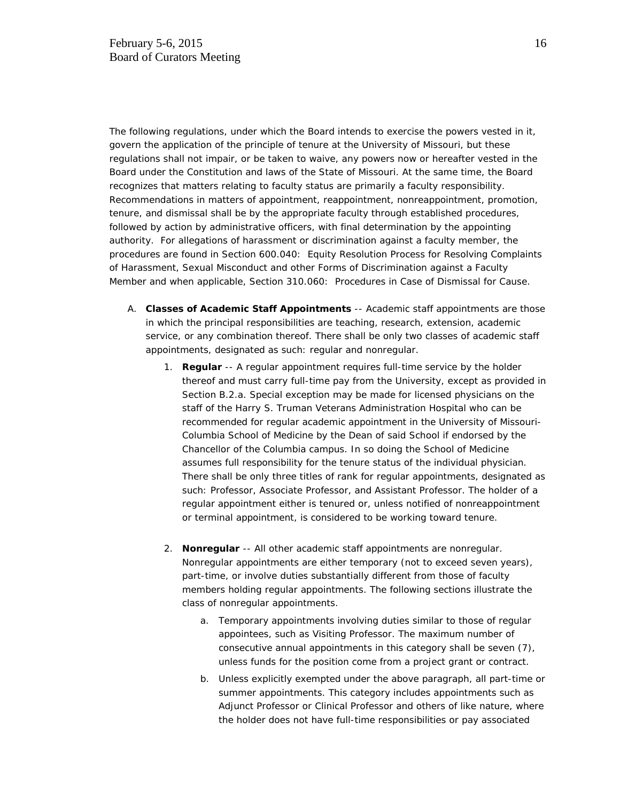The following regulations, under which the Board intends to exercise the powers vested in it, govern the application of the principle of tenure at the University of Missouri, but these regulations shall not impair, or be taken to waive, any powers now or hereafter vested in the Board under the Constitution and laws of the State of Missouri. At the same time, the Board recognizes that matters relating to faculty status are primarily a faculty responsibility. Recommendations in matters of appointment, reappointment, nonreappointment, promotion, tenure, and dismissal shall be by the appropriate faculty through established procedures, followed by action by administrative officers, with final determination by the appointing authority. For allegations of harassment or discrimination against a faculty member, the procedures are found in Section 600.040: Equity Resolution Process for Resolving Complaints of Harassment, Sexual Misconduct and other Forms of Discrimination against a Faculty Member and when applicable, Section 310.060: Procedures in Case of Dismissal for Cause.

- A. **Classes of Academic Staff Appointments** -- Academic staff appointments are those in which the principal responsibilities are teaching, research, extension, academic service, or any combination thereof. There shall be only two classes of academic staff appointments, designated as such: regular and nonregular.
	- 1. **Regular** -- A regular appointment requires full-time service by the holder thereof and must carry full-time pay from the University, except as provided in Section B.2.a. Special exception may be made for licensed physicians on the staff of the Harry S. Truman Veterans Administration Hospital who can be recommended for regular academic appointment in the University of Missouri-Columbia School of Medicine by the Dean of said School if endorsed by the Chancellor of the Columbia campus. In so doing the School of Medicine assumes full responsibility for the tenure status of the individual physician. There shall be only three titles of rank for regular appointments, designated as such: Professor, Associate Professor, and Assistant Professor. The holder of a regular appointment either is tenured or, unless notified of nonreappointment or terminal appointment, is considered to be working toward tenure.
	- 2. **Nonregular** -- All other academic staff appointments are nonregular. Nonregular appointments are either temporary (not to exceed seven years), part-time, or involve duties substantially different from those of faculty members holding regular appointments. The following sections illustrate the class of nonregular appointments.
		- a. Temporary appointments involving duties similar to those of regular appointees, such as Visiting Professor. The maximum number of consecutive annual appointments in this category shall be seven (7), unless funds for the position come from a project grant or contract.
		- b. Unless explicitly exempted under the above paragraph, all part-time or summer appointments. This category includes appointments such as Adjunct Professor or Clinical Professor and others of like nature, where the holder does not have full-time responsibilities or pay associated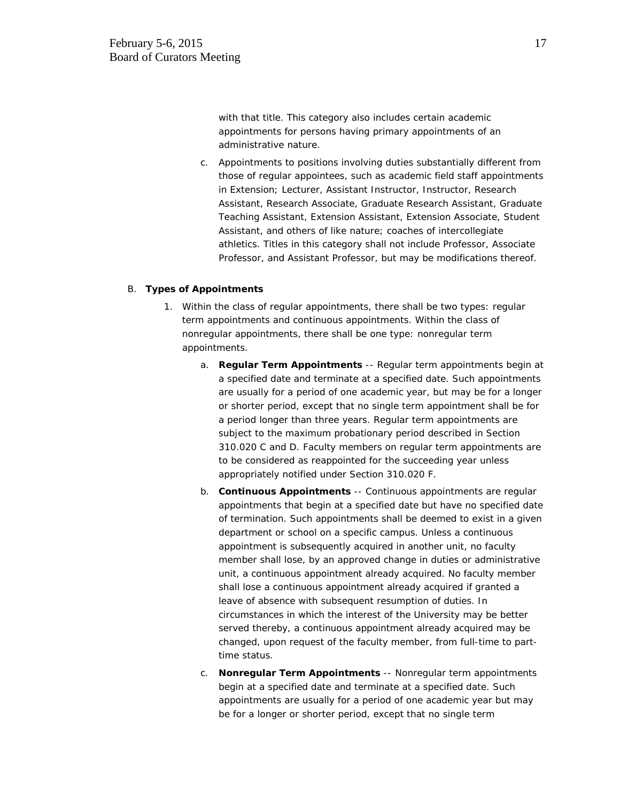with that title. This category also includes certain academic appointments for persons having primary appointments of an administrative nature.

c. Appointments to positions involving duties substantially different from those of regular appointees, such as academic field staff appointments in Extension; Lecturer, Assistant Instructor, Instructor, Research Assistant, Research Associate, Graduate Research Assistant, Graduate Teaching Assistant, Extension Assistant, Extension Associate, Student Assistant, and others of like nature; coaches of intercollegiate athletics. Titles in this category shall not include Professor, Associate Professor, and Assistant Professor, but may be modifications thereof.

#### B. **Types of Appointments**

- 1. Within the class of regular appointments, there shall be two types: regular term appointments and continuous appointments. Within the class of nonregular appointments, there shall be one type: nonregular term appointments.
	- a. **Regular Term Appointments** -- Regular term appointments begin at a specified date and terminate at a specified date. Such appointments are usually for a period of one academic year, but may be for a longer or shorter period, except that no single term appointment shall be for a period longer than three years. Regular term appointments are subject to the maximum probationary period described in Section 310.020 C and D. Faculty members on regular term appointments are to be considered as reappointed for the succeeding year unless appropriately notified under Section 310.020 F.
	- b. **Continuous Appointments** -- Continuous appointments are regular appointments that begin at a specified date but have no specified date of termination. Such appointments shall be deemed to exist in a given department or school on a specific campus. Unless a continuous appointment is subsequently acquired in another unit, no faculty member shall lose, by an approved change in duties or administrative unit, a continuous appointment already acquired. No faculty member shall lose a continuous appointment already acquired if granted a leave of absence with subsequent resumption of duties. In circumstances in which the interest of the University may be better served thereby, a continuous appointment already acquired may be changed, upon request of the faculty member, from full-time to parttime status.
	- c. **Nonregular Term Appointments** -- Nonregular term appointments begin at a specified date and terminate at a specified date. Such appointments are usually for a period of one academic year but may be for a longer or shorter period, except that no single term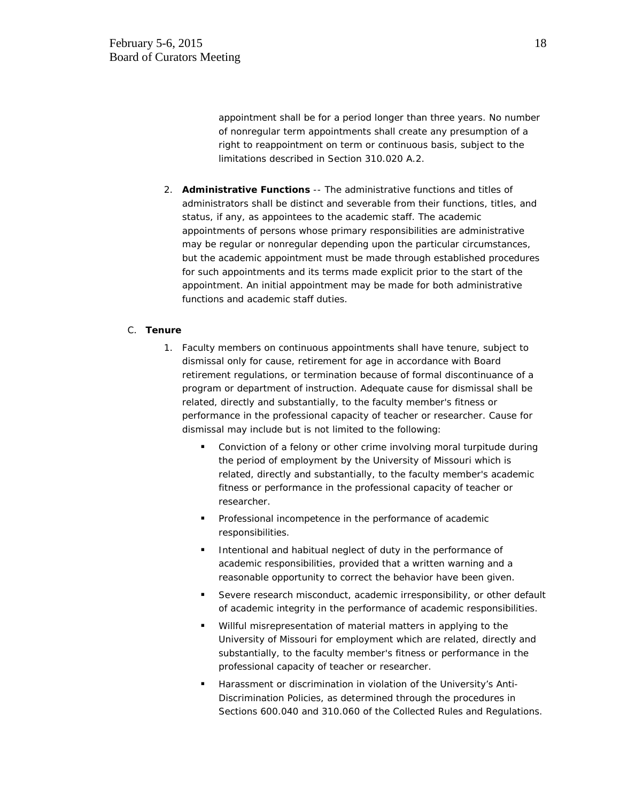appointment shall be for a period longer than three years. No number of nonregular term appointments shall create any presumption of a right to reappointment on term or continuous basis, subject to the limitations described in Section 310.020 A.2.

2. **Administrative Functions** -- The administrative functions and titles of administrators shall be distinct and severable from their functions, titles, and status, if any, as appointees to the academic staff. The academic appointments of persons whose primary responsibilities are administrative may be regular or nonregular depending upon the particular circumstances, but the academic appointment must be made through established procedures for such appointments and its terms made explicit prior to the start of the appointment. An initial appointment may be made for both administrative functions and academic staff duties.

# C. **Tenure**

- 1. Faculty members on continuous appointments shall have tenure, subject to dismissal only for cause, retirement for age in accordance with Board retirement regulations, or termination because of formal discontinuance of a program or department of instruction. Adequate cause for dismissal shall be related, directly and substantially, to the faculty member's fitness or performance in the professional capacity of teacher or researcher. Cause for dismissal may include but is not limited to the following:
	- **•** Conviction of a felony or other crime involving moral turpitude during the period of employment by the University of Missouri which is related, directly and substantially, to the faculty member's academic fitness or performance in the professional capacity of teacher or researcher.
	- Professional incompetence in the performance of academic responsibilities.
	- Intentional and habitual neglect of duty in the performance of academic responsibilities, provided that a written warning and a reasonable opportunity to correct the behavior have been given.
	- **Severe research misconduct, academic irresponsibility, or other default** of academic integrity in the performance of academic responsibilities.
	- Willful misrepresentation of material matters in applying to the University of Missouri for employment which are related, directly and substantially, to the faculty member's fitness or performance in the professional capacity of teacher or researcher.
	- **Harassment or discrimination in violation of the University's Anti-**Discrimination Policies, as determined through the procedures in Sections 600.040 and 310.060 of the Collected Rules and Regulations.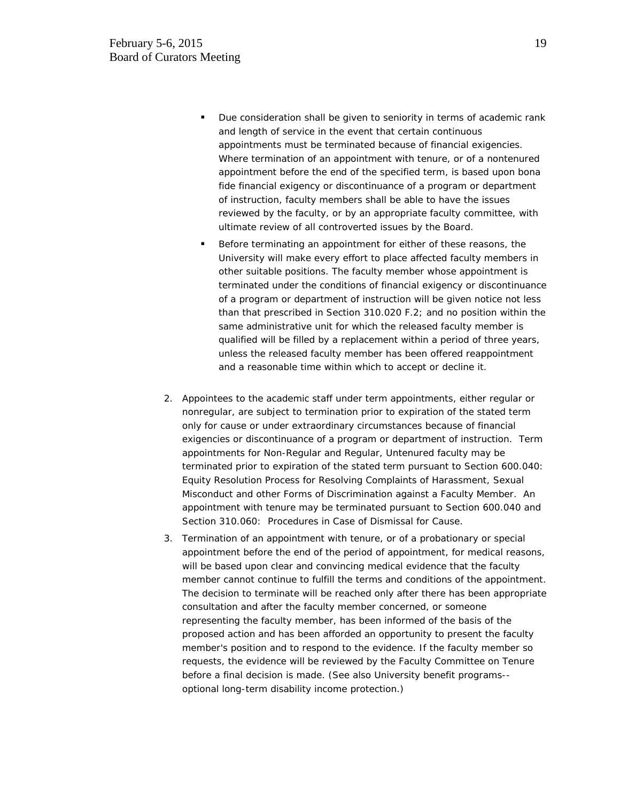- **Due consideration shall be given to seniority in terms of academic rank** and length of service in the event that certain continuous appointments must be terminated because of financial exigencies. Where termination of an appointment with tenure, or of a nontenured appointment before the end of the specified term, is based upon bona fide financial exigency or discontinuance of a program or department of instruction, faculty members shall be able to have the issues reviewed by the faculty, or by an appropriate faculty committee, with ultimate review of all controverted issues by the Board.
- Before terminating an appointment for either of these reasons, the University will make every effort to place affected faculty members in other suitable positions. The faculty member whose appointment is terminated under the conditions of financial exigency or discontinuance of a program or department of instruction will be given notice not less than that prescribed in Section 310.020 F.2; and no position within the same administrative unit for which the released faculty member is qualified will be filled by a replacement within a period of three years, unless the released faculty member has been offered reappointment and a reasonable time within which to accept or decline it.
- 2. Appointees to the academic staff under term appointments, either regular or nonregular, are subject to termination prior to expiration of the stated term only for cause or under extraordinary circumstances because of financial exigencies or discontinuance of a program or department of instruction. Term appointments for Non-Regular and Regular, Untenured faculty may be terminated prior to expiration of the stated term pursuant to Section 600.040: Equity Resolution Process for Resolving Complaints of Harassment, Sexual Misconduct and other Forms of Discrimination against a Faculty Member. An appointment with tenure may be terminated pursuant to Section 600.040 and Section 310.060: Procedures in Case of Dismissal for Cause.
- 3. Termination of an appointment with tenure, or of a probationary or special appointment before the end of the period of appointment, for medical reasons, will be based upon clear and convincing medical evidence that the faculty member cannot continue to fulfill the terms and conditions of the appointment. The decision to terminate will be reached only after there has been appropriate consultation and after the faculty member concerned, or someone representing the faculty member, has been informed of the basis of the proposed action and has been afforded an opportunity to present the faculty member's position and to respond to the evidence. If the faculty member so requests, the evidence will be reviewed by the Faculty Committee on Tenure before a final decision is made. (See also University benefit programs- optional long-term disability income protection.)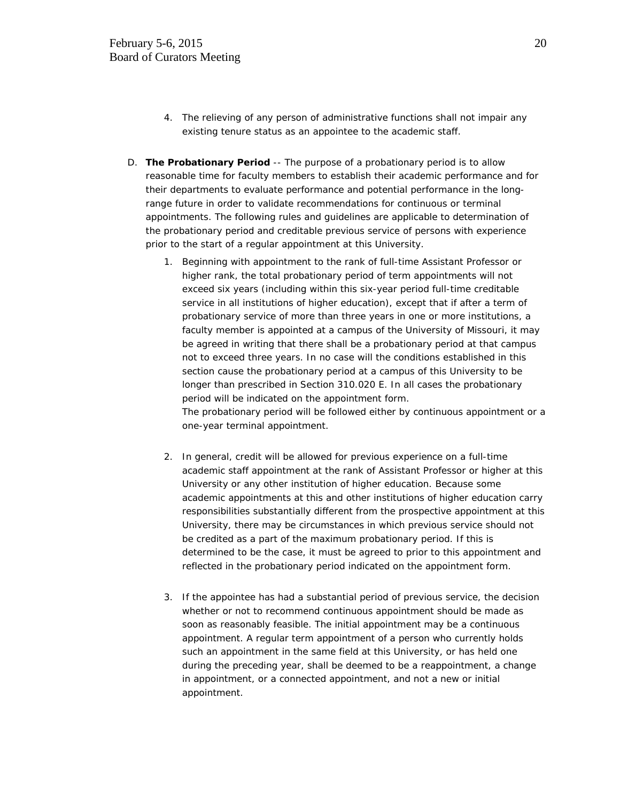- 4. The relieving of any person of administrative functions shall not impair any existing tenure status as an appointee to the academic staff.
- D. **The Probationary Period** -- The purpose of a probationary period is to allow reasonable time for faculty members to establish their academic performance and for their departments to evaluate performance and potential performance in the longrange future in order to validate recommendations for continuous or terminal appointments. The following rules and guidelines are applicable to determination of the probationary period and creditable previous service of persons with experience prior to the start of a regular appointment at this University.
	- 1. Beginning with appointment to the rank of full-time Assistant Professor or higher rank, the total probationary period of term appointments will not exceed six years (including within this six-year period full-time creditable service in all institutions of higher education), except that if after a term of probationary service of more than three years in one or more institutions, a faculty member is appointed at a campus of the University of Missouri, it may be agreed in writing that there shall be a probationary period at that campus not to exceed three years. In no case will the conditions established in this section cause the probationary period at a campus of this University to be longer than prescribed in Section 310.020 E. In all cases the probationary period will be indicated on the appointment form. The probationary period will be followed either by continuous appointment or a one-year terminal appointment.
	- 2. In general, credit will be allowed for previous experience on a full-time academic staff appointment at the rank of Assistant Professor or higher at this University or any other institution of higher education. Because some academic appointments at this and other institutions of higher education carry responsibilities substantially different from the prospective appointment at this University, there may be circumstances in which previous service should not be credited as a part of the maximum probationary period. If this is determined to be the case, it must be agreed to prior to this appointment and reflected in the probationary period indicated on the appointment form.
	- 3. If the appointee has had a substantial period of previous service, the decision whether or not to recommend continuous appointment should be made as soon as reasonably feasible. The initial appointment may be a continuous appointment. A regular term appointment of a person who currently holds such an appointment in the same field at this University, or has held one during the preceding year, shall be deemed to be a reappointment, a change in appointment, or a connected appointment, and not a new or initial appointment.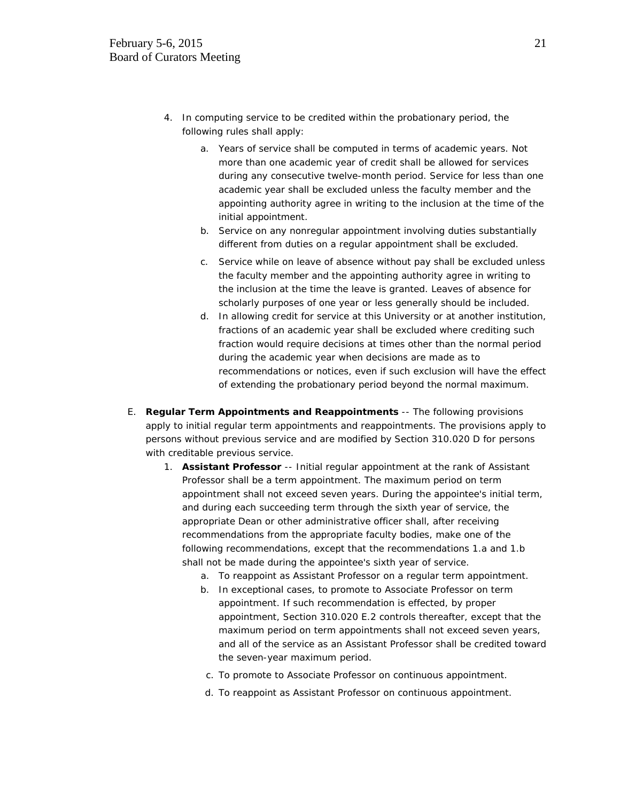- 4. In computing service to be credited within the probationary period, the following rules shall apply:
	- a. Years of service shall be computed in terms of academic years. Not more than one academic year of credit shall be allowed for services during any consecutive twelve-month period. Service for less than one academic year shall be excluded unless the faculty member and the appointing authority agree in writing to the inclusion at the time of the initial appointment.
	- b. Service on any nonregular appointment involving duties substantially different from duties on a regular appointment shall be excluded.
	- c. Service while on leave of absence without pay shall be excluded unless the faculty member and the appointing authority agree in writing to the inclusion at the time the leave is granted. Leaves of absence for scholarly purposes of one year or less generally should be included.
	- d. In allowing credit for service at this University or at another institution, fractions of an academic year shall be excluded where crediting such fraction would require decisions at times other than the normal period during the academic year when decisions are made as to recommendations or notices, even if such exclusion will have the effect of extending the probationary period beyond the normal maximum.
- E. **Regular Term Appointments and Reappointments** -- The following provisions apply to initial regular term appointments and reappointments. The provisions apply to persons without previous service and are modified by Section 310.020 D for persons with creditable previous service.
	- 1. **Assistant Professor** -- Initial regular appointment at the rank of Assistant Professor shall be a term appointment. The maximum period on term appointment shall not exceed seven years. During the appointee's initial term, and during each succeeding term through the sixth year of service, the appropriate Dean or other administrative officer shall, after receiving recommendations from the appropriate faculty bodies, make one of the following recommendations, except that the recommendations 1.a and 1.b shall not be made during the appointee's sixth year of service.
		- a. To reappoint as Assistant Professor on a regular term appointment.
		- b. In exceptional cases, to promote to Associate Professor on term appointment. If such recommendation is effected, by proper appointment, Section 310.020 E.2 controls thereafter, except that the maximum period on term appointments shall not exceed seven years, and all of the service as an Assistant Professor shall be credited toward the seven-year maximum period.
		- c. To promote to Associate Professor on continuous appointment.
		- d. To reappoint as Assistant Professor on continuous appointment.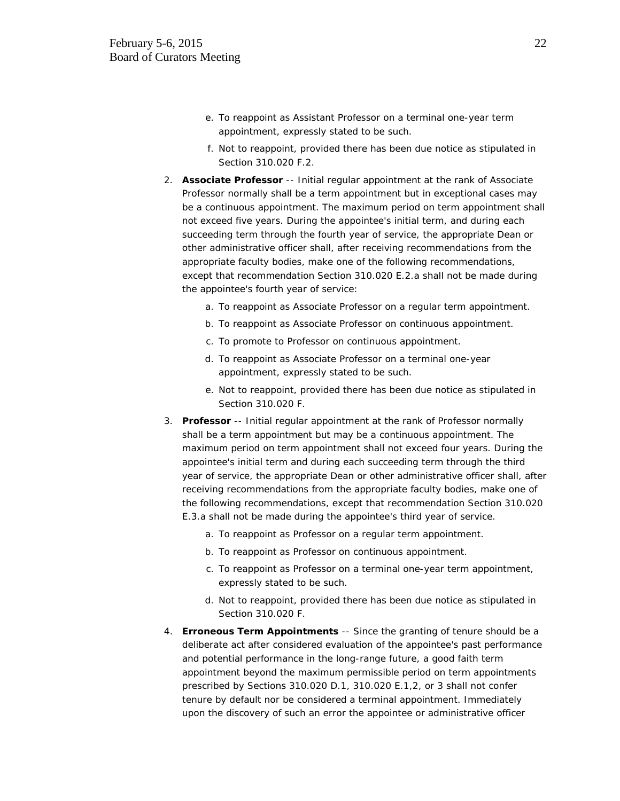- e. To reappoint as Assistant Professor on a terminal one-year term appointment, expressly stated to be such.
- f. Not to reappoint, provided there has been due notice as stipulated in Section 310.020 F.2.
- 2. **Associate Professor** -- Initial regular appointment at the rank of Associate Professor normally shall be a term appointment but in exceptional cases may be a continuous appointment. The maximum period on term appointment shall not exceed five years. During the appointee's initial term, and during each succeeding term through the fourth year of service, the appropriate Dean or other administrative officer shall, after receiving recommendations from the appropriate faculty bodies, make one of the following recommendations, except that recommendation Section 310.020 E.2.a shall not be made during the appointee's fourth year of service:
	- a. To reappoint as Associate Professor on a regular term appointment.
	- b. To reappoint as Associate Professor on continuous appointment.
	- c. To promote to Professor on continuous appointment.
	- d. To reappoint as Associate Professor on a terminal one-year appointment, expressly stated to be such.
	- e. Not to reappoint, provided there has been due notice as stipulated in Section 310.020 F.
- 3. **Professor** -- Initial regular appointment at the rank of Professor normally shall be a term appointment but may be a continuous appointment. The maximum period on term appointment shall not exceed four years. During the appointee's initial term and during each succeeding term through the third year of service, the appropriate Dean or other administrative officer shall, after receiving recommendations from the appropriate faculty bodies, make one of the following recommendations, except that recommendation Section 310.020 E.3.a shall not be made during the appointee's third year of service.
	- a. To reappoint as Professor on a regular term appointment.
	- b. To reappoint as Professor on continuous appointment.
	- c. To reappoint as Professor on a terminal one-year term appointment, expressly stated to be such.
	- d. Not to reappoint, provided there has been due notice as stipulated in Section 310.020 F.
- 4. **Erroneous Term Appointments** -- Since the granting of tenure should be a deliberate act after considered evaluation of the appointee's past performance and potential performance in the long-range future, a good faith term appointment beyond the maximum permissible period on term appointments prescribed by Sections 310.020 D.1, 310.020 E.1,2, or 3 shall not confer tenure by default nor be considered a terminal appointment. Immediately upon the discovery of such an error the appointee or administrative officer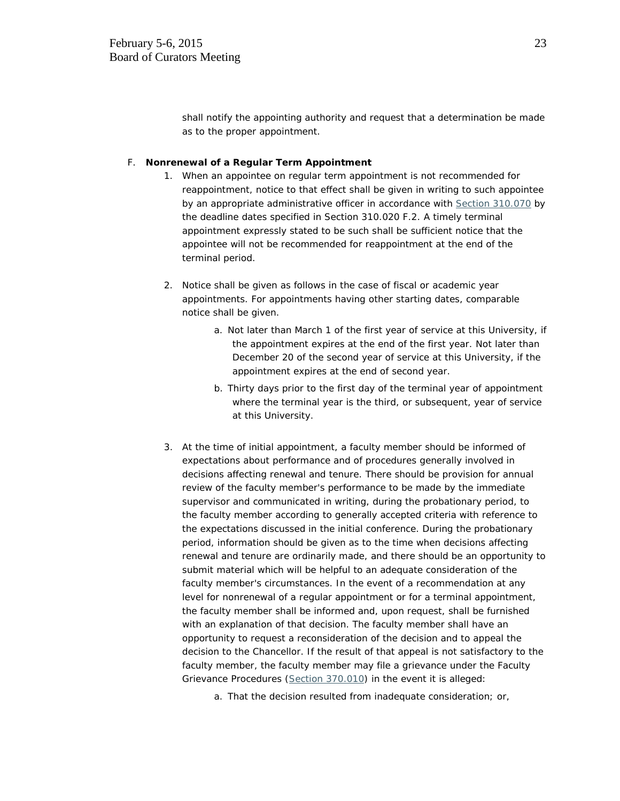shall notify the appointing authority and request that a determination be made as to the proper appointment.

#### F. **Nonrenewal of a Regular Term Appointment**

- 1. When an appointee on regular term appointment is not recommended for reappointment, notice to that effect shall be given in writing to such appointee by an appropriate administrative officer in accordance with [Section 310.070](http://www.umsystem.edu/ums/departments/gc/rules/bylaws/310/070.shtml) by the deadline dates specified in Section 310.020 F.2. A timely terminal appointment expressly stated to be such shall be sufficient notice that the appointee will not be recommended for reappointment at the end of the terminal period.
- 2. Notice shall be given as follows in the case of fiscal or academic year appointments. For appointments having other starting dates, comparable notice shall be given.
	- a. Not later than March 1 of the first year of service at this University, if the appointment expires at the end of the first year. Not later than December 20 of the second year of service at this University, if the appointment expires at the end of second year.
	- b. Thirty days prior to the first day of the terminal year of appointment where the terminal year is the third, or subsequent, year of service at this University.
- 3. At the time of initial appointment, a faculty member should be informed of expectations about performance and of procedures generally involved in decisions affecting renewal and tenure. There should be provision for annual review of the faculty member's performance to be made by the immediate supervisor and communicated in writing, during the probationary period, to the faculty member according to generally accepted criteria with reference to the expectations discussed in the initial conference. During the probationary period, information should be given as to the time when decisions affecting renewal and tenure are ordinarily made, and there should be an opportunity to submit material which will be helpful to an adequate consideration of the faculty member's circumstances. In the event of a recommendation at any level for nonrenewal of a regular appointment or for a terminal appointment, the faculty member shall be informed and, upon request, shall be furnished with an explanation of that decision. The faculty member shall have an opportunity to request a reconsideration of the decision and to appeal the decision to the Chancellor. If the result of that appeal is not satisfactory to the faculty member, the faculty member may file a grievance under the Faculty Grievance Procedures [\(Section 370.010\)](http://www.umsystem.edu/ums/departments/gc/rules/grievance/370/010.shtml) in the event it is alleged:
	- a. That the decision resulted from inadequate consideration; or,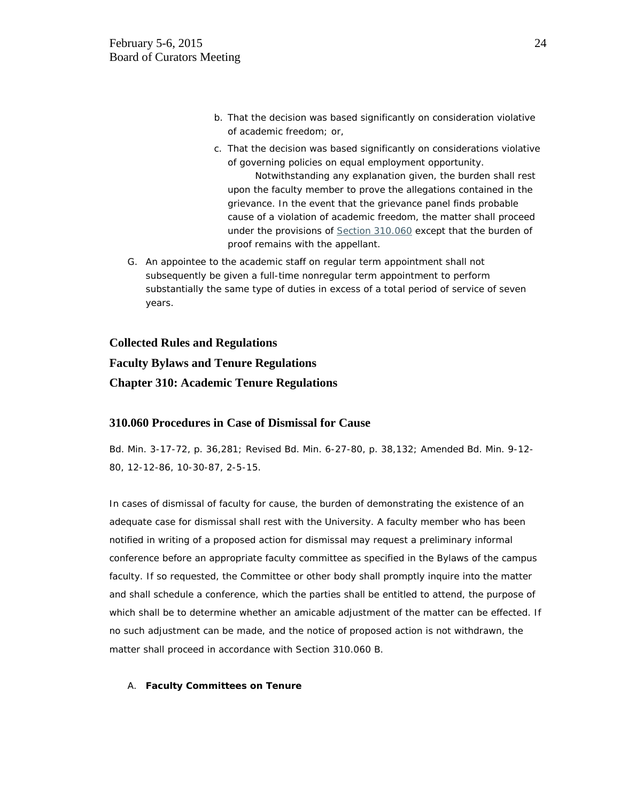- b. That the decision was based significantly on consideration violative of academic freedom; or,
- c. That the decision was based significantly on considerations violative of governing policies on equal employment opportunity.

Notwithstanding any explanation given, the burden shall rest upon the faculty member to prove the allegations contained in the grievance. In the event that the grievance panel finds probable cause of a violation of academic freedom, the matter shall proceed under the provisions of [Section 310.060](http://www.umsystem.edu/ums/departments/gc/rules/bylaws/310/060.shtml) except that the burden of proof remains with the appellant.

G. An appointee to the academic staff on regular term appointment shall not subsequently be given a full-time nonregular term appointment to perform substantially the same type of duties in excess of a total period of service of seven years.

#### **Collected Rules and Regulations**

# **Faculty Bylaws and Tenure Regulations**

## **Chapter 310: Academic Tenure Regulations**

## **310.060 Procedures in Case of Dismissal for Cause**

Bd. Min. 3-17-72, p. 36,281; Revised Bd. Min. 6-27-80, p. 38,132; Amended Bd. Min. 9-12- 80, 12-12-86, 10-30-87, 2-5-15.

In cases of dismissal of faculty for cause, the burden of demonstrating the existence of an adequate case for dismissal shall rest with the University. A faculty member who has been notified in writing of a proposed action for dismissal may request a preliminary informal conference before an appropriate faculty committee as specified in the Bylaws of the campus faculty. If so requested, the Committee or other body shall promptly inquire into the matter and shall schedule a conference, which the parties shall be entitled to attend, the purpose of which shall be to determine whether an amicable adjustment of the matter can be effected. If no such adjustment can be made, and the notice of proposed action is not withdrawn, the matter shall proceed in accordance with Section 310.060 B.

#### A. **Faculty Committees on Tenure**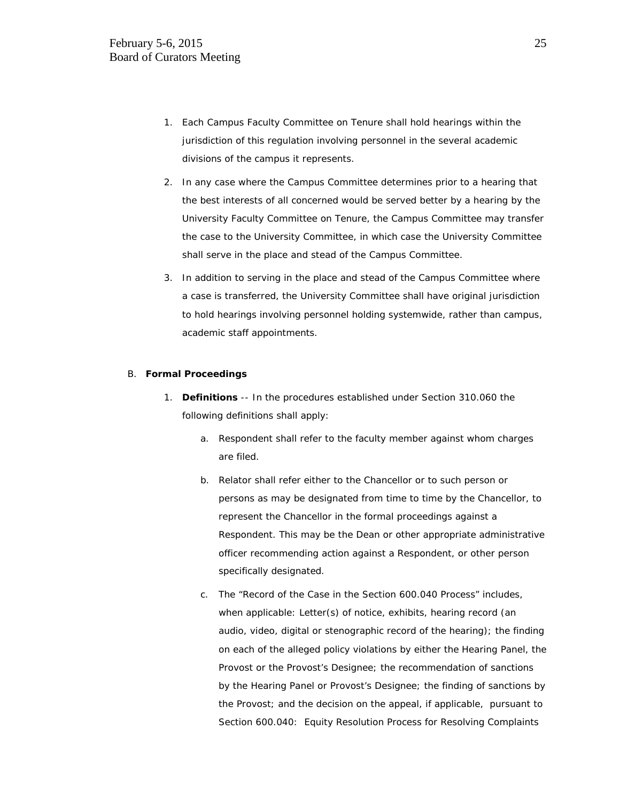- 1. Each Campus Faculty Committee on Tenure shall hold hearings within the jurisdiction of this regulation involving personnel in the several academic divisions of the campus it represents.
- 2. In any case where the Campus Committee determines prior to a hearing that the best interests of all concerned would be served better by a hearing by the University Faculty Committee on Tenure, the Campus Committee may transfer the case to the University Committee, in which case the University Committee shall serve in the place and stead of the Campus Committee.
- 3. In addition to serving in the place and stead of the Campus Committee where a case is transferred, the University Committee shall have original jurisdiction to hold hearings involving personnel holding systemwide, rather than campus, academic staff appointments.

#### B. **Formal Proceedings**

- 1. **Definitions** -- In the procedures established under Section 310.060 the following definitions shall apply:
	- a. Respondent shall refer to the faculty member against whom charges are filed.
	- b. Relator shall refer either to the Chancellor or to such person or persons as may be designated from time to time by the Chancellor, to represent the Chancellor in the formal proceedings against a Respondent. This may be the Dean or other appropriate administrative officer recommending action against a Respondent, or other person specifically designated.
	- c. The "Record of the Case in the Section 600.040 Process" includes, when applicable: Letter(s) of notice, exhibits, hearing record (an audio, video, digital or stenographic record of the hearing); the finding on each of the alleged policy violations by either the Hearing Panel, the Provost or the Provost's Designee; the recommendation of sanctions by the Hearing Panel or Provost's Designee; the finding of sanctions by the Provost; and the decision on the appeal, if applicable, pursuant to Section 600.040: *Equity Resolution Process for Resolving Complaints*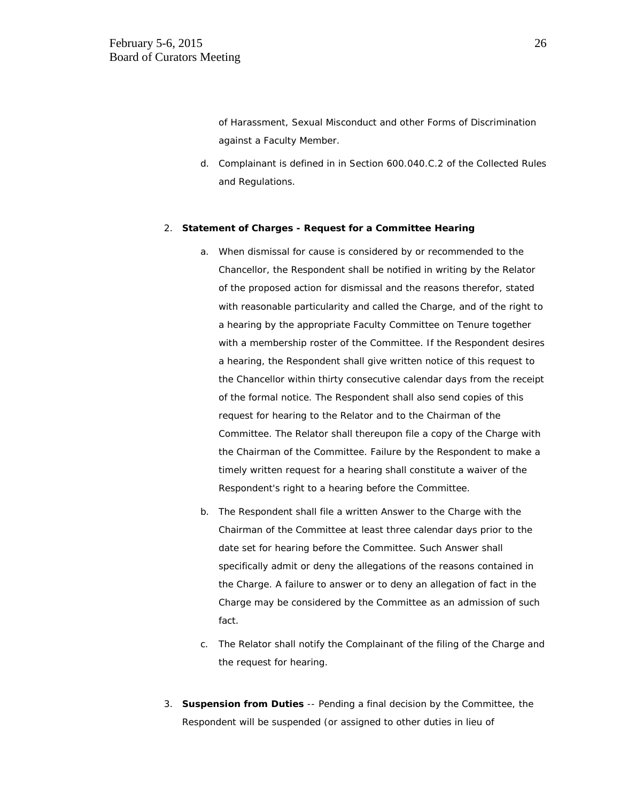*of Harassment, Sexual Misconduct and other Forms of Discrimination against a Faculty Member*.

d. Complainant is defined in in Section 600.040.C.2 of the Collected Rules and Regulations.

#### 2. **Statement of Charges - Request for a Committee Hearing**

- a. When dismissal for cause is considered by or recommended to the Chancellor, the Respondent shall be notified in writing by the Relator of the proposed action for dismissal and the reasons therefor, stated with reasonable particularity and called the Charge, and of the right to a hearing by the appropriate Faculty Committee on Tenure together with a membership roster of the Committee. If the Respondent desires a hearing, the Respondent shall give written notice of this request to the Chancellor within thirty consecutive calendar days from the receipt of the formal notice. The Respondent shall also send copies of this request for hearing to the Relator and to the Chairman of the Committee. The Relator shall thereupon file a copy of the Charge with the Chairman of the Committee. Failure by the Respondent to make a timely written request for a hearing shall constitute a waiver of the Respondent's right to a hearing before the Committee.
- b. The Respondent shall file a written Answer to the Charge with the Chairman of the Committee at least three calendar days prior to the date set for hearing before the Committee. Such Answer shall specifically admit or deny the allegations of the reasons contained in the Charge. A failure to answer or to deny an allegation of fact in the Charge may be considered by the Committee as an admission of such fact.
- c. The Relator shall notify the Complainant of the filing of the Charge and the request for hearing.
- 3. **Suspension from Duties** -- Pending a final decision by the Committee, the Respondent will be suspended (or assigned to other duties in lieu of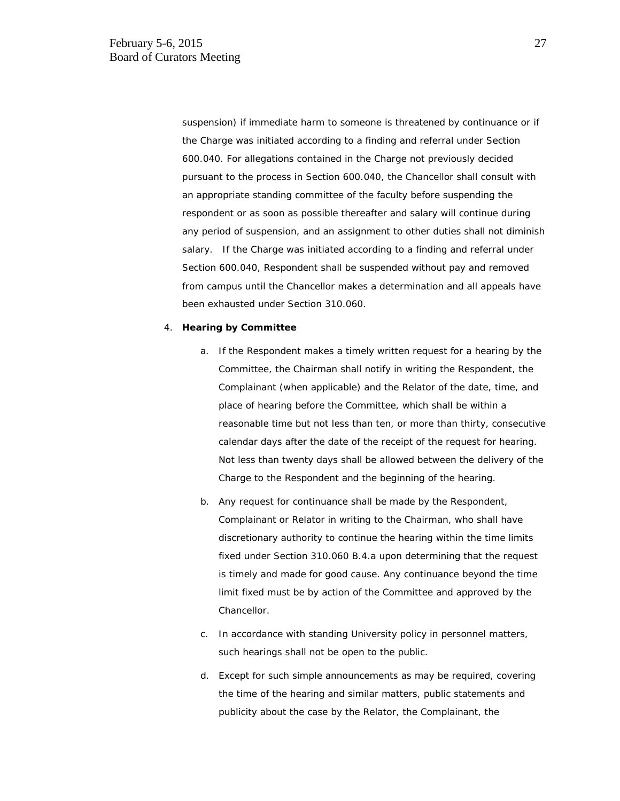suspension) if immediate harm to someone is threatened by continuance or if the Charge was initiated according to a finding and referral under Section 600.040. For allegations contained in the Charge not previously decided pursuant to the process in Section 600.040, the Chancellor shall consult with an appropriate standing committee of the faculty before suspending the respondent or as soon as possible thereafter and salary will continue during any period of suspension, and an assignment to other duties shall not diminish salary. If the Charge was initiated according to a finding and referral under Section 600.040, Respondent shall be suspended without pay and removed from campus until the Chancellor makes a determination and all appeals have been exhausted under Section 310.060.

#### 4. **Hearing by Committee**

- a. If the Respondent makes a timely written request for a hearing by the Committee, the Chairman shall notify in writing the Respondent, the Complainant (when applicable) and the Relator of the date, time, and place of hearing before the Committee, which shall be within a reasonable time but not less than ten, or more than thirty, consecutive calendar days after the date of the receipt of the request for hearing. Not less than twenty days shall be allowed between the delivery of the Charge to the Respondent and the beginning of the hearing.
- b. Any request for continuance shall be made by the Respondent, Complainant or Relator in writing to the Chairman, who shall have discretionary authority to continue the hearing within the time limits fixed under Section 310.060 B.4.a upon determining that the request is timely and made for good cause. Any continuance beyond the time limit fixed must be by action of the Committee and approved by the Chancellor.
- c. In accordance with standing University policy in personnel matters, such hearings shall not be open to the public.
- d. Except for such simple announcements as may be required, covering the time of the hearing and similar matters, public statements and publicity about the case by the Relator, the Complainant, the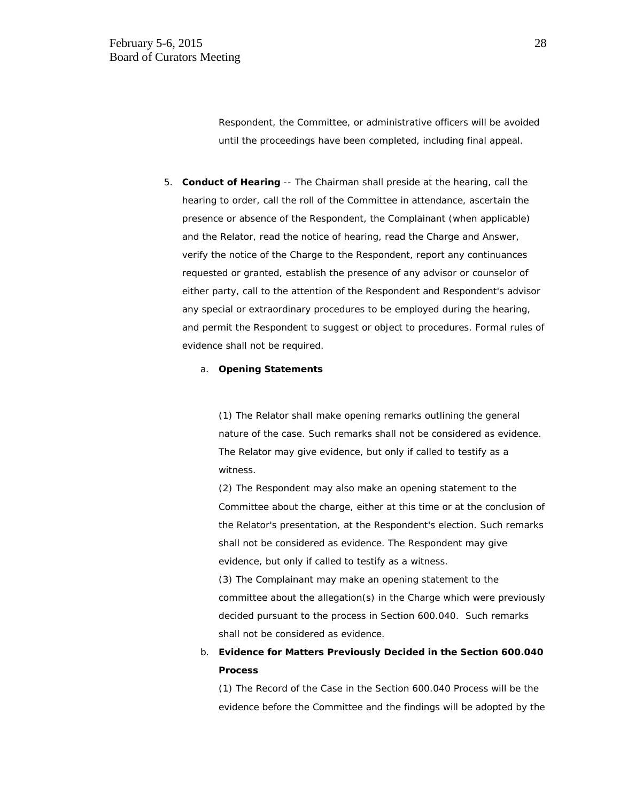Respondent, the Committee, or administrative officers will be avoided until the proceedings have been completed, including final appeal.

5. **Conduct of Hearing** -- The Chairman shall preside at the hearing, call the hearing to order, call the roll of the Committee in attendance, ascertain the presence or absence of the Respondent, the Complainant (when applicable) and the Relator, read the notice of hearing, read the Charge and Answer, verify the notice of the Charge to the Respondent, report any continuances requested or granted, establish the presence of any advisor or counselor of either party, call to the attention of the Respondent and Respondent's advisor any special or extraordinary procedures to be employed during the hearing, and permit the Respondent to suggest or object to procedures. Formal rules of evidence shall not be required.

#### a. **Opening Statements**

(1) The Relator shall make opening remarks outlining the general nature of the case. Such remarks shall not be considered as evidence. The Relator may give evidence, but only if called to testify as a witness.

(2) The Respondent may also make an opening statement to the Committee about the charge, either at this time or at the conclusion of the Relator's presentation, at the Respondent's election. Such remarks shall not be considered as evidence. The Respondent may give evidence, but only if called to testify as a witness.

(3) The Complainant may make an opening statement to the committee about the allegation(s) in the Charge which were previously decided pursuant to the process in Section 600.040. Such remarks shall not be considered as evidence.

# b. **Evidence for Matters Previously Decided in the Section 600.040 Process**

(1) The Record of the Case in the Section 600.040 Process will be the evidence before the Committee and the findings will be adopted by the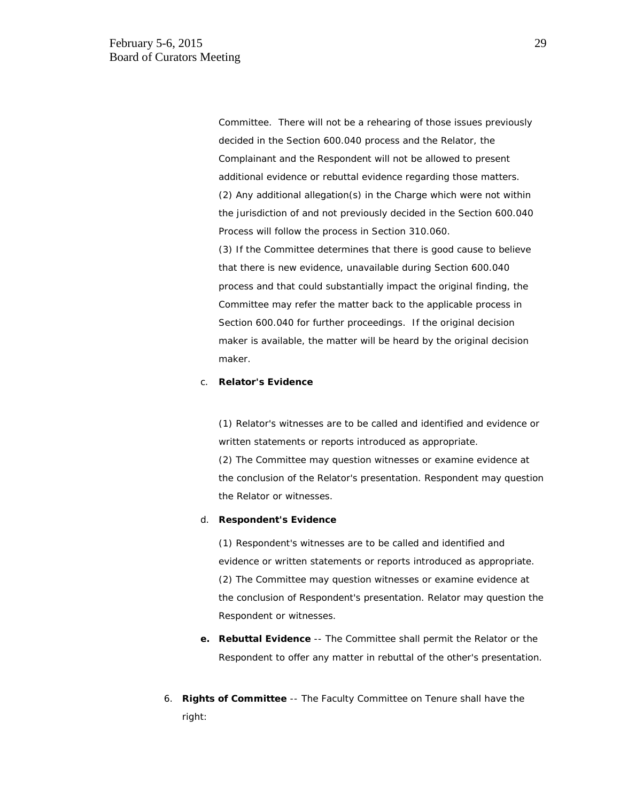Committee. There will not be a rehearing of those issues previously decided in the Section 600.040 process and the Relator, the Complainant and the Respondent will not be allowed to present additional evidence or rebuttal evidence regarding those matters. (2) Any additional allegation(s) in the Charge which were not within the jurisdiction of and not previously decided in the Section 600.040 Process will follow the process in Section 310.060. (3) If the Committee determines that there is good cause to believe that there is new evidence, unavailable during Section 600.040 process and that could substantially impact the original finding, the Committee may refer the matter back to the applicable process in Section 600.040 for further proceedings. If the original decision maker is available, the matter will be heard by the original decision

#### c. **Relator's Evidence**

maker.

(1) Relator's witnesses are to be called and identified and evidence or written statements or reports introduced as appropriate. (2) The Committee may question witnesses or examine evidence at the conclusion of the Relator's presentation. Respondent may question the Relator or witnesses.

#### d. **Respondent's Evidence**

(1) Respondent's witnesses are to be called and identified and evidence or written statements or reports introduced as appropriate. (2) The Committee may question witnesses or examine evidence at the conclusion of Respondent's presentation. Relator may question the Respondent or witnesses.

- **e. Rebuttal Evidence** -- The Committee shall permit the Relator or the Respondent to offer any matter in rebuttal of the other's presentation.
- 6. **Rights of Committee** -- The Faculty Committee on Tenure shall have the right: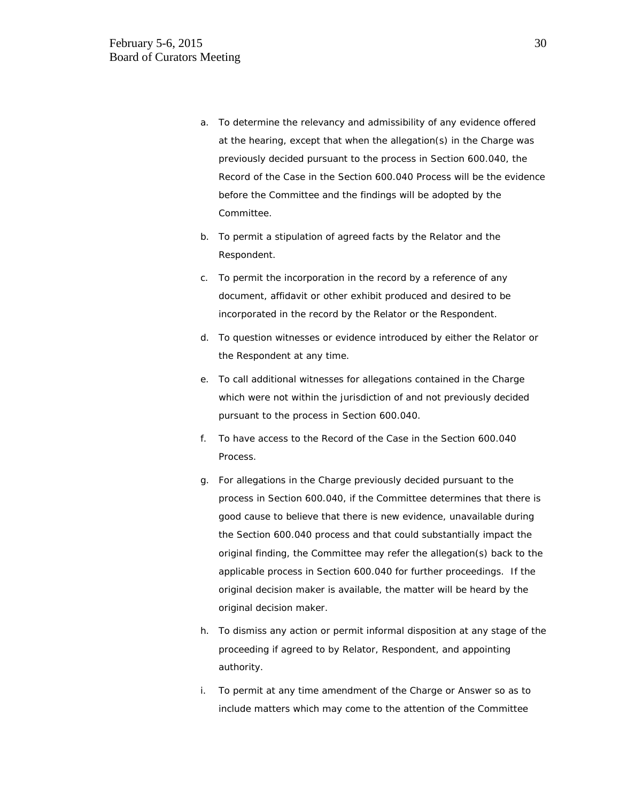- a. To determine the relevancy and admissibility of any evidence offered at the hearing, except that when the allegation(s) in the Charge was previously decided pursuant to the process in Section 600.040, the Record of the Case in the Section 600.040 Process will be the evidence before the Committee and the findings will be adopted by the Committee.
- b. To permit a stipulation of agreed facts by the Relator and the Respondent.
- c. To permit the incorporation in the record by a reference of any document, affidavit or other exhibit produced and desired to be incorporated in the record by the Relator or the Respondent.
- d. To question witnesses or evidence introduced by either the Relator or the Respondent at any time.
- e. To call additional witnesses for allegations contained in the Charge which were not within the jurisdiction of and not previously decided pursuant to the process in Section 600.040.
- f. To have access to the Record of the Case in the Section 600.040 Process.
- g. For allegations in the Charge previously decided pursuant to the process in Section 600.040, if the Committee determines that there is good cause to believe that there is new evidence, unavailable during the Section 600.040 process and that could substantially impact the original finding, the Committee may refer the allegation(s) back to the applicable process in Section 600.040 for further proceedings. If the original decision maker is available, the matter will be heard by the original decision maker.
- h. To dismiss any action or permit informal disposition at any stage of the proceeding if agreed to by Relator, Respondent, and appointing authority.
- i. To permit at any time amendment of the Charge or Answer so as to include matters which may come to the attention of the Committee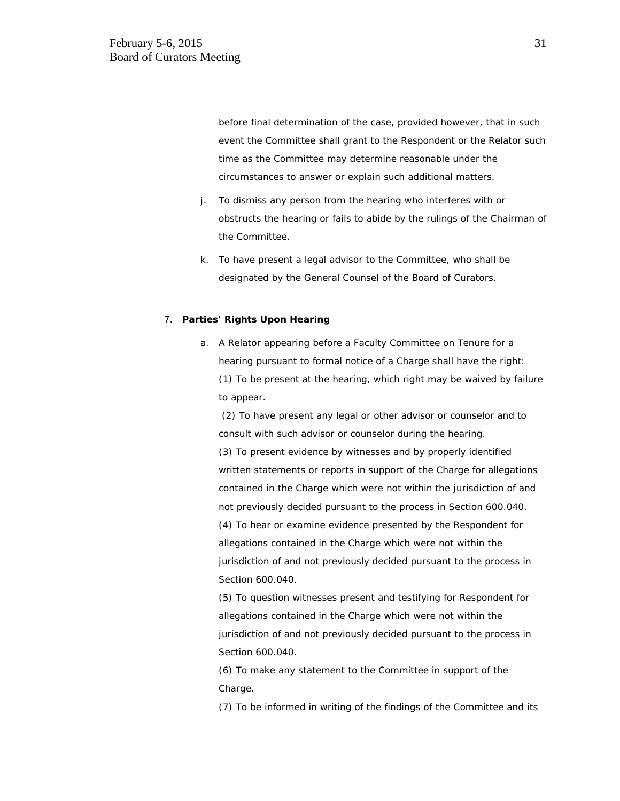before final determination of the case, provided however, that in such event the Committee shall grant to the Respondent or the Relator such time as the Committee may determine reasonable under the circumstances to answer or explain such additional matters.

- j. To dismiss any person from the hearing who interferes with or obstructs the hearing or fails to abide by the rulings of the Chairman of the Committee.
- k. To have present a legal advisor to the Committee, who shall be designated by the General Counsel of the Board of Curators.

#### 7. **Parties' Rights Upon Hearing**

a. A Relator appearing before a Faculty Committee on Tenure for a hearing pursuant to formal notice of a Charge shall have the right: (1) To be present at the hearing, which right may be waived by failure to appear.

(2) To have present any legal or other advisor or counselor and to consult with such advisor or counselor during the hearing.

(3) To present evidence by witnesses and by properly identified written statements or reports in support of the Charge for allegations contained in the Charge which were not within the jurisdiction of and not previously decided pursuant to the process in Section 600.040. (4) To hear or examine evidence presented by the Respondent for allegations contained in the Charge which were not within the jurisdiction of and not previously decided pursuant to the process in Section 600.040.

(5) To question witnesses present and testifying for Respondent for allegations contained in the Charge which were not within the jurisdiction of and not previously decided pursuant to the process in Section 600.040.

(6) To make any statement to the Committee in support of the Charge.

(7) To be informed in writing of the findings of the Committee and its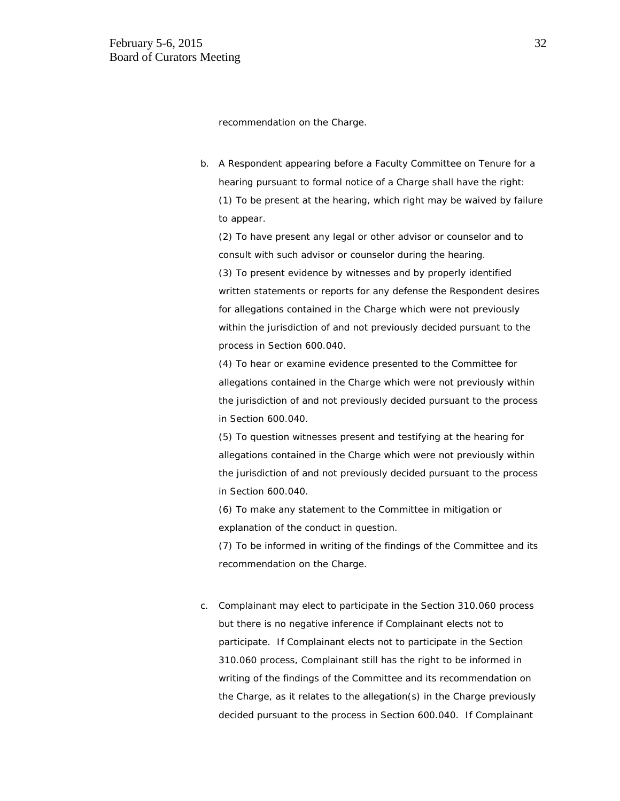recommendation on the Charge.

b. A Respondent appearing before a Faculty Committee on Tenure for a hearing pursuant to formal notice of a Charge shall have the right: (1) To be present at the hearing, which right may be waived by failure to appear.

(2) To have present any legal or other advisor or counselor and to consult with such advisor or counselor during the hearing.

(3) To present evidence by witnesses and by properly identified written statements or reports for any defense the Respondent desires for allegations contained in the Charge which were not previously within the jurisdiction of and not previously decided pursuant to the process in Section 600.040.

(4) To hear or examine evidence presented to the Committee for allegations contained in the Charge which were not previously within the jurisdiction of and not previously decided pursuant to the process in Section 600.040.

(5) To question witnesses present and testifying at the hearing for allegations contained in the Charge which were not previously within the jurisdiction of and not previously decided pursuant to the process in Section 600.040.

(6) To make any statement to the Committee in mitigation or explanation of the conduct in question.

(7) To be informed in writing of the findings of the Committee and its recommendation on the Charge.

c. Complainant may elect to participate in the Section 310.060 process but there is no negative inference if Complainant elects not to participate. If Complainant elects not to participate in the Section 310.060 process, Complainant still has the right to be informed in writing of the findings of the Committee and its recommendation on the Charge, as it relates to the allegation(s) in the Charge previously decided pursuant to the process in Section 600.040. If Complainant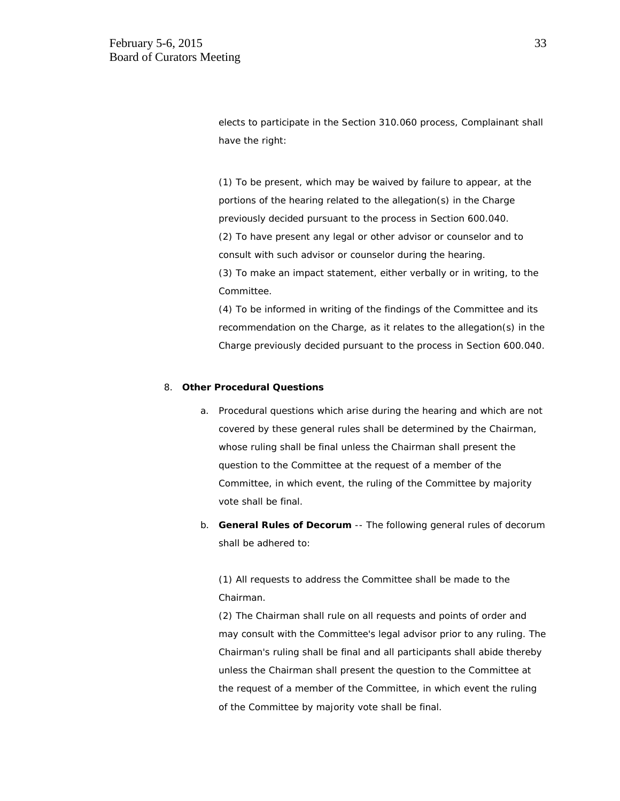elects to participate in the Section 310.060 process, Complainant shall have the right:

(1) To be present, which may be waived by failure to appear, at the portions of the hearing related to the allegation(s) in the Charge previously decided pursuant to the process in Section 600.040. (2) To have present any legal or other advisor or counselor and to consult with such advisor or counselor during the hearing. (3) To make an impact statement, either verbally or in writing, to the Committee.

(4) To be informed in writing of the findings of the Committee and its recommendation on the Charge, as it relates to the allegation(s) in the Charge previously decided pursuant to the process in Section 600.040.

#### 8. **Other Procedural Questions**

- a. Procedural questions which arise during the hearing and which are not covered by these general rules shall be determined by the Chairman, whose ruling shall be final unless the Chairman shall present the question to the Committee at the request of a member of the Committee, in which event, the ruling of the Committee by majority vote shall be final.
- b. **General Rules of Decorum** -- The following general rules of decorum shall be adhered to:

(1) All requests to address the Committee shall be made to the Chairman.

(2) The Chairman shall rule on all requests and points of order and may consult with the Committee's legal advisor prior to any ruling. The Chairman's ruling shall be final and all participants shall abide thereby unless the Chairman shall present the question to the Committee at the request of a member of the Committee, in which event the ruling of the Committee by majority vote shall be final.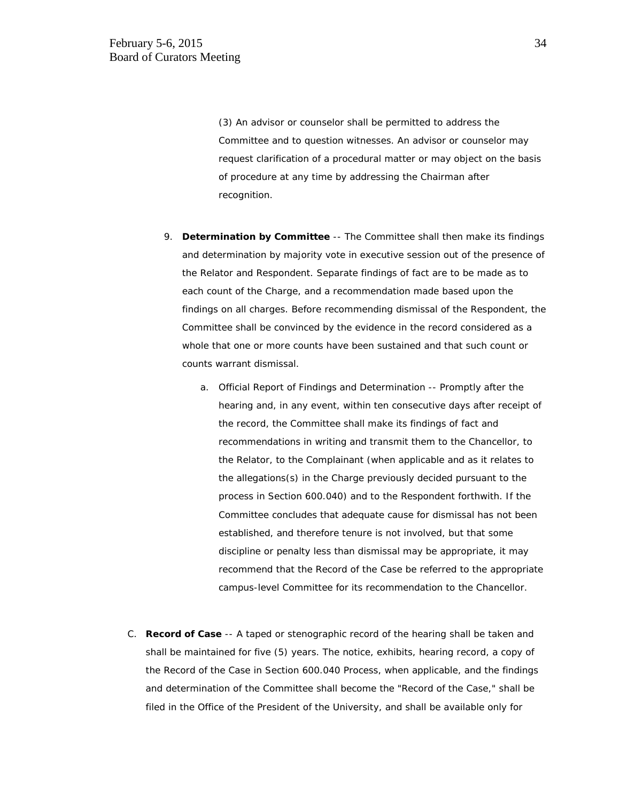(3) An advisor or counselor shall be permitted to address the Committee and to question witnesses. An advisor or counselor may request clarification of a procedural matter or may object on the basis of procedure at any time by addressing the Chairman after recognition.

- 9. **Determination by Committee** -- The Committee shall then make its findings and determination by majority vote in executive session out of the presence of the Relator and Respondent. Separate findings of fact are to be made as to each count of the Charge, and a recommendation made based upon the findings on all charges. Before recommending dismissal of the Respondent, the Committee shall be convinced by the evidence in the record considered as a whole that one or more counts have been sustained and that such count or counts warrant dismissal.
	- a. Official Report of Findings and Determination -- Promptly after the hearing and, in any event, within ten consecutive days after receipt of the record, the Committee shall make its findings of fact and recommendations in writing and transmit them to the Chancellor, to the Relator, to the Complainant (when applicable and as it relates to the allegations(s) in the Charge previously decided pursuant to the process in Section 600.040) and to the Respondent forthwith. If the Committee concludes that adequate cause for dismissal has not been established, and therefore tenure is not involved, but that some discipline or penalty less than dismissal may be appropriate, it may recommend that the Record of the Case be referred to the appropriate campus-level Committee for its recommendation to the Chancellor.
- C. **Record of Case** -- A taped or stenographic record of the hearing shall be taken and shall be maintained for five (5) years. The notice, exhibits, hearing record, a copy of the Record of the Case in Section 600.040 Process, when applicable, and the findings and determination of the Committee shall become the "Record of the Case," shall be filed in the Office of the President of the University, and shall be available only for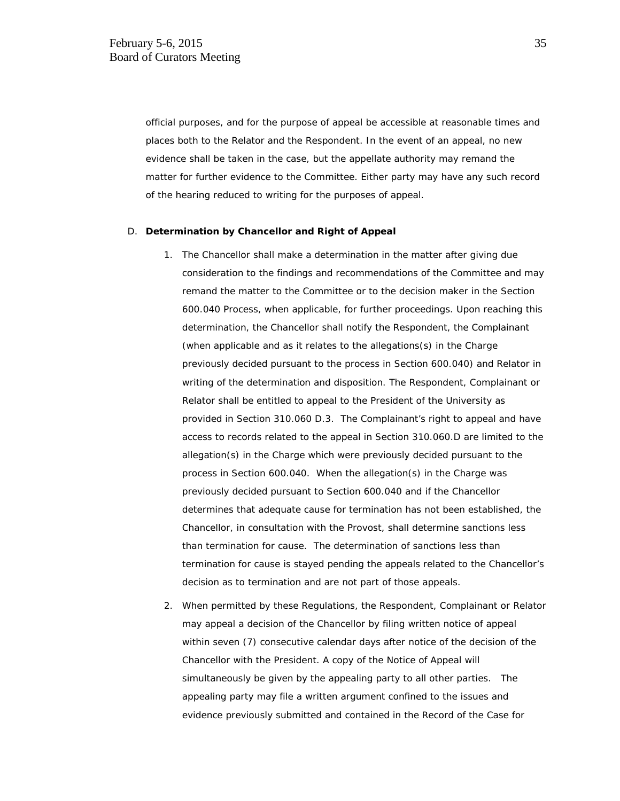official purposes, and for the purpose of appeal be accessible at reasonable times and places both to the Relator and the Respondent. In the event of an appeal, no new evidence shall be taken in the case, but the appellate authority may remand the matter for further evidence to the Committee. Either party may have any such record of the hearing reduced to writing for the purposes of appeal.

#### D. **Determination by Chancellor and Right of Appeal**

- 1. The Chancellor shall make a determination in the matter after giving due consideration to the findings and recommendations of the Committee and may remand the matter to the Committee or to the decision maker in the Section 600.040 Process, when applicable, for further proceedings. Upon reaching this determination, the Chancellor shall notify the Respondent, the Complainant (when applicable and as it relates to the allegations(s) in the Charge previously decided pursuant to the process in Section 600.040) and Relator in writing of the determination and disposition. The Respondent, Complainant or Relator shall be entitled to appeal to the President of the University as provided in Section 310.060 D.3. The Complainant's right to appeal and have access to records related to the appeal in Section 310.060.D are limited to the allegation(s) in the Charge which were previously decided pursuant to the process in Section 600.040. When the allegation(s) in the Charge was previously decided pursuant to Section 600.040 and if the Chancellor determines that adequate cause for termination has not been established, the Chancellor, in consultation with the Provost, shall determine sanctions less than termination for cause. The determination of sanctions less than termination for cause is stayed pending the appeals related to the Chancellor's decision as to termination and are not part of those appeals.
- 2. When permitted by these Regulations, the Respondent, Complainant or Relator may appeal a decision of the Chancellor by filing written notice of appeal within seven (7) consecutive calendar days after notice of the decision of the Chancellor with the President. A copy of the Notice of Appeal will simultaneously be given by the appealing party to all other parties. The appealing party may file a written argument confined to the issues and evidence previously submitted and contained in the Record of the Case for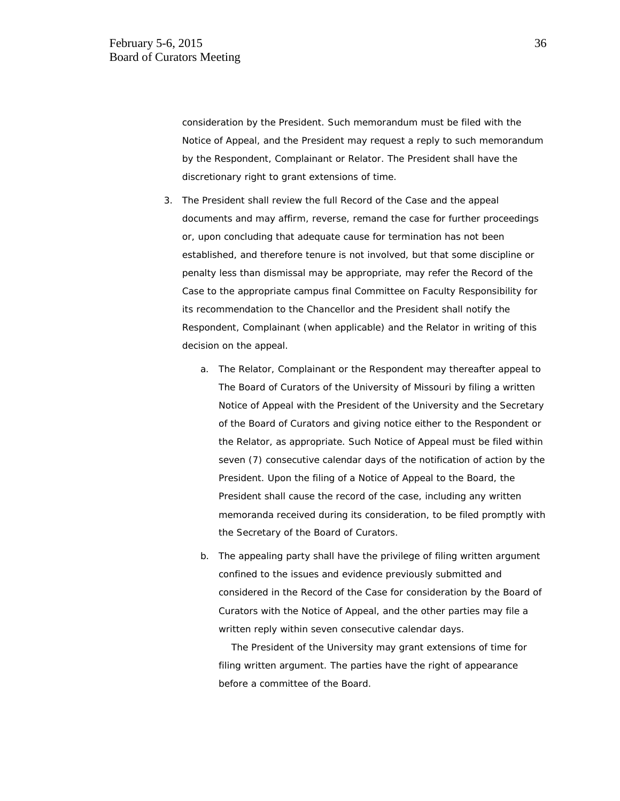consideration by the President. Such memorandum must be filed with the Notice of Appeal, and the President may request a reply to such memorandum by the Respondent, Complainant or Relator. The President shall have the discretionary right to grant extensions of time.

- 3. The President shall review the full Record of the Case and the appeal documents and may affirm, reverse, remand the case for further proceedings or, upon concluding that adequate cause for termination has not been established, and therefore tenure is not involved, but that some discipline or penalty less than dismissal may be appropriate, may refer the Record of the Case to the appropriate campus final Committee on Faculty Responsibility for its recommendation to the Chancellor and the President shall notify the Respondent, Complainant (when applicable) and the Relator in writing of this decision on the appeal.
	- a. The Relator, Complainant or the Respondent may thereafter appeal to The Board of Curators of the University of Missouri by filing a written Notice of Appeal with the President of the University and the Secretary of the Board of Curators and giving notice either to the Respondent or the Relator, as appropriate. Such Notice of Appeal must be filed within seven (7) consecutive calendar days of the notification of action by the President. Upon the filing of a Notice of Appeal to the Board, the President shall cause the record of the case, including any written memoranda received during its consideration, to be filed promptly with the Secretary of the Board of Curators.
	- b. The appealing party shall have the privilege of filing written argument confined to the issues and evidence previously submitted and considered in the Record of the Case for consideration by the Board of Curators with the Notice of Appeal, and the other parties may file a written reply within seven consecutive calendar days.

 The President of the University may grant extensions of time for filing written argument. The parties have the right of appearance before a committee of the Board.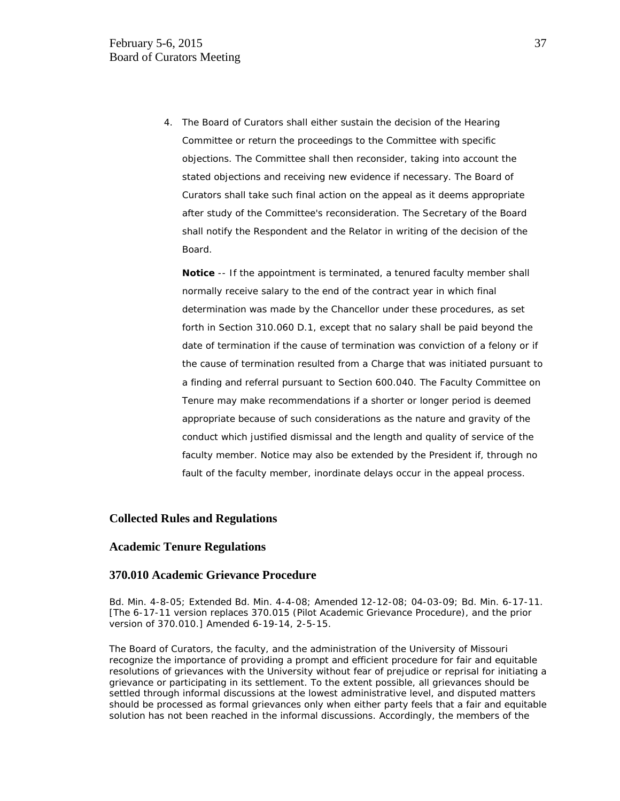4. The Board of Curators shall either sustain the decision of the Hearing Committee or return the proceedings to the Committee with specific objections. The Committee shall then reconsider, taking into account the stated objections and receiving new evidence if necessary. The Board of Curators shall take such final action on the appeal as it deems appropriate after study of the Committee's reconsideration. The Secretary of the Board shall notify the Respondent and the Relator in writing of the decision of the Board.

**Notice** -- If the appointment is terminated, a tenured faculty member shall normally receive salary to the end of the contract year in which final determination was made by the Chancellor under these procedures, as set forth in Section 310.060 D.1, except that no salary shall be paid beyond the date of termination if the cause of termination was conviction of a felony or if the cause of termination resulted from a Charge that was initiated pursuant to a finding and referral pursuant to Section 600.040. The Faculty Committee on Tenure may make recommendations if a shorter or longer period is deemed appropriate because of such considerations as the nature and gravity of the conduct which justified dismissal and the length and quality of service of the faculty member. Notice may also be extended by the President if, through no fault of the faculty member, inordinate delays occur in the appeal process.

## **Collected Rules and Regulations**

## **Academic Tenure Regulations**

#### **370.010 Academic Grievance Procedure**

Bd. Min. 4-8-05; Extended Bd. Min. 4-4-08; Amended 12-12-08; 04-03-09; Bd. Min. 6-17-11. [The 6-17-11 version replaces 370.015 (Pilot Academic Grievance Procedure), and the prior version of 370.010.] Amended 6-19-14, 2-5-15.

The Board of Curators, the faculty, and the administration of the University of Missouri recognize the importance of providing a prompt and efficient procedure for fair and equitable resolutions of grievances with the University without fear of prejudice or reprisal for initiating a grievance or participating in its settlement. To the extent possible, all grievances should be settled through informal discussions at the lowest administrative level, and disputed matters should be processed as formal grievances only when either party feels that a fair and equitable solution has not been reached in the informal discussions. Accordingly, the members of the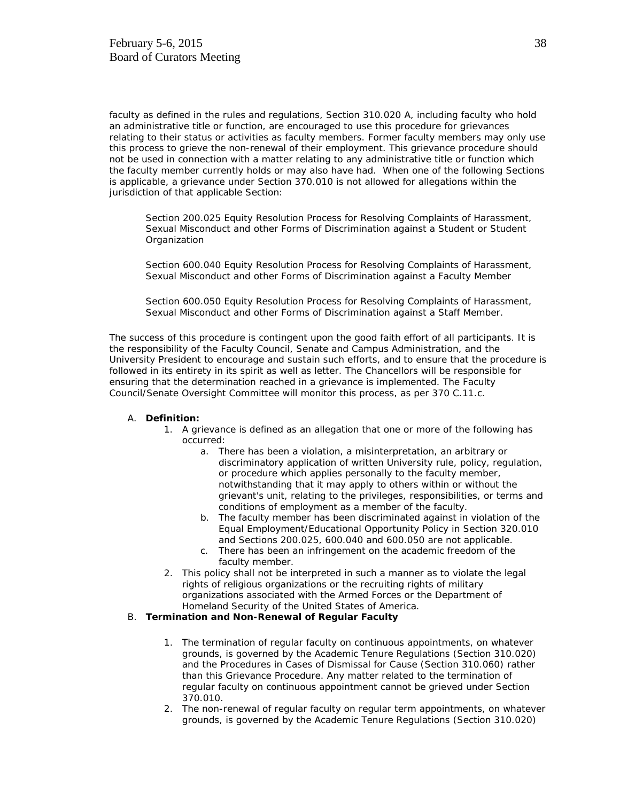faculty as defined in the rules and regulations, Section 310.020 A, including faculty who hold an administrative title or function, are encouraged to use this procedure for grievances relating to their status or activities as faculty members. Former faculty members may only use this process to grieve the non-renewal of their employment. This grievance procedure should not be used in connection with a matter relating to any administrative title or function which the faculty member currently holds or may also have had. When one of the following Sections is applicable, a grievance under Section 370.010 is not allowed for allegations within the jurisdiction of that applicable Section:

Section 200.025 Equity Resolution Process for Resolving Complaints of Harassment, Sexual Misconduct and other Forms of Discrimination against a Student or Student **Organization** 

Section 600.040 Equity Resolution Process for Resolving Complaints of Harassment, Sexual Misconduct and other Forms of Discrimination against a Faculty Member

Section 600.050 Equity Resolution Process for Resolving Complaints of Harassment, Sexual Misconduct and other Forms of Discrimination against a Staff Member.

The success of this procedure is contingent upon the good faith effort of all participants. It is the responsibility of the Faculty Council, Senate and Campus Administration, and the University President to encourage and sustain such efforts, and to ensure that the procedure is followed in its entirety in its spirit as well as letter. The Chancellors will be responsible for ensuring that the determination reached in a grievance is implemented. The Faculty Council/Senate Oversight Committee will monitor this process, as per 370 C.11.c.

#### A. **Definition:**

- 1. A grievance is defined as an allegation that one or more of the following has occurred:
	- a. There has been a violation, a misinterpretation, an arbitrary or discriminatory application of written University rule, policy, regulation, or procedure which applies personally to the faculty member, notwithstanding that it may apply to others within or without the grievant's unit, relating to the privileges, responsibilities, or terms and conditions of employment as a member of the faculty.
	- b. The faculty member has been discriminated against in violation of the Equal Employment/Educational Opportunity Policy in Section 320.010 and Sections 200.025, 600.040 and 600.050 are not applicable.
	- c. There has been an infringement on the academic freedom of the faculty member.
- 2. This policy shall not be interpreted in such a manner as to violate the legal rights of religious organizations or the recruiting rights of military organizations associated with the Armed Forces or the Department of Homeland Security of the United States of America.

## B. **Termination and Non-Renewal of Regular Faculty**

- 1. The termination of regular faculty on continuous appointments, on whatever grounds, is governed by the Academic Tenure Regulations (Section 310.020) and the Procedures in Cases of Dismissal for Cause (Section 310.060) rather than this Grievance Procedure. Any matter related to the termination of regular faculty on continuous appointment cannot be grieved under Section 370.010.
- 2. The non-renewal of regular faculty on regular term appointments, on whatever grounds, is governed by the Academic Tenure Regulations (Section 310.020)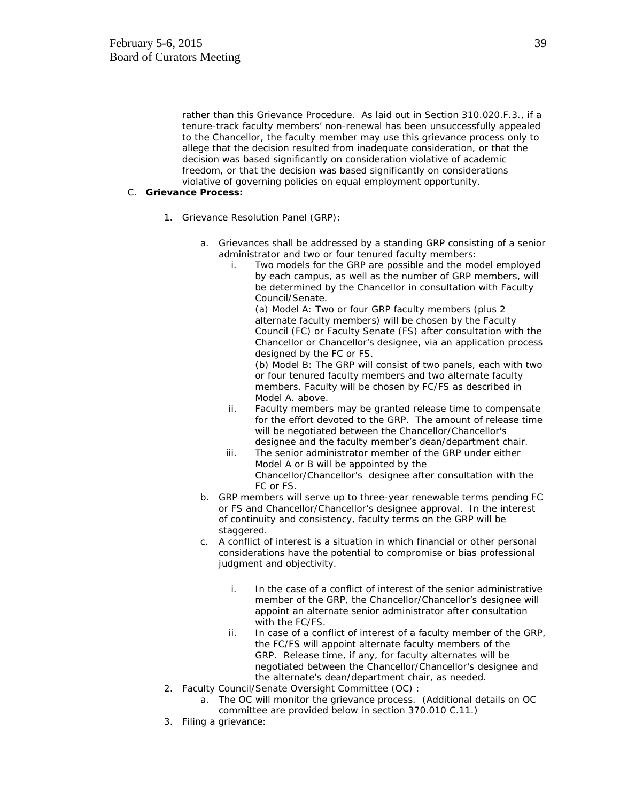rather than this Grievance Procedure. As laid out in Section 310.020.F.3., if a tenure-track faculty members' non-renewal has been unsuccessfully appealed to the Chancellor, the faculty member may use this grievance process only to allege that the decision resulted from inadequate consideration, or that the decision was based significantly on consideration violative of academic freedom, or that the decision was based significantly on considerations violative of governing policies on equal employment opportunity.

#### C. **Grievance Process:**

- 1. *Grievance Resolution Panel (GRP):*
	- a. Grievances shall be addressed by a standing GRP consisting of a senior administrator and two or four tenured faculty members:
		- i. Two models for the GRP are possible and the model employed by each campus, as well as the number of GRP members, will be determined by the Chancellor in consultation with Faculty Council/Senate.

(a) Model A: Two or four GRP faculty members (plus 2 alternate faculty members) will be chosen by the Faculty Council (FC) or Faculty Senate (FS) after consultation with the Chancellor or Chancellor's designee, via an application process designed by the FC or FS.

(b) Model B: The GRP will consist of two panels, each with two or four tenured faculty members and two alternate faculty members. Faculty will be chosen by FC/FS as described in Model A. above.

- ii. Faculty members may be granted release time to compensate for the effort devoted to the GRP. The amount of release time will be negotiated between the Chancellor/Chancellor's designee and the faculty member's dean/department chair.
- iii. The senior administrator member of the GRP under either Model A or B will be appointed by the Chancellor/Chancellor's designee after consultation with the FC or FS.
- b. GRP members will serve up to three-year renewable terms pending FC or FS and Chancellor/Chancellor's designee approval. In the interest of continuity and consistency, faculty terms on the GRP will be staggered.
- c. A conflict of interest is a situation in which financial or other personal considerations have the potential to compromise or bias professional judgment and objectivity.
	- i. In the case of a conflict of interest of the senior administrative member of the GRP, the Chancellor/Chancellor's designee will appoint an alternate senior administrator after consultation with the FC/FS.
	- ii. In case of a conflict of interest of a faculty member of the GRP, the FC/FS will appoint alternate faculty members of the GRP. Release time, if any, for faculty alternates will be negotiated between the Chancellor/Chancellor's designee and the alternate's dean/department chair, as needed.
- 2. Faculty Council/Senate Oversight Committee (OC) :
	- a. The OC will monitor the grievance process. (Additional details on OC committee are provided below in section 370.010 C.11.)
- 3. Filing a grievance: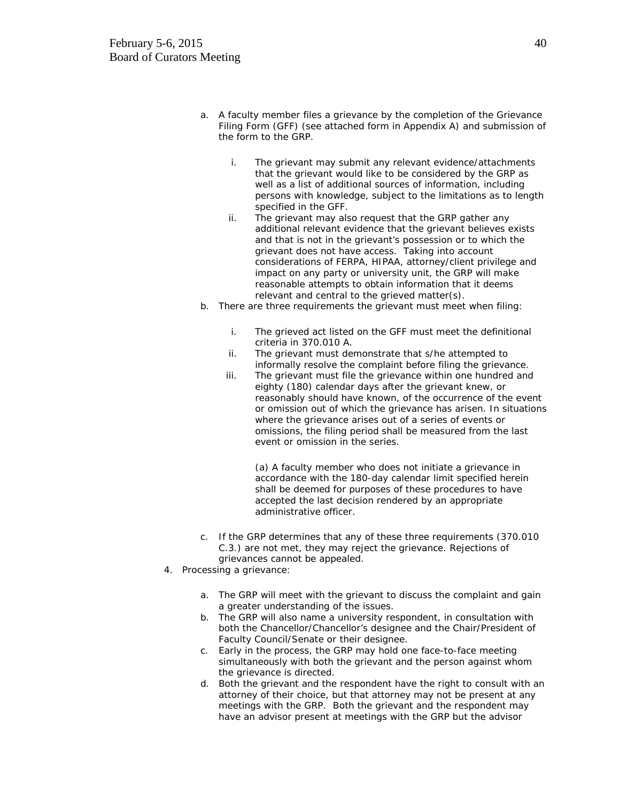- a. A faculty member files a grievance by the completion of the Grievance Filing Form (GFF) (see attached form in Appendix A) and submission of the form to the GRP.
	- i. The grievant may submit any relevant evidence/attachments that the grievant would like to be considered by the GRP as well as a list of additional sources of information, including persons with knowledge, subject to the limitations as to length specified in the GFF.
	- ii. The grievant may also request that the GRP gather any additional relevant evidence that the grievant believes exists and that is not in the grievant's possession or to which the grievant does not have access. Taking into account considerations of FERPA, HIPAA, attorney/client privilege and impact on any party or university unit, the GRP will make reasonable attempts to obtain information that it deems relevant and central to the grieved matter(s).
- b. There are three requirements the grievant must meet when filing:
	- i. The grieved act listed on the GFF must meet the definitional criteria in 370.010 A.
	- ii. The grievant must demonstrate that s/he attempted to informally resolve the complaint before filing the grievance.
	- iii. The grievant must file the grievance within one hundred and eighty (180) calendar days after the grievant knew, or reasonably should have known, of the occurrence of the event or omission out of which the grievance has arisen. In situations where the grievance arises out of a series of events or omissions, the filing period shall be measured from the last event or omission in the series.

(a) A faculty member who does not initiate a grievance in accordance with the 180-day calendar limit specified herein shall be deemed for purposes of these procedures to have accepted the last decision rendered by an appropriate administrative officer.

- c. If the GRP determines that any of these three requirements (370.010 C.3.) are not met, they may reject the grievance. Rejections of grievances cannot be appealed.
- 4. Processing a grievance:
	- a. The GRP will meet with the grievant to discuss the complaint and gain a greater understanding of the issues.
	- b. The GRP will also name a university respondent, in consultation with both the Chancellor/Chancellor's designee and the Chair/President of Faculty Council/Senate or their designee.
	- c. Early in the process, the GRP may hold one face-to-face meeting simultaneously with both the grievant and the person against whom the grievance is directed.
	- d. Both the grievant and the respondent have the right to consult with an attorney of their choice, but that attorney may not be present at any meetings with the GRP. Both the grievant and the respondent may have an advisor present at meetings with the GRP but the advisor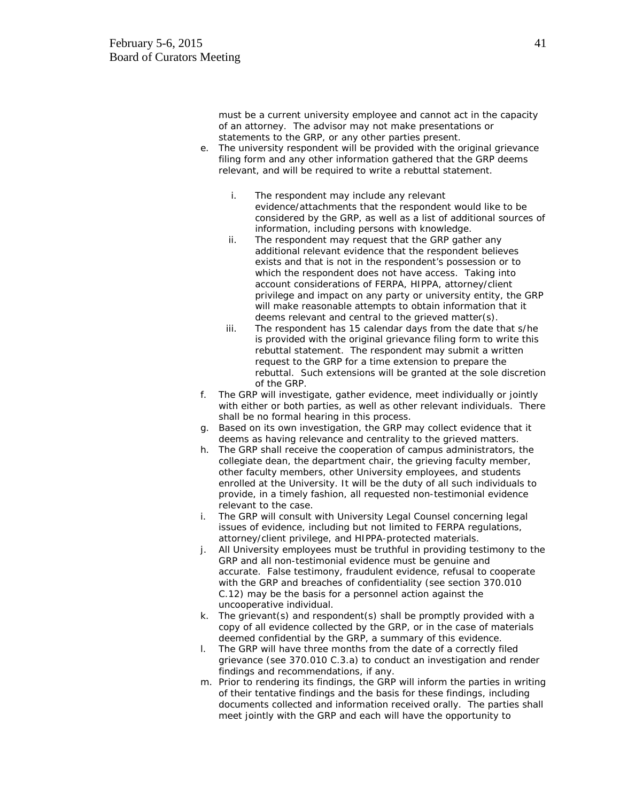must be a current university employee and cannot act in the capacity of an attorney. The advisor may not make presentations or statements to the GRP, or any other parties present.

- e. The university respondent will be provided with the original grievance filing form and any other information gathered that the GRP deems relevant, and will be required to write a rebuttal statement.
	- i. The respondent may include any relevant evidence/attachments that the respondent would like to be considered by the GRP, as well as a list of additional sources of information, including persons with knowledge.
	- ii. The respondent may request that the GRP gather any additional relevant evidence that the respondent believes exists and that is not in the respondent's possession or to which the respondent does not have access. Taking into account considerations of FERPA, HIPPA, attorney/client privilege and impact on any party or university entity, the GRP will make reasonable attempts to obtain information that it deems relevant and central to the grieved matter(s).
	- iii. The respondent has 15 calendar days from the date that s/he is provided with the original grievance filing form to write this rebuttal statement. The respondent may submit a written request to the GRP for a time extension to prepare the rebuttal. Such extensions will be granted at the sole discretion of the GRP.
- f. The GRP will investigate, gather evidence, meet individually or jointly with either or both parties, as well as other relevant individuals. There shall be no formal hearing in this process.
- g. Based on its own investigation, the GRP may collect evidence that it deems as having relevance and centrality to the grieved matters.
- h. The GRP shall receive the cooperation of campus administrators, the collegiate dean, the department chair, the grieving faculty member, other faculty members, other University employees, and students enrolled at the University. It will be the duty of all such individuals to provide, in a timely fashion, all requested non-testimonial evidence relevant to the case.
- i. The GRP will consult with University Legal Counsel concerning legal issues of evidence, including but not limited to FERPA regulations, attorney/client privilege, and HIPPA-protected materials.
- j. All University employees must be truthful in providing testimony to the GRP and all non-testimonial evidence must be genuine and accurate. False testimony, fraudulent evidence, refusal to cooperate with the GRP and breaches of confidentiality (see section 370.010 C.12) may be the basis for a personnel action against the uncooperative individual.
- k. The grievant(s) and respondent(s) shall be promptly provided with a copy of all evidence collected by the GRP, or in the case of materials deemed confidential by the GRP, a summary of this evidence.
- l. The GRP will have three months from the date of a correctly filed grievance (see 370.010 C.3.a) to conduct an investigation and render findings and recommendations, if any.
- m. Prior to rendering its findings, the GRP will inform the parties in writing of their tentative findings and the basis for these findings, including documents collected and information received orally. The parties shall meet jointly with the GRP and each will have the opportunity to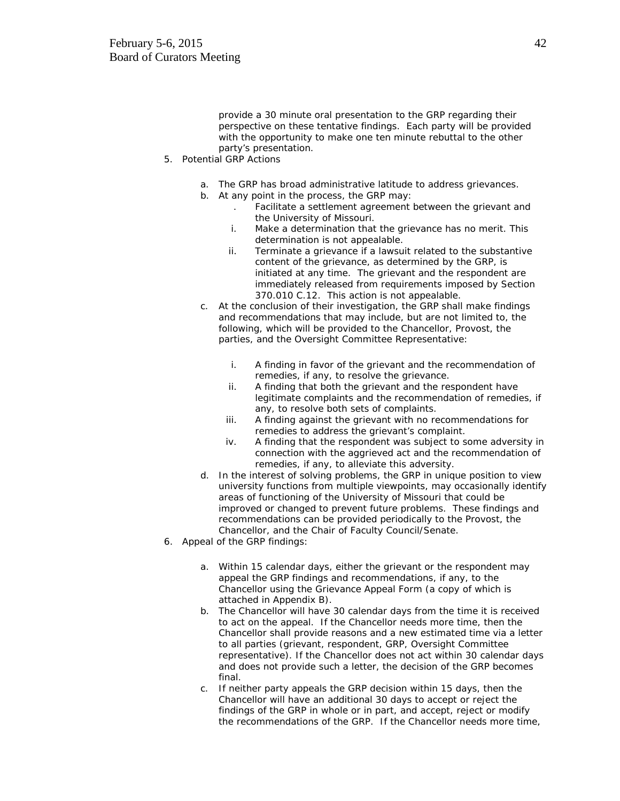provide a 30 minute oral presentation to the GRP regarding their perspective on these tentative findings. Each party will be provided with the opportunity to make one ten minute rebuttal to the other party's presentation.

- 5. Potential GRP Actions
	- a. The GRP has broad administrative latitude to address grievances.
	- b. At any point in the process, the GRP may:
		- . Facilitate a settlement agreement between the grievant and the University of Missouri.
		- i. Make a determination that the grievance has no merit. This determination is not appealable.
		- ii. Terminate a grievance if a lawsuit related to the substantive content of the grievance, as determined by the GRP, is initiated at any time. The grievant and the respondent are immediately released from requirements imposed by Section 370.010 C.12. This action is not appealable.
	- c. At the conclusion of their investigation, the GRP shall make findings and recommendations that may include, but are not limited to, the following, which will be provided to the Chancellor, Provost, the parties, and the Oversight Committee Representative:
		- i. A finding in favor of the grievant and the recommendation of remedies, if any, to resolve the grievance.
		- ii. A finding that both the grievant and the respondent have legitimate complaints and the recommendation of remedies, if any, to resolve both sets of complaints.
		- iii. A finding against the grievant with no recommendations for remedies to address the grievant's complaint.
		- iv. A finding that the respondent was subject to some adversity in connection with the aggrieved act and the recommendation of remedies, if any, to alleviate this adversity.
	- d. In the interest of solving problems, the GRP in unique position to view university functions from multiple viewpoints, may occasionally identify areas of functioning of the University of Missouri that could be improved or changed to prevent future problems. These findings and recommendations can be provided periodically to the Provost, the Chancellor, and the Chair of Faculty Council/Senate.
- 6. Appeal of the GRP findings:
	- a. Within 15 calendar days, either the grievant or the respondent may appeal the GRP findings and recommendations, if any, to the Chancellor using the Grievance Appeal Form (a copy of which is attached in Appendix B).
	- b. The Chancellor will have 30 calendar days from the time it is received to act on the appeal. If the Chancellor needs more time, then the Chancellor shall provide reasons and a new estimated time via a letter to all parties (grievant, respondent, GRP, Oversight Committee representative). If the Chancellor does not act within 30 calendar days and does not provide such a letter, the decision of the GRP becomes final.
	- c. If neither party appeals the GRP decision within 15 days, then the Chancellor will have an additional 30 days to accept or reject the findings of the GRP in whole or in part, and accept, reject or modify the recommendations of the GRP. If the Chancellor needs more time,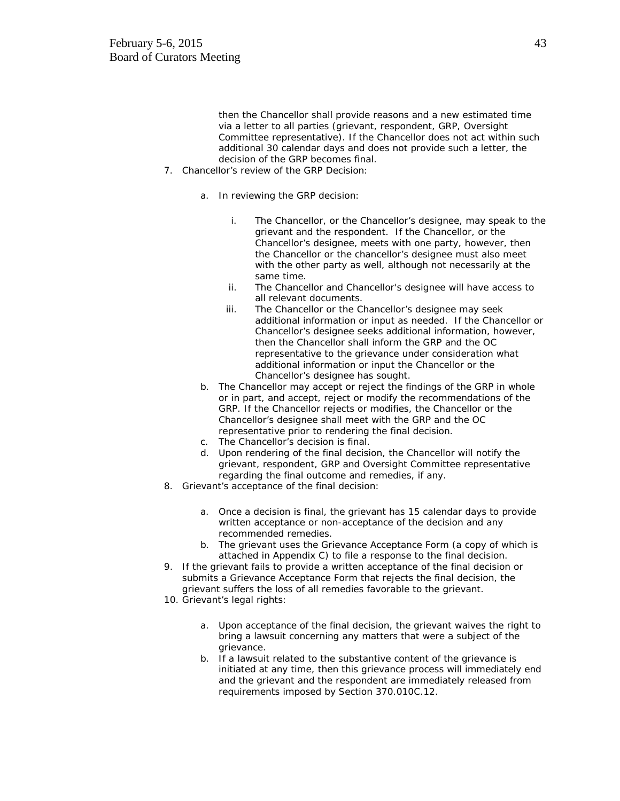then the Chancellor shall provide reasons and a new estimated time via a letter to all parties (grievant, respondent, GRP, Oversight Committee representative). If the Chancellor does not act within such additional 30 calendar days and does not provide such a letter, the decision of the GRP becomes final.

- 7. Chancellor's review of the GRP Decision:
	- a. In reviewing the GRP decision:
		- i. The Chancellor, or the Chancellor's designee, may speak to the grievant and the respondent. If the Chancellor, or the Chancellor's designee, meets with one party, however, then the Chancellor or the chancellor's designee must also meet with the other party as well, although not necessarily at the same time.
		- ii. The Chancellor and Chancellor's designee will have access to all relevant documents.
		- iii. The Chancellor or the Chancellor's designee may seek additional information or input as needed. If the Chancellor or Chancellor's designee seeks additional information, however, then the Chancellor shall inform the GRP and the OC representative to the grievance under consideration what additional information or input the Chancellor or the Chancellor's designee has sought.
	- b. The Chancellor may accept or reject the findings of the GRP in whole or in part, and accept, reject or modify the recommendations of the GRP. If the Chancellor rejects or modifies, the Chancellor or the Chancellor's designee shall meet with the GRP and the OC representative prior to rendering the final decision.
	- c. The Chancellor's decision is final.
	- d. Upon rendering of the final decision, the Chancellor will notify the grievant, respondent, GRP and Oversight Committee representative regarding the final outcome and remedies, if any.
- 8. Grievant's acceptance of the final decision:
	- a. Once a decision is final, the grievant has 15 calendar days to provide written acceptance or non-acceptance of the decision and any recommended remedies.
	- b. The grievant uses the Grievance Acceptance Form (a copy of which is attached in Appendix C) to file a response to the final decision.
- 9. If the grievant fails to provide a written acceptance of the final decision or submits a Grievance Acceptance Form that rejects the final decision, the grievant suffers the loss of all remedies favorable to the grievant.
- 10. Grievant's legal rights:
	- a. Upon acceptance of the final decision, the grievant waives the right to bring a lawsuit concerning any matters that were a subject of the grievance.
	- b. If a lawsuit related to the substantive content of the grievance is initiated at any time, then this grievance process will immediately end and the grievant and the respondent are immediately released from requirements imposed by Section 370.010C.12.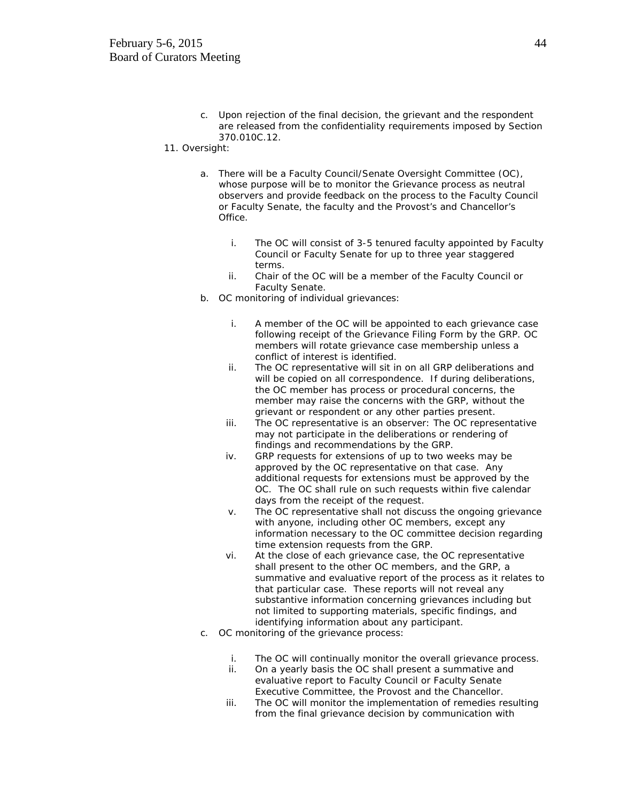c. Upon rejection of the final decision, the grievant and the respondent are released from the confidentiality requirements imposed by Section 370.010C.12.

#### 11. Oversight:

- a. There will be a Faculty Council/Senate Oversight Committee (OC), whose purpose will be to monitor the Grievance process as neutral observers and provide feedback on the process to the Faculty Council or Faculty Senate, the faculty and the Provost's and Chancellor's Office.
	- i. The OC will consist of 3-5 tenured faculty appointed by Faculty Council or Faculty Senate for up to three year staggered terms.
	- ii. Chair of the OC will be a member of the Faculty Council or Faculty Senate.
- b. OC monitoring of individual grievances:
	- i. A member of the OC will be appointed to each grievance case following receipt of the Grievance Filing Form by the GRP. OC members will rotate grievance case membership unless a conflict of interest is identified.
	- ii. The OC representative will sit in on all GRP deliberations and will be copied on all correspondence. If during deliberations, the OC member has process or procedural concerns, the member may raise the concerns with the GRP, without the grievant or respondent or any other parties present.
	- iii. The OC representative is an observer: The OC representative may not participate in the deliberations or rendering of findings and recommendations by the GRP.
	- iv. GRP requests for extensions of up to two weeks may be approved by the OC representative on that case. Any additional requests for extensions must be approved by the OC. The OC shall rule on such requests within five calendar days from the receipt of the request.
	- v. The OC representative shall not discuss the ongoing grievance with anyone, including other OC members, except any information necessary to the OC committee decision regarding time extension requests from the GRP.
	- vi. At the close of each grievance case, the OC representative shall present to the other OC members, and the GRP, a summative and evaluative report of the process as it relates to that particular case. These reports will not reveal any substantive information concerning grievances including but not limited to supporting materials, specific findings, and identifying information about any participant.
- c. OC monitoring of the grievance process:
	- i. The OC will continually monitor the overall grievance process.
	- ii. On a yearly basis the OC shall present a summative and evaluative report to Faculty Council or Faculty Senate Executive Committee, the Provost and the Chancellor.
	- iii. The OC will monitor the implementation of remedies resulting from the final grievance decision by communication with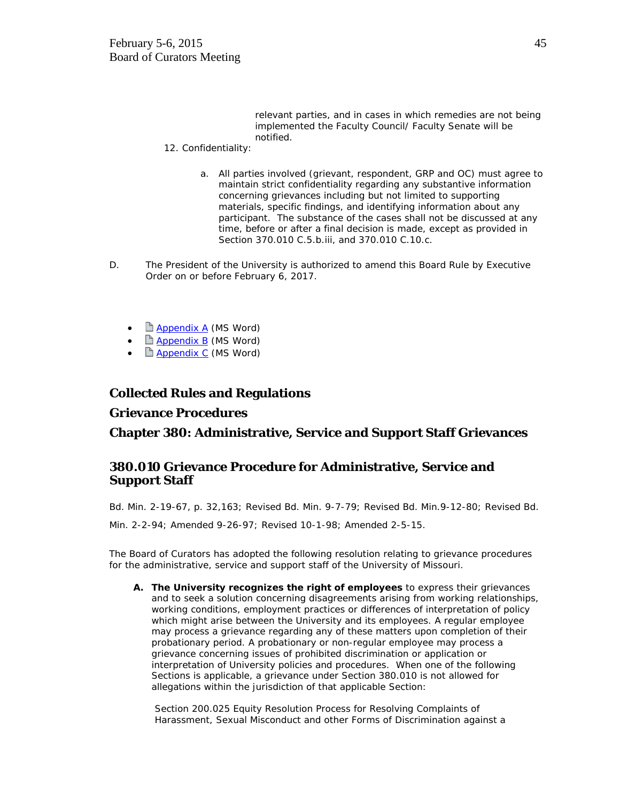relevant parties, and in cases in which remedies are not being implemented the Faculty Council/ Faculty Senate will be notified.

- 12. Confidentiality:
	- a. All parties involved (grievant, respondent, GRP and OC) must agree to maintain strict confidentiality regarding any substantive information concerning grievances including but not limited to supporting materials, specific findings, and identifying information about any participant. The substance of the cases shall not be discussed at any time, before or after a final decision is made, except as provided in Section 370.010 C.5.b.iii, and 370.010 C.10.c.
- D. The President of the University is authorized to amend this Board Rule by Executive Order on or before February 6, 2017.
	- **[Appendix A](http://www.umsystem.edu/media/gc/370.010-Appendix-A.doc) (MS Word)**
	- $\Box$  [Appendix B](http://www.umsystem.edu/media/gc/370.010-Appendix-B.doc) (MS Word)
	- **E** [Appendix C](http://www.umsystem.edu/media/gc/370.010-Appendix-C.doc) (MS Word)

# **Collected Rules and Regulations**

# **Grievance Procedures**

**Chapter 380: Administrative, Service and Support Staff Grievances**

# **380.010 Grievance Procedure for Administrative, Service and Support Staff**

Bd. Min. 2-19-67, p. 32,163; Revised Bd. Min. 9-7-79; Revised Bd. Min.9-12-80; Revised Bd.

Min. 2-2-94; Amended 9-26-97; Revised 10-1-98; Amended 2-5-15.

The Board of Curators has adopted the following resolution relating to grievance procedures for the administrative, service and support staff of the University of Missouri.

**A. The University recognizes the right of employees** to express their grievances and to seek a solution concerning disagreements arising from working relationships, working conditions, employment practices or differences of interpretation of policy which might arise between the University and its employees. A regular employee may process a grievance regarding any of these matters upon completion of their probationary period. A probationary or non-regular employee may process a grievance concerning issues of prohibited discrimination or application or interpretation of University policies and procedures. When one of the following Sections is applicable, a grievance under Section 380.010 is not allowed for allegations within the jurisdiction of that applicable Section:

Section 200.025 Equity Resolution Process for Resolving Complaints of Harassment, Sexual Misconduct and other Forms of Discrimination against a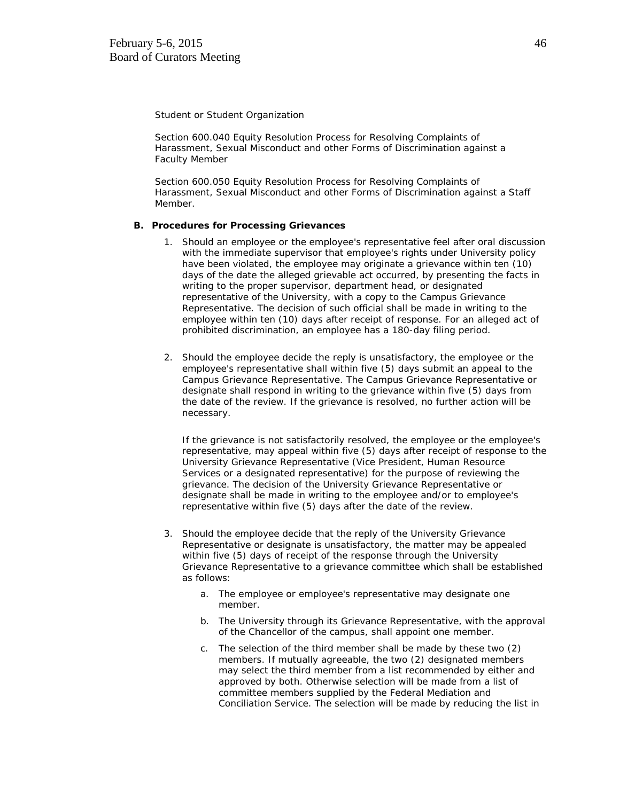Student or Student Organization

Section 600.040 Equity Resolution Process for Resolving Complaints of Harassment, Sexual Misconduct and other Forms of Discrimination against a Faculty Member

Section 600.050 Equity Resolution Process for Resolving Complaints of Harassment, Sexual Misconduct and other Forms of Discrimination against a Staff Member.

#### **B. Procedures for Processing Grievances**

- 1. Should an employee or the employee's representative feel after oral discussion with the immediate supervisor that employee's rights under University policy have been violated, the employee may originate a grievance within ten (10) days of the date the alleged grievable act occurred, by presenting the facts in writing to the proper supervisor, department head, or designated representative of the University, with a copy to the Campus Grievance Representative. The decision of such official shall be made in writing to the employee within ten (10) days after receipt of response. For an alleged act of prohibited discrimination, an employee has a 180-day filing period.
- 2. Should the employee decide the reply is unsatisfactory, the employee or the employee's representative shall within five (5) days submit an appeal to the Campus Grievance Representative. The Campus Grievance Representative or designate shall respond in writing to the grievance within five (5) days from the date of the review. If the grievance is resolved, no further action will be necessary.

If the grievance is not satisfactorily resolved, the employee or the employee's representative, may appeal within five (5) days after receipt of response to the University Grievance Representative (Vice President, Human Resource Services or a designated representative) for the purpose of reviewing the grievance. The decision of the University Grievance Representative or designate shall be made in writing to the employee and/or to employee's representative within five (5) days after the date of the review.

- 3. Should the employee decide that the reply of the University Grievance Representative or designate is unsatisfactory, the matter may be appealed within five (5) days of receipt of the response through the University Grievance Representative to a grievance committee which shall be established as follows:
	- a. The employee or employee's representative may designate one member.
	- b. The University through its Grievance Representative, with the approval of the Chancellor of the campus, shall appoint one member.
	- c. The selection of the third member shall be made by these two (2) members. If mutually agreeable, the two (2) designated members may select the third member from a list recommended by either and approved by both. Otherwise selection will be made from a list of committee members supplied by the Federal Mediation and Conciliation Service. The selection will be made by reducing the list in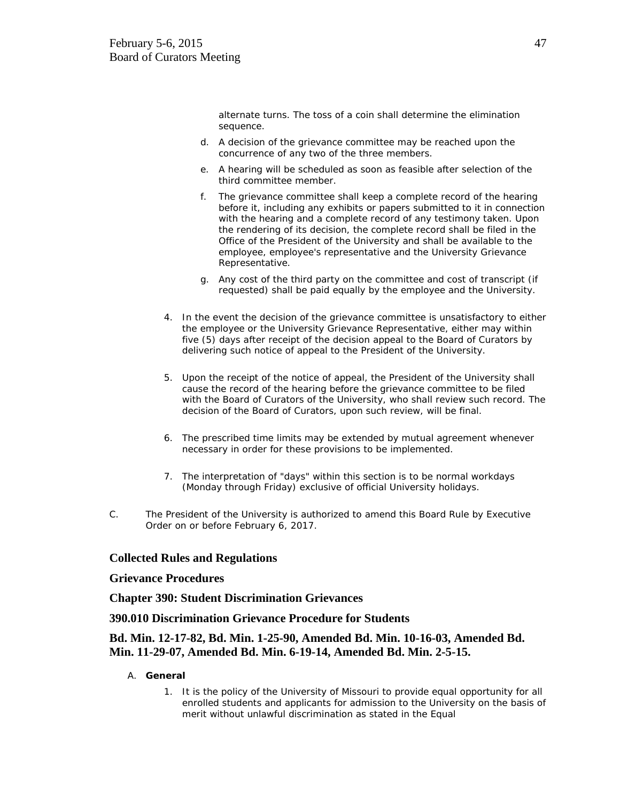alternate turns. The toss of a coin shall determine the elimination sequence.

- d. A decision of the grievance committee may be reached upon the concurrence of any two of the three members.
- e. A hearing will be scheduled as soon as feasible after selection of the third committee member.
- f. The grievance committee shall keep a complete record of the hearing before it, including any exhibits or papers submitted to it in connection with the hearing and a complete record of any testimony taken. Upon the rendering of its decision, the complete record shall be filed in the Office of the President of the University and shall be available to the employee, employee's representative and the University Grievance Representative.
- g. Any cost of the third party on the committee and cost of transcript (if requested) shall be paid equally by the employee and the University.
- 4. In the event the decision of the grievance committee is unsatisfactory to either the employee or the University Grievance Representative, either may within five (5) days after receipt of the decision appeal to the Board of Curators by delivering such notice of appeal to the President of the University.
- 5. Upon the receipt of the notice of appeal, the President of the University shall cause the record of the hearing before the grievance committee to be filed with the Board of Curators of the University, who shall review such record. The decision of the Board of Curators, upon such review, will be final.
- 6. The prescribed time limits may be extended by mutual agreement whenever necessary in order for these provisions to be implemented.
- 7. The interpretation of "days" within this section is to be normal workdays (Monday through Friday) exclusive of official University holidays.
- C. The President of the University is authorized to amend this Board Rule by Executive Order on or before February 6, 2017.

# **Collected Rules and Regulations**

## **Grievance Procedures**

**Chapter 390: Student Discrimination Grievances**

**390.010 Discrimination Grievance Procedure for Students**

# **Bd. Min. 12-17-82, Bd. Min. 1-25-90, Amended Bd. Min. 10-16-03, Amended Bd. Min. 11-29-07, Amended Bd. Min. 6-19-14, Amended Bd. Min. 2-5-15.**

- A. **General**
	- 1. It is the policy of the University of Missouri to provide equal opportunity for all enrolled students and applicants for admission to the University on the basis of merit without unlawful discrimination as stated in the Equal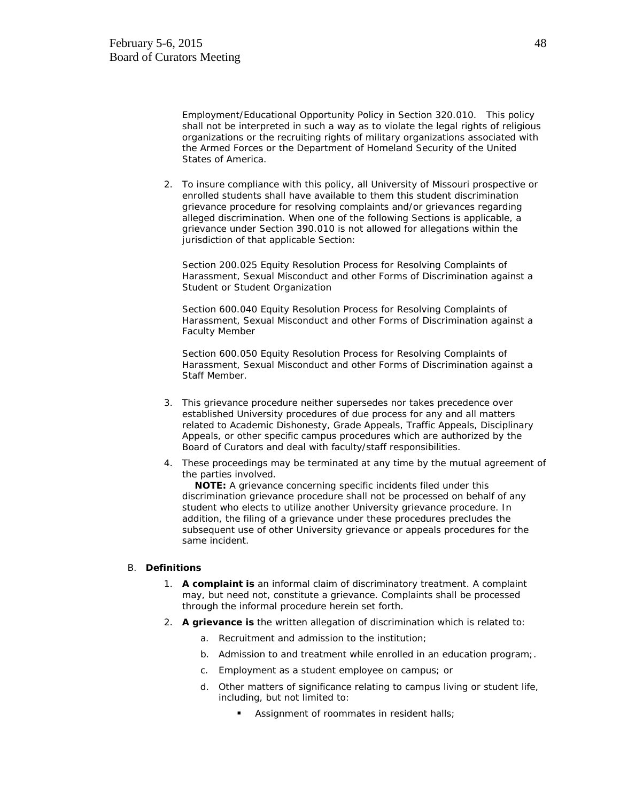Employment/Educational Opportunity Policy in Section 320.010. This policy shall not be interpreted in such a way as to violate the legal rights of religious organizations or the recruiting rights of military organizations associated with the Armed Forces or the Department of Homeland Security of the United States of America.

2. To insure compliance with this policy, all University of Missouri prospective or enrolled students shall have available to them this student discrimination grievance procedure for resolving complaints and/or grievances regarding alleged discrimination. When one of the following Sections is applicable, a grievance under Section 390.010 is not allowed for allegations within the jurisdiction of that applicable Section:

Section 200.025 Equity Resolution Process for Resolving Complaints of Harassment, Sexual Misconduct and other Forms of Discrimination against a Student or Student Organization

Section 600.040 Equity Resolution Process for Resolving Complaints of Harassment, Sexual Misconduct and other Forms of Discrimination against a Faculty Member

Section 600.050 Equity Resolution Process for Resolving Complaints of Harassment, Sexual Misconduct and other Forms of Discrimination against a Staff Member.

- 3. This grievance procedure neither supersedes nor takes precedence over established University procedures of due process for any and all matters related to Academic Dishonesty, Grade Appeals, Traffic Appeals, Disciplinary Appeals, or other specific campus procedures which are authorized by the Board of Curators and deal with faculty/staff responsibilities.
- 4. These proceedings may be terminated at any time by the mutual agreement of the parties involved.

 **NOTE:** A grievance concerning specific incidents filed under this discrimination grievance procedure shall not be processed on behalf of any student who elects to utilize another University grievance procedure. In addition, the filing of a grievance under these procedures precludes the subsequent use of other University grievance or appeals procedures for the same incident.

#### B. **Definitions**

- 1. **A complaint is** an informal claim of discriminatory treatment. A complaint may, but need not, constitute a grievance. Complaints shall be processed through the informal procedure herein set forth.
- 2. **A grievance is** the written allegation of discrimination which is related to:
	- a. Recruitment and admission to the institution;
	- b. Admission to and treatment while enrolled in an education program;.
	- c. Employment as a student employee on campus; or
	- d. Other matters of significance relating to campus living or student life, including, but not limited to:
		- Assignment of roommates in resident halls;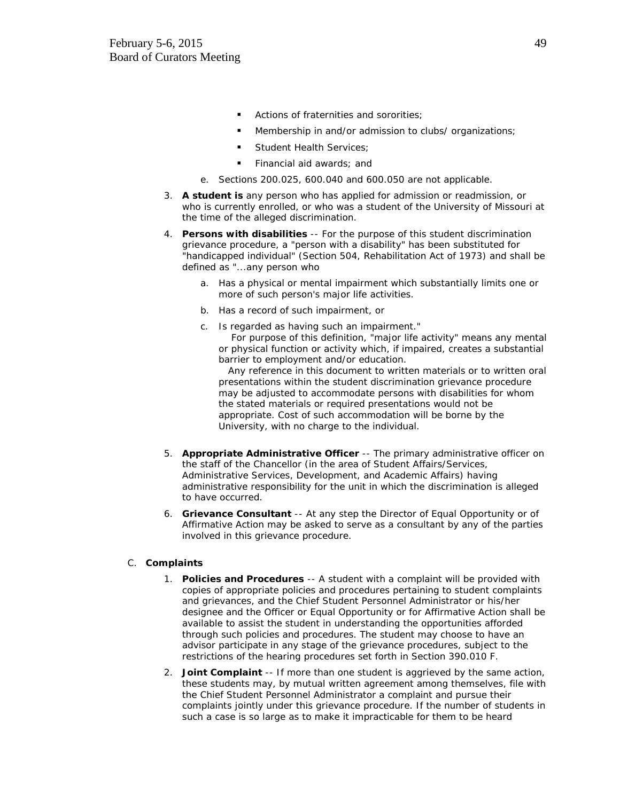- **Actions of fraternities and sororities:**
- **Membership in and/or admission to clubs/ organizations;**
- Student Health Services;
- Financial aid awards; and
- e. Sections 200.025, 600.040 and 600.050 are not applicable.
- 3. **A student is** any person who has applied for admission or readmission, or who is currently enrolled, or who was a student of the University of Missouri at the time of the alleged discrimination.
- 4. **Persons with disabilities** -- For the purpose of this student discrimination grievance procedure, a "person with a disability" has been substituted for "handicapped individual" (Section 504, Rehabilitation Act of 1973) and shall be defined as "...any person who
	- a. Has a physical or mental impairment which substantially limits one or more of such person's major life activities.
	- b. Has a record of such impairment, or
	- c. Is regarded as having such an impairment." For purpose of this definition, "major life activity" means any mental or physical function or activity which, if impaired, creates a substantial barrier to employment and/or education.

 Any reference in this document to written materials or to written oral presentations within the student discrimination grievance procedure may be adjusted to accommodate persons with disabilities for whom the stated materials or required presentations would not be appropriate. Cost of such accommodation will be borne by the University, with no charge to the individual.

- 5. **Appropriate Administrative Officer** -- The primary administrative officer on the staff of the Chancellor (in the area of Student Affairs/Services, Administrative Services, Development, and Academic Affairs) having administrative responsibility for the unit in which the discrimination is alleged to have occurred.
- 6. **Grievance Consultant** -- At any step the Director of Equal Opportunity or of Affirmative Action may be asked to serve as a consultant by any of the parties involved in this grievance procedure.

## C. **Complaints**

- 1. **Policies and Procedures** -- A student with a complaint will be provided with copies of appropriate policies and procedures pertaining to student complaints and grievances, and the Chief Student Personnel Administrator or his/her designee and the Officer or Equal Opportunity or for Affirmative Action shall be available to assist the student in understanding the opportunities afforded through such policies and procedures. The student may choose to have an advisor participate in any stage of the grievance procedures, subject to the restrictions of the hearing procedures set forth in Section 390.010 F.
- 2. **Joint Complaint** -- If more than one student is aggrieved by the same action, these students may, by mutual written agreement among themselves, file with the Chief Student Personnel Administrator a complaint and pursue their complaints jointly under this grievance procedure. If the number of students in such a case is so large as to make it impracticable for them to be heard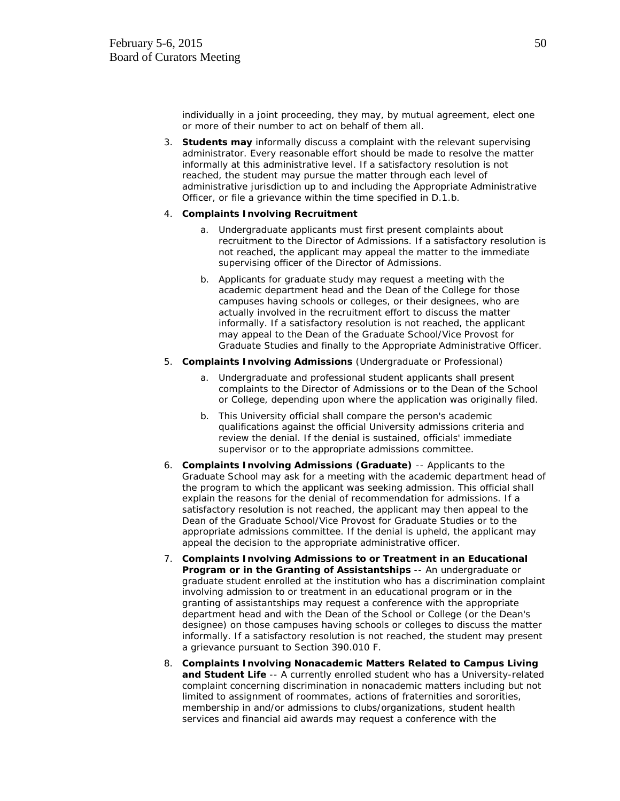individually in a joint proceeding, they may, by mutual agreement, elect one or more of their number to act on behalf of them all.

3. **Students may** informally discuss a complaint with the relevant supervising administrator. Every reasonable effort should be made to resolve the matter informally at this administrative level. If a satisfactory resolution is not reached, the student may pursue the matter through each level of administrative jurisdiction up to and including the Appropriate Administrative Officer, or file a grievance within the time specified in D.1.b.

#### 4. **Complaints Involving Recruitment**

- a. Undergraduate applicants must first present complaints about recruitment to the Director of Admissions. If a satisfactory resolution is not reached, the applicant may appeal the matter to the immediate supervising officer of the Director of Admissions.
- b. Applicants for graduate study may request a meeting with the academic department head and the Dean of the College for those campuses having schools or colleges, or their designees, who are actually involved in the recruitment effort to discuss the matter informally. If a satisfactory resolution is not reached, the applicant may appeal to the Dean of the Graduate School/Vice Provost for Graduate Studies and finally to the Appropriate Administrative Officer.
- 5. **Complaints Involving Admissions** (Undergraduate or Professional)
	- a. Undergraduate and professional student applicants shall present complaints to the Director of Admissions or to the Dean of the School or College, depending upon where the application was originally filed.
	- b. This University official shall compare the person's academic qualifications against the official University admissions criteria and review the denial. If the denial is sustained, officials' immediate supervisor or to the appropriate admissions committee.
- 6. **Complaints Involving Admissions (Graduate)** -- Applicants to the Graduate School may ask for a meeting with the academic department head of the program to which the applicant was seeking admission. This official shall explain the reasons for the denial of recommendation for admissions. If a satisfactory resolution is not reached, the applicant may then appeal to the Dean of the Graduate School/Vice Provost for Graduate Studies or to the appropriate admissions committee. If the denial is upheld, the applicant may appeal the decision to the appropriate administrative officer.
- 7. **Complaints Involving Admissions to or Treatment in an Educational Program or in the Granting of Assistantships** -- An undergraduate or graduate student enrolled at the institution who has a discrimination complaint involving admission to or treatment in an educational program or in the granting of assistantships may request a conference with the appropriate department head and with the Dean of the School or College (or the Dean's designee) on those campuses having schools or colleges to discuss the matter informally. If a satisfactory resolution is not reached, the student may present a grievance pursuant to Section 390.010 F.
- 8. **Complaints Involving Nonacademic Matters Related to Campus Living and Student Life** -- A currently enrolled student who has a University-related complaint concerning discrimination in nonacademic matters including but not limited to assignment of roommates, actions of fraternities and sororities, membership in and/or admissions to clubs/organizations, student health services and financial aid awards may request a conference with the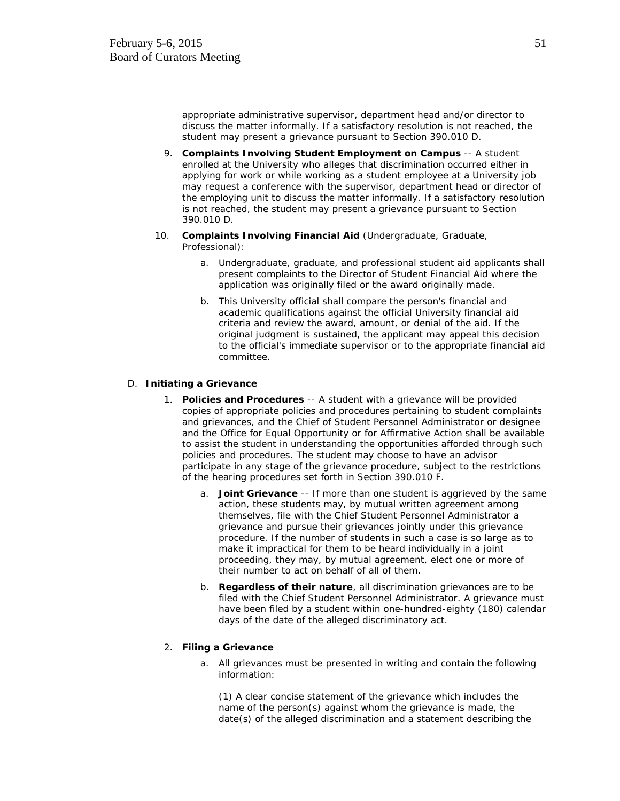appropriate administrative supervisor, department head and/or director to discuss the matter informally. If a satisfactory resolution is not reached, the student may present a grievance pursuant to Section 390.010 D.

- 9. **Complaints Involving Student Employment on Campus** -- A student enrolled at the University who alleges that discrimination occurred either in applying for work or while working as a student employee at a University job may request a conference with the supervisor, department head or director of the employing unit to discuss the matter informally. If a satisfactory resolution is not reached, the student may present a grievance pursuant to Section 390.010 D.
- 10. **Complaints Involving Financial Aid** (Undergraduate, Graduate, Professional):
	- a. Undergraduate, graduate, and professional student aid applicants shall present complaints to the Director of Student Financial Aid where the application was originally filed or the award originally made.
	- b. This University official shall compare the person's financial and academic qualifications against the official University financial aid criteria and review the award, amount, or denial of the aid. If the original judgment is sustained, the applicant may appeal this decision to the official's immediate supervisor or to the appropriate financial aid committee.

#### D. **Initiating a Grievance**

- 1. **Policies and Procedures** -- A student with a grievance will be provided copies of appropriate policies and procedures pertaining to student complaints and grievances, and the Chief of Student Personnel Administrator or designee and the Office for Equal Opportunity or for Affirmative Action shall be available to assist the student in understanding the opportunities afforded through such policies and procedures. The student may choose to have an advisor participate in any stage of the grievance procedure, subject to the restrictions of the hearing procedures set forth in Section 390.010 F.
	- a. **Joint Grievance** -- If more than one student is aggrieved by the same action, these students may, by mutual written agreement among themselves, file with the Chief Student Personnel Administrator a grievance and pursue their grievances jointly under this grievance procedure. If the number of students in such a case is so large as to make it impractical for them to be heard individually in a joint proceeding, they may, by mutual agreement, elect one or more of their number to act on behalf of all of them.
	- b. **Regardless of their nature**, all discrimination grievances are to be filed with the Chief Student Personnel Administrator. A grievance must have been filed by a student within one-hundred-eighty (180) calendar days of the date of the alleged discriminatory act.

#### 2. **Filing a Grievance**

a. All grievances must be presented in writing and contain the following information:

(1) A clear concise statement of the grievance which includes the name of the person(s) against whom the grievance is made, the date(s) of the alleged discrimination and a statement describing the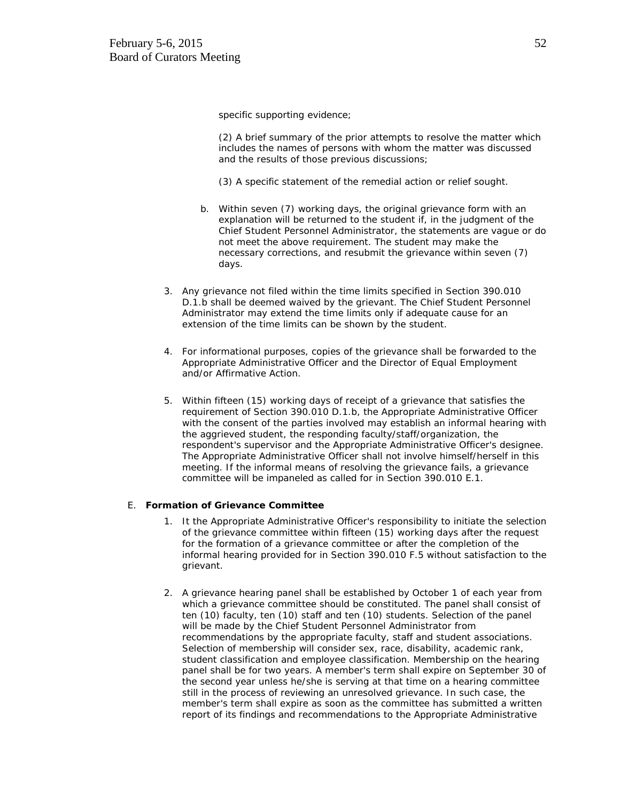specific supporting evidence;

(2) A brief summary of the prior attempts to resolve the matter which includes the names of persons with whom the matter was discussed and the results of those previous discussions;

(3) A specific statement of the remedial action or relief sought.

- b. Within seven (7) working days, the original grievance form with an explanation will be returned to the student if, in the judgment of the Chief Student Personnel Administrator, the statements are vague or do not meet the above requirement. The student may make the necessary corrections, and resubmit the grievance within seven (7) days.
- 3. Any grievance not filed within the time limits specified in Section 390.010 D.1.b shall be deemed waived by the grievant. The Chief Student Personnel Administrator may extend the time limits only if adequate cause for an extension of the time limits can be shown by the student.
- 4. For informational purposes, copies of the grievance shall be forwarded to the Appropriate Administrative Officer and the Director of Equal Employment and/or Affirmative Action.
- 5. Within fifteen (15) working days of receipt of a grievance that satisfies the requirement of Section 390.010 D.1.b, the Appropriate Administrative Officer with the consent of the parties involved may establish an informal hearing with the aggrieved student, the responding faculty/staff/organization, the respondent's supervisor and the Appropriate Administrative Officer's designee. The Appropriate Administrative Officer shall not involve himself/herself in this meeting. If the informal means of resolving the grievance fails, a grievance committee will be impaneled as called for in Section 390.010 E.1.

#### E. **Formation of Grievance Committee**

- 1. It the Appropriate Administrative Officer's responsibility to initiate the selection of the grievance committee within fifteen (15) working days after the request for the formation of a grievance committee or after the completion of the informal hearing provided for in Section 390.010 F.5 without satisfaction to the grievant.
- 2. A grievance hearing panel shall be established by October 1 of each year from which a grievance committee should be constituted. The panel shall consist of ten (10) faculty, ten (10) staff and ten (10) students. Selection of the panel will be made by the Chief Student Personnel Administrator from recommendations by the appropriate faculty, staff and student associations. Selection of membership will consider sex, race, disability, academic rank, student classification and employee classification. Membership on the hearing panel shall be for two years. A member's term shall expire on September 30 of the second year unless he/she is serving at that time on a hearing committee still in the process of reviewing an unresolved grievance. In such case, the member's term shall expire as soon as the committee has submitted a written report of its findings and recommendations to the Appropriate Administrative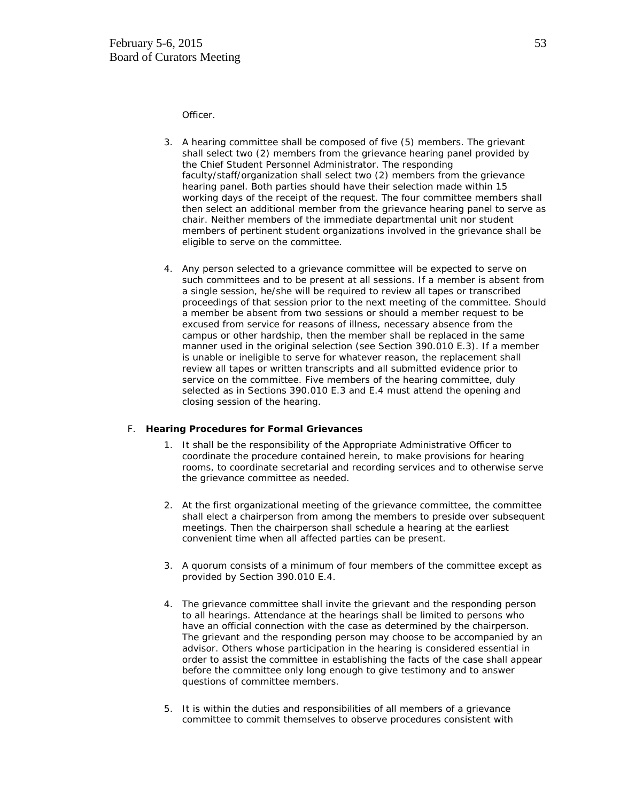Officer.

- 3. A hearing committee shall be composed of five (5) members. The grievant shall select two (2) members from the grievance hearing panel provided by the Chief Student Personnel Administrator. The responding faculty/staff/organization shall select two (2) members from the grievance hearing panel. Both parties should have their selection made within 15 working days of the receipt of the request. The four committee members shall then select an additional member from the grievance hearing panel to serve as chair. Neither members of the immediate departmental unit nor student members of pertinent student organizations involved in the grievance shall be eligible to serve on the committee.
- 4. Any person selected to a grievance committee will be expected to serve on such committees and to be present at all sessions. If a member is absent from a single session, he/she will be required to review all tapes or transcribed proceedings of that session prior to the next meeting of the committee. Should a member be absent from two sessions or should a member request to be excused from service for reasons of illness, necessary absence from the campus or other hardship, then the member shall be replaced in the same manner used in the original selection (see Section 390.010 E.3). If a member is unable or ineligible to serve for whatever reason, the replacement shall review all tapes or written transcripts and all submitted evidence prior to service on the committee. Five members of the hearing committee, duly selected as in Sections 390.010 E.3 and E.4 must attend the opening and closing session of the hearing.

#### F. **Hearing Procedures for Formal Grievances**

- 1. It shall be the responsibility of the Appropriate Administrative Officer to coordinate the procedure contained herein, to make provisions for hearing rooms, to coordinate secretarial and recording services and to otherwise serve the grievance committee as needed.
- 2. At the first organizational meeting of the grievance committee, the committee shall elect a chairperson from among the members to preside over subsequent meetings. Then the chairperson shall schedule a hearing at the earliest convenient time when all affected parties can be present.
- 3. A quorum consists of a minimum of four members of the committee except as provided by Section 390.010 E.4.
- 4. The grievance committee shall invite the grievant and the responding person to all hearings. Attendance at the hearings shall be limited to persons who have an official connection with the case as determined by the chairperson. The grievant and the responding person may choose to be accompanied by an advisor. Others whose participation in the hearing is considered essential in order to assist the committee in establishing the facts of the case shall appear before the committee only long enough to give testimony and to answer questions of committee members.
- 5. It is within the duties and responsibilities of all members of a grievance committee to commit themselves to observe procedures consistent with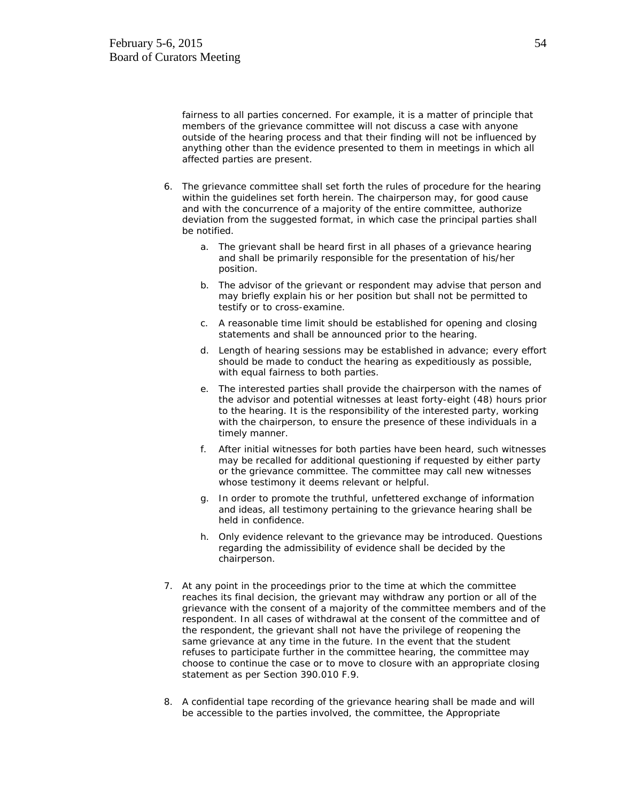fairness to all parties concerned. For example, it is a matter of principle that members of the grievance committee will not discuss a case with anyone outside of the hearing process and that their finding will not be influenced by anything other than the evidence presented to them in meetings in which all affected parties are present.

- 6. The grievance committee shall set forth the rules of procedure for the hearing within the guidelines set forth herein. The chairperson may, for good cause and with the concurrence of a majority of the entire committee, authorize deviation from the suggested format, in which case the principal parties shall be notified.
	- a. The grievant shall be heard first in all phases of a grievance hearing and shall be primarily responsible for the presentation of his/her position.
	- b. The advisor of the grievant or respondent may advise that person and may briefly explain his or her position but shall not be permitted to testify or to cross-examine.
	- c. A reasonable time limit should be established for opening and closing statements and shall be announced prior to the hearing.
	- d. Length of hearing sessions may be established in advance; every effort should be made to conduct the hearing as expeditiously as possible, with equal fairness to both parties.
	- e. The interested parties shall provide the chairperson with the names of the advisor and potential witnesses at least forty-eight (48) hours prior to the hearing. It is the responsibility of the interested party, working with the chairperson, to ensure the presence of these individuals in a timely manner.
	- f. After initial witnesses for both parties have been heard, such witnesses may be recalled for additional questioning if requested by either party or the grievance committee. The committee may call new witnesses whose testimony it deems relevant or helpful.
	- g. In order to promote the truthful, unfettered exchange of information and ideas, all testimony pertaining to the grievance hearing shall be held in confidence.
	- h. Only evidence relevant to the grievance may be introduced. Questions regarding the admissibility of evidence shall be decided by the chairperson.
- 7. At any point in the proceedings prior to the time at which the committee reaches its final decision, the grievant may withdraw any portion or all of the grievance with the consent of a majority of the committee members and of the respondent. In all cases of withdrawal at the consent of the committee and of the respondent, the grievant shall not have the privilege of reopening the same grievance at any time in the future. In the event that the student refuses to participate further in the committee hearing, the committee may choose to continue the case or to move to closure with an appropriate closing statement as per Section 390.010 F.9.
- 8. A confidential tape recording of the grievance hearing shall be made and will be accessible to the parties involved, the committee, the Appropriate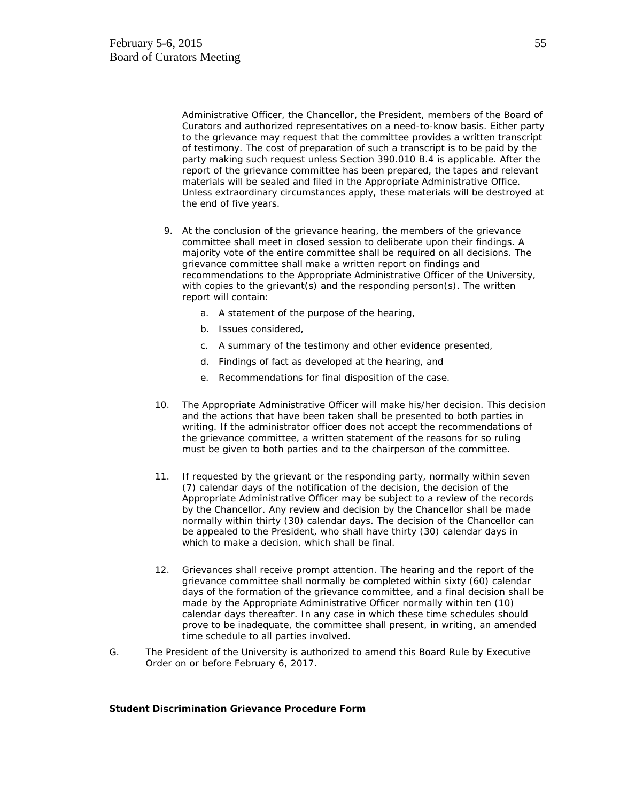Administrative Officer, the Chancellor, the President, members of the Board of Curators and authorized representatives on a need-to-know basis. Either party to the grievance may request that the committee provides a written transcript of testimony. The cost of preparation of such a transcript is to be paid by the party making such request unless Section 390.010 B.4 is applicable. After the report of the grievance committee has been prepared, the tapes and relevant materials will be sealed and filed in the Appropriate Administrative Office. Unless extraordinary circumstances apply, these materials will be destroyed at the end of five years.

- 9. At the conclusion of the grievance hearing, the members of the grievance committee shall meet in closed session to deliberate upon their findings. A majority vote of the entire committee shall be required on all decisions. The grievance committee shall make a written report on findings and recommendations to the Appropriate Administrative Officer of the University, with copies to the grievant(s) and the responding person(s). The written report will contain:
	- a. A statement of the purpose of the hearing,
	- b. Issues considered,
	- c. A summary of the testimony and other evidence presented,
	- d. Findings of fact as developed at the hearing, and
	- e. Recommendations for final disposition of the case.
- 10. The Appropriate Administrative Officer will make his/her decision. This decision and the actions that have been taken shall be presented to both parties in writing. If the administrator officer does not accept the recommendations of the grievance committee, a written statement of the reasons for so ruling must be given to both parties and to the chairperson of the committee.
- 11. If requested by the grievant or the responding party, normally within seven (7) calendar days of the notification of the decision, the decision of the Appropriate Administrative Officer may be subject to a review of the records by the Chancellor. Any review and decision by the Chancellor shall be made normally within thirty (30) calendar days. The decision of the Chancellor can be appealed to the President, who shall have thirty (30) calendar days in which to make a decision, which shall be final.
- 12. Grievances shall receive prompt attention. The hearing and the report of the grievance committee shall normally be completed within sixty (60) calendar days of the formation of the grievance committee, and a final decision shall be made by the Appropriate Administrative Officer normally within ten (10) calendar days thereafter. In any case in which these time schedules should prove to be inadequate, the committee shall present, in writing, an amended time schedule to all parties involved.
- G. The President of the University is authorized to amend this Board Rule by Executive Order on or before February 6, 2017.

## **Student Discrimination Grievance Procedure Form**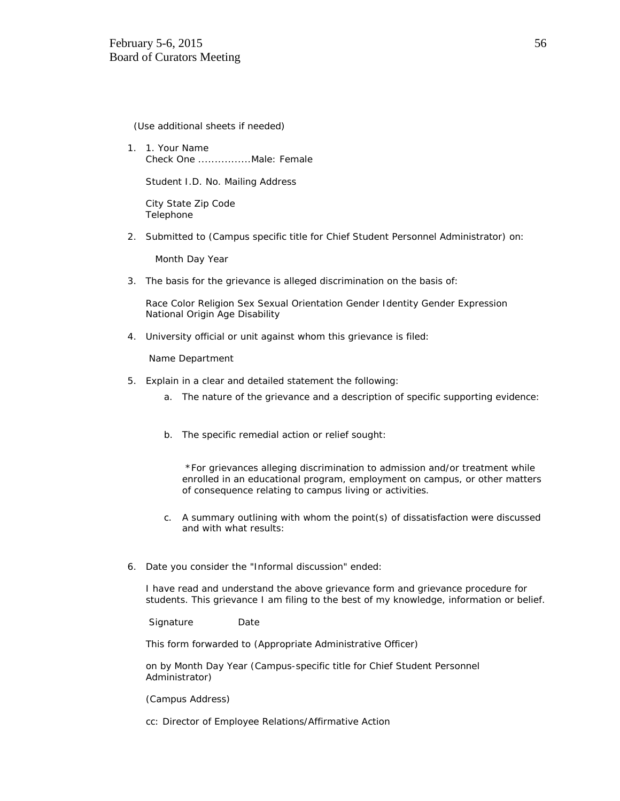(Use additional sheets if needed)

1. 1. Your Name Check One ................Male: Female

Student I.D. No. Mailing Address

City State Zip Code Telephone

2. Submitted to (Campus specific title for Chief Student Personnel Administrator) on:

Month Day Year

3. The basis for the grievance is alleged discrimination on the basis of:

Race Color Religion Sex Sexual Orientation Gender Identity Gender Expression National Origin Age Disability

4. University official or unit against whom this grievance is filed:

Name Department

- 5. Explain in a clear and detailed statement the following:
	- a. The nature of the grievance and a description of specific supporting evidence:
	- b. The specific remedial action or relief sought:

\*For grievances alleging discrimination to admission and/or treatment while enrolled in an educational program, employment on campus, or other matters of consequence relating to campus living or activities.

- c. A summary outlining with whom the point(s) of dissatisfaction were discussed and with what results:
- 6. Date you consider the "Informal discussion" ended:

I have read and understand the above grievance form and grievance procedure for students. This grievance I am filing to the best of my knowledge, information or belief.

Signature Date

This form forwarded to (Appropriate Administrative Officer)

on by Month Day Year (Campus-specific title for Chief Student Personnel Administrator)

(Campus Address)

cc: Director of Employee Relations/Affirmative Action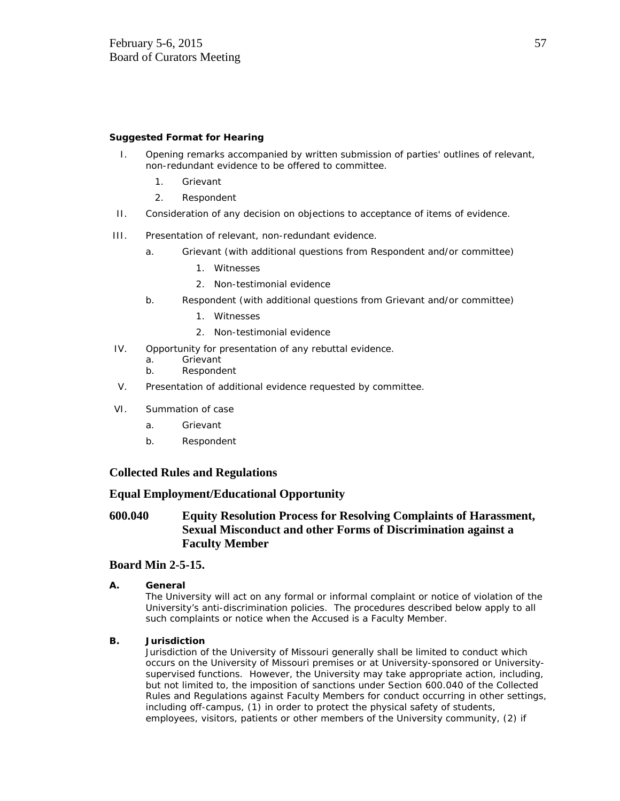## **Suggested Format for Hearing**

- I. Opening remarks accompanied by written submission of parties' outlines of relevant, non-redundant evidence to be offered to committee.
	- 1. Grievant
	- 2. Respondent
- II. Consideration of any decision on objections to acceptance of items of evidence.
- III. Presentation of relevant, non-redundant evidence.
	- a. Grievant (with additional questions from Respondent and/or committee)
		- 1. Witnesses
		- 2. Non-testimonial evidence
	- b. Respondent (with additional questions from Grievant and/or committee)
		- 1. Witnesses
		- 2. Non-testimonial evidence
- IV. Opportunity for presentation of any rebuttal evidence.
	- a. Grievant
	- b. Respondent
- V. Presentation of additional evidence requested by committee.
- VI. Summation of case
	- a. Grievant
	- b. Respondent

# **Collected Rules and Regulations**

# **Equal Employment/Educational Opportunity**

# **600.040 Equity Resolution Process for Resolving Complaints of Harassment, Sexual Misconduct and other Forms of Discrimination against a Faculty Member**

# **Board Min 2-5-15.**

## **A. General**

The University will act on any formal or informal complaint or notice of violation of the University's anti-discrimination policies. The procedures described below apply to all such complaints or notice when the Accused is a Faculty Member.

## **B. Jurisdiction**

Jurisdiction of the University of Missouri generally shall be limited to conduct which occurs on the University of Missouri premises or at University-sponsored or Universitysupervised functions. However, the University may take appropriate action, including, but not limited to, the imposition of sanctions under Section 600.040 of the Collected Rules and Regulations against Faculty Members for conduct occurring in other settings, including off-campus, (1) in order to protect the physical safety of students, employees, visitors, patients or other members of the University community, (2) if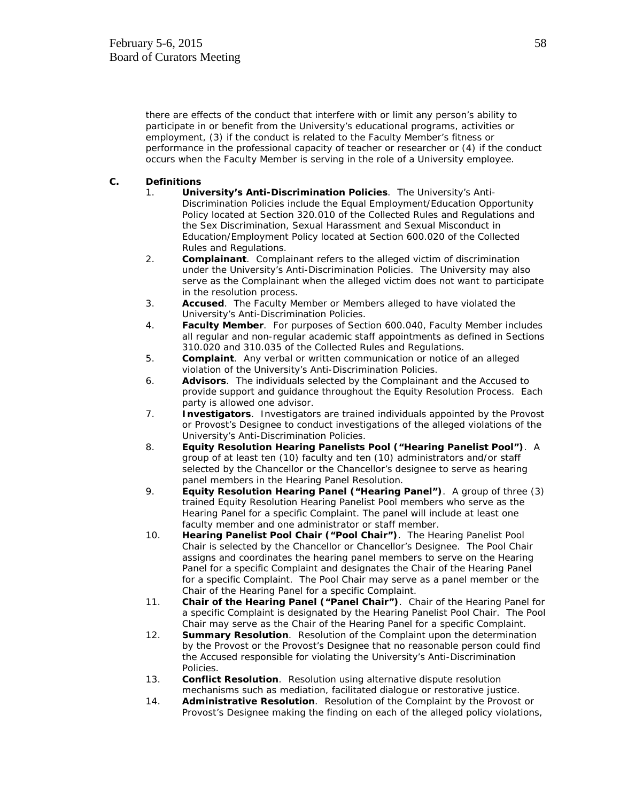there are effects of the conduct that interfere with or limit any person's ability to participate in or benefit from the University's educational programs, activities or employment, (3) if the conduct is related to the Faculty Member's fitness or performance in the professional capacity of teacher or researcher or (4) if the conduct occurs when the Faculty Member is serving in the role of a University employee.

## **C. Definitions**

- 1. **University's Anti-Discrimination Policies**. The University's Anti-Discrimination Policies include the Equal Employment/Education Opportunity Policy located at Section 320.010 of the Collected Rules and Regulations and the Sex Discrimination, Sexual Harassment and Sexual Misconduct in Education/Employment Policy located at Section 600.020 of the Collected Rules and Regulations.
- 2. **Complainant**. Complainant refers to the alleged victim of discrimination under the University's Anti-Discrimination Policies. The University may also serve as the Complainant when the alleged victim does not want to participate in the resolution process.
- 3. **Accused**. The Faculty Member or Members alleged to have violated the University's Anti-Discrimination Policies.
- 4. **Faculty Member**. For purposes of Section 600.040, Faculty Member includes all regular and non-regular academic staff appointments as defined in Sections 310.020 and 310.035 of the Collected Rules and Regulations.
- 5. **Complaint**. Any verbal or written communication or notice of an alleged violation of the University's Anti-Discrimination Policies.
- 6. **Advisors**. The individuals selected by the Complainant and the Accused to provide support and guidance throughout the Equity Resolution Process. Each party is allowed one advisor.
- 7. **Investigators**. Investigators are trained individuals appointed by the Provost or Provost's Designee to conduct investigations of the alleged violations of the University's Anti-Discrimination Policies.
- 8. **Equity Resolution Hearing Panelists Pool ("Hearing Panelist Pool")**. A group of at least ten (10) faculty and ten (10) administrators and/or staff selected by the Chancellor or the Chancellor's designee to serve as hearing panel members in the Hearing Panel Resolution.
- 9. **Equity Resolution Hearing Panel ("Hearing Panel")**. A group of three (3) trained Equity Resolution Hearing Panelist Pool members who serve as the Hearing Panel for a specific Complaint. The panel will include at least one faculty member and one administrator or staff member.
- 10. **Hearing Panelist Pool Chair ("Pool Chair")**. The Hearing Panelist Pool Chair is selected by the Chancellor or Chancellor's Designee. The Pool Chair assigns and coordinates the hearing panel members to serve on the Hearing Panel for a specific Complaint and designates the Chair of the Hearing Panel for a specific Complaint. The Pool Chair may serve as a panel member or the Chair of the Hearing Panel for a specific Complaint.
- 11. **Chair of the Hearing Panel ("Panel Chair")**. Chair of the Hearing Panel for a specific Complaint is designated by the Hearing Panelist Pool Chair. The Pool Chair may serve as the Chair of the Hearing Panel for a specific Complaint.
- 12. **Summary Resolution**. Resolution of the Complaint upon the determination by the Provost or the Provost's Designee that no reasonable person could find the Accused responsible for violating the University's Anti-Discrimination Policies.
- 13. **Conflict Resolution**. Resolution using alternative dispute resolution mechanisms such as mediation, facilitated dialogue or restorative justice.
- 14. **Administrative Resolution**. Resolution of the Complaint by the Provost or Provost's Designee making the finding on each of the alleged policy violations,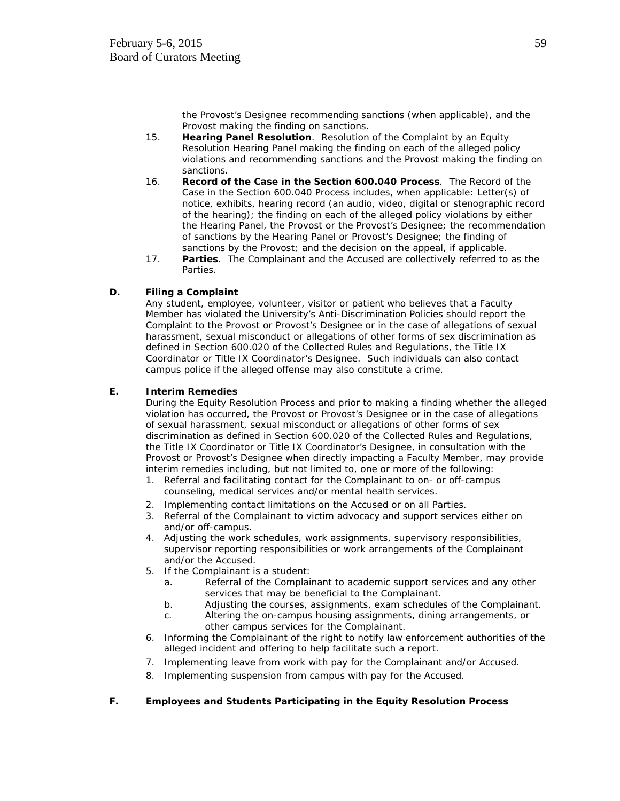the Provost's Designee recommending sanctions (when applicable), and the Provost making the finding on sanctions.

- 15. **Hearing Panel Resolution**. Resolution of the Complaint by an Equity Resolution Hearing Panel making the finding on each of the alleged policy violations and recommending sanctions and the Provost making the finding on sanctions.
- 16. **Record of the Case in the Section 600.040 Process**. The Record of the Case in the Section 600.040 Process includes, when applicable: Letter(s) of notice, exhibits, hearing record (an audio, video, digital or stenographic record of the hearing); the finding on each of the alleged policy violations by either the Hearing Panel, the Provost or the Provost's Designee; the recommendation of sanctions by the Hearing Panel or Provost's Designee; the finding of sanctions by the Provost; and the decision on the appeal, if applicable.
- 17. **Parties**. The Complainant and the Accused are collectively referred to as the Parties.

# **D. Filing a Complaint**

Any student, employee, volunteer, visitor or patient who believes that a Faculty Member has violated the University's Anti-Discrimination Policies should report the Complaint to the Provost or Provost's Designee or in the case of allegations of sexual harassment, sexual misconduct or allegations of other forms of sex discrimination as defined in Section 600.020 of the Collected Rules and Regulations, the Title IX Coordinator or Title IX Coordinator's Designee. Such individuals can also contact campus police if the alleged offense may also constitute a crime.

## **E. Interim Remedies**

During the Equity Resolution Process and prior to making a finding whether the alleged violation has occurred, the Provost or Provost's Designee or in the case of allegations of sexual harassment, sexual misconduct or allegations of other forms of sex discrimination as defined in Section 600.020 of the Collected Rules and Regulations, the Title IX Coordinator or Title IX Coordinator's Designee, in consultation with the Provost or Provost's Designee when directly impacting a Faculty Member, may provide interim remedies including, but not limited to, one or more of the following:

- 1. Referral and facilitating contact for the Complainant to on- or off-campus counseling, medical services and/or mental health services.
- 2. Implementing contact limitations on the Accused or on all Parties.
- 3. Referral of the Complainant to victim advocacy and support services either on and/or off-campus.
- 4. Adjusting the work schedules, work assignments, supervisory responsibilities, supervisor reporting responsibilities or work arrangements of the Complainant and/or the Accused.
- 5. If the Complainant is a student:
	- a. Referral of the Complainant to academic support services and any other services that may be beneficial to the Complainant.
	- b. Adjusting the courses, assignments, exam schedules of the Complainant.
	- c. Altering the on-campus housing assignments, dining arrangements, or other campus services for the Complainant.
- 6. Informing the Complainant of the right to notify law enforcement authorities of the alleged incident and offering to help facilitate such a report.
- 7. Implementing leave from work with pay for the Complainant and/or Accused.
- 8. Implementing suspension from campus with pay for the Accused.

## **F. Employees and Students Participating in the Equity Resolution Process**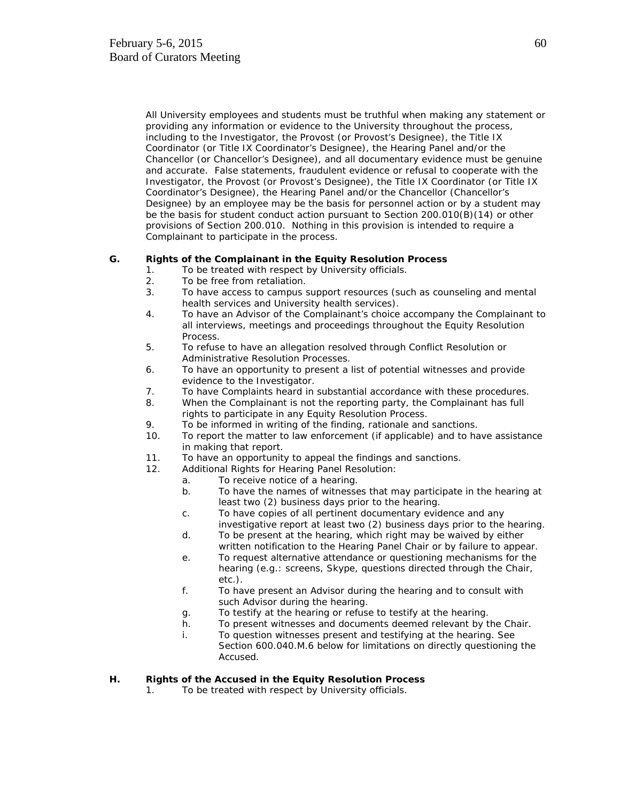All University employees and students must be truthful when making any statement or providing any information or evidence to the University throughout the process, including to the Investigator, the Provost (or Provost's Designee), the Title IX Coordinator (or Title IX Coordinator's Designee), the Hearing Panel and/or the Chancellor (or Chancellor's Designee), and all documentary evidence must be genuine and accurate. False statements, fraudulent evidence or refusal to cooperate with the Investigator, the Provost (or Provost's Designee), the Title IX Coordinator (or Title IX Coordinator's Designee), the Hearing Panel and/or the Chancellor (Chancellor's Designee) by an employee may be the basis for personnel action or by a student may be the basis for student conduct action pursuant to Section 200.010(B)(14) or other provisions of Section 200.010. Nothing in this provision is intended to require a Complainant to participate in the process.

## **G. Rights of the Complainant in the Equity Resolution Process**

- 1. To be treated with respect by University officials.
- 2. To be free from retaliation.
- 3. To have access to campus support resources (such as counseling and mental health services and University health services).
- 4. To have an Advisor of the Complainant's choice accompany the Complainant to all interviews, meetings and proceedings throughout the Equity Resolution Process.
- 5. To refuse to have an allegation resolved through Conflict Resolution or Administrative Resolution Processes.
- 6. To have an opportunity to present a list of potential witnesses and provide evidence to the Investigator.
- 7. To have Complaints heard in substantial accordance with these procedures.
- 8. When the Complainant is not the reporting party, the Complainant has full rights to participate in any Equity Resolution Process.
- 9. To be informed in writing of the finding, rationale and sanctions.
- 10. To report the matter to law enforcement (if applicable) and to have assistance in making that report.
- 11. To have an opportunity to appeal the findings and sanctions.
- 12. Additional Rights for Hearing Panel Resolution:
	- a. To receive notice of a hearing.
	- b. To have the names of witnesses that may participate in the hearing at least two (2) business days prior to the hearing.
	- c. To have copies of all pertinent documentary evidence and any investigative report at least two (2) business days prior to the hearing.
	- d. To be present at the hearing, which right may be waived by either written notification to the Hearing Panel Chair or by failure to appear.
	- e. To request alternative attendance or questioning mechanisms for the hearing (e.g.: screens, Skype, questions directed through the Chair, etc.).
	- f. To have present an Advisor during the hearing and to consult with such Advisor during the hearing.
	- g. To testify at the hearing or refuse to testify at the hearing.
	- h. To present witnesses and documents deemed relevant by the Chair.
	- i. To question witnesses present and testifying at the hearing. See Section 600.040.M.6 below for limitations on directly questioning the Accused.

## **H. Rights of the Accused in the Equity Resolution Process**

1. To be treated with respect by University officials.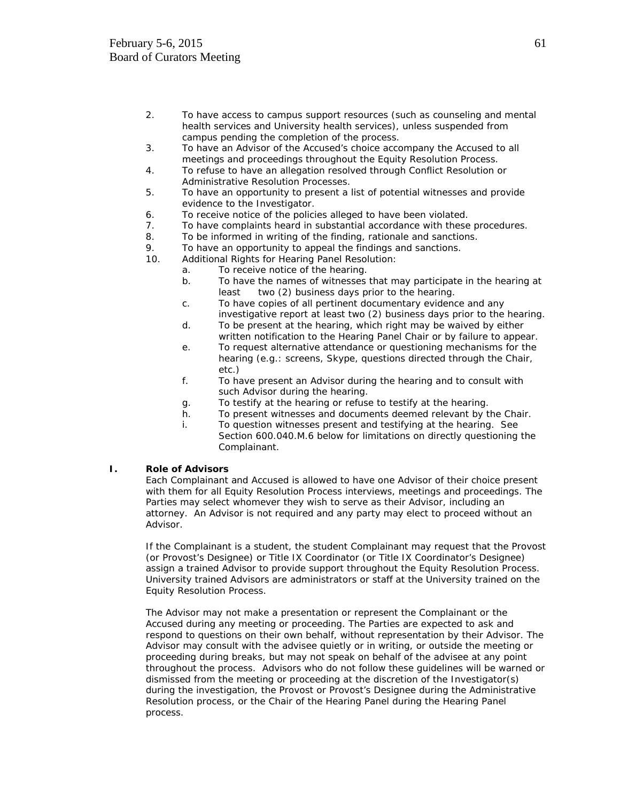- 2. To have access to campus support resources (such as counseling and mental health services and University health services), unless suspended from campus pending the completion of the process.
- 3. To have an Advisor of the Accused's choice accompany the Accused to all meetings and proceedings throughout the Equity Resolution Process.
- 4. To refuse to have an allegation resolved through Conflict Resolution or Administrative Resolution Processes.
- 5. To have an opportunity to present a list of potential witnesses and provide evidence to the Investigator.
- 6. To receive notice of the policies alleged to have been violated.
- 7. To have complaints heard in substantial accordance with these procedures.
- 8. To be informed in writing of the finding, rationale and sanctions.
- 9. To have an opportunity to appeal the findings and sanctions.
- 10. Additional Rights for Hearing Panel Resolution:
	- a. To receive notice of the hearing.
	- b. To have the names of witnesses that may participate in the hearing at least two (2) business days prior to the hearing.
	- c. To have copies of all pertinent documentary evidence and any investigative report at least two (2) business days prior to the hearing.
	- d. To be present at the hearing, which right may be waived by either written notification to the Hearing Panel Chair or by failure to appear.
	- e. To request alternative attendance or questioning mechanisms for the hearing (e.g.: screens, Skype, questions directed through the Chair, etc.)
	- f. To have present an Advisor during the hearing and to consult with such Advisor during the hearing.
	- g. To testify at the hearing or refuse to testify at the hearing.
	- h. To present witnesses and documents deemed relevant by the Chair.
	- i. To question witnesses present and testifying at the hearing. See Section 600.040.M.6 below for limitations on directly questioning the Complainant.

## **I. Role of Advisors**

Each Complainant and Accused is allowed to have one Advisor of their choice present with them for all Equity Resolution Process interviews, meetings and proceedings. The Parties may select whomever they wish to serve as their Advisor, including an attorney. An Advisor is not required and any party may elect to proceed without an Advisor.

If the Complainant is a student, the student Complainant may request that the Provost (or Provost's Designee) or Title IX Coordinator (or Title IX Coordinator's Designee) assign a trained Advisor to provide support throughout the Equity Resolution Process. University trained Advisors are administrators or staff at the University trained on the Equity Resolution Process.

The Advisor may not make a presentation or represent the Complainant or the Accused during any meeting or proceeding. The Parties are expected to ask and respond to questions on their own behalf, without representation by their Advisor. The Advisor may consult with the advisee quietly or in writing, or outside the meeting or proceeding during breaks, but may not speak on behalf of the advisee at any point throughout the process. Advisors who do not follow these guidelines will be warned or dismissed from the meeting or proceeding at the discretion of the Investigator(s) during the investigation, the Provost or Provost's Designee during the Administrative Resolution process, or the Chair of the Hearing Panel during the Hearing Panel process.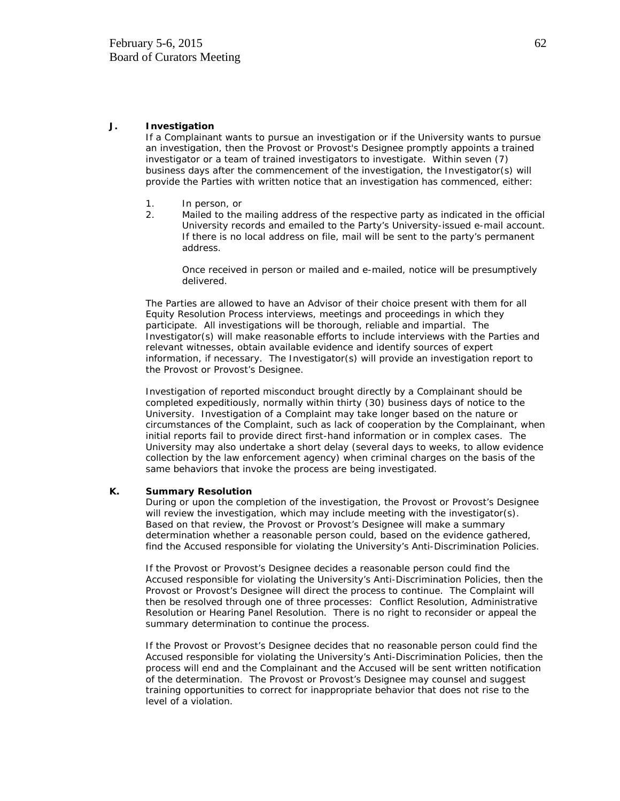#### **J. Investigation**

If a Complainant wants to pursue an investigation or if the University wants to pursue an investigation, then the Provost or Provost's Designee promptly appoints a trained investigator or a team of trained investigators to investigate. Within seven (7) business days after the commencement of the investigation, the Investigator(s) will provide the Parties with written notice that an investigation has commenced, either:

- 1. In person, or
- 2. Mailed to the mailing address of the respective party as indicated in the official University records and emailed to the Party's University-issued e-mail account. If there is no local address on file, mail will be sent to the party's permanent address.

Once received in person or mailed and e-mailed, notice will be presumptively delivered.

The Parties are allowed to have an Advisor of their choice present with them for all Equity Resolution Process interviews, meetings and proceedings in which they participate. All investigations will be thorough, reliable and impartial. The Investigator(s) will make reasonable efforts to include interviews with the Parties and relevant witnesses, obtain available evidence and identify sources of expert information, if necessary. The Investigator(s) will provide an investigation report to the Provost or Provost's Designee.

Investigation of reported misconduct brought directly by a Complainant should be completed expeditiously, normally within thirty (30) business days of notice to the University. Investigation of a Complaint may take longer based on the nature or circumstances of the Complaint, such as lack of cooperation by the Complainant, when initial reports fail to provide direct first-hand information or in complex cases. The University may also undertake a short delay (several days to weeks, to allow evidence collection by the law enforcement agency) when criminal charges on the basis of the same behaviors that invoke the process are being investigated.

#### **K. Summary Resolution**

During or upon the completion of the investigation, the Provost or Provost's Designee will review the investigation, which may include meeting with the investigator(s). Based on that review, the Provost or Provost's Designee will make a summary determination whether a reasonable person could, based on the evidence gathered, find the Accused responsible for violating the University's Anti-Discrimination Policies.

If the Provost or Provost's Designee decides a reasonable person could find the Accused responsible for violating the University's Anti-Discrimination Policies, then the Provost or Provost's Designee will direct the process to continue. The Complaint will then be resolved through one of three processes: Conflict Resolution, Administrative Resolution or Hearing Panel Resolution. There is no right to reconsider or appeal the summary determination to continue the process.

If the Provost or Provost's Designee decides that no reasonable person could find the Accused responsible for violating the University's Anti-Discrimination Policies, then the process will end and the Complainant and the Accused will be sent written notification of the determination. The Provost or Provost's Designee may counsel and suggest training opportunities to correct for inappropriate behavior that does not rise to the level of a violation.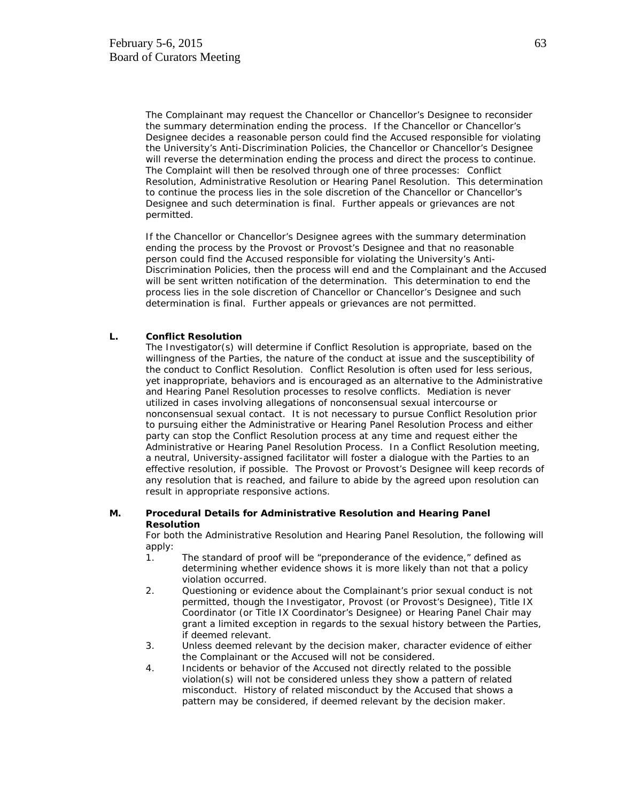The Complainant may request the Chancellor or Chancellor's Designee to reconsider the summary determination ending the process. If the Chancellor or Chancellor's Designee decides a reasonable person could find the Accused responsible for violating the University's Anti-Discrimination Policies, the Chancellor or Chancellor's Designee will reverse the determination ending the process and direct the process to continue. The Complaint will then be resolved through one of three processes: Conflict Resolution, Administrative Resolution or Hearing Panel Resolution. This determination to continue the process lies in the sole discretion of the Chancellor or Chancellor's Designee and such determination is final. Further appeals or grievances are not permitted.

If the Chancellor or Chancellor's Designee agrees with the summary determination ending the process by the Provost or Provost's Designee and that no reasonable person could find the Accused responsible for violating the University's Anti-Discrimination Policies, then the process will end and the Complainant and the Accused will be sent written notification of the determination. This determination to end the process lies in the sole discretion of Chancellor or Chancellor's Designee and such determination is final. Further appeals or grievances are not permitted.

## **L. Conflict Resolution**

The Investigator(s) will determine if Conflict Resolution is appropriate, based on the willingness of the Parties, the nature of the conduct at issue and the susceptibility of the conduct to Conflict Resolution. Conflict Resolution is often used for less serious, yet inappropriate, behaviors and is encouraged as an alternative to the Administrative and Hearing Panel Resolution processes to resolve conflicts. Mediation is never utilized in cases involving allegations of nonconsensual sexual intercourse or nonconsensual sexual contact. It is not necessary to pursue Conflict Resolution prior to pursuing either the Administrative or Hearing Panel Resolution Process and either party can stop the Conflict Resolution process at any time and request either the Administrative or Hearing Panel Resolution Process. In a Conflict Resolution meeting, a neutral, University-assigned facilitator will foster a dialogue with the Parties to an effective resolution, if possible. The Provost or Provost's Designee will keep records of any resolution that is reached, and failure to abide by the agreed upon resolution can result in appropriate responsive actions.

#### **M. Procedural Details for Administrative Resolution and Hearing Panel Resolution**

For both the Administrative Resolution and Hearing Panel Resolution, the following will apply:

- 1. The standard of proof will be "preponderance of the evidence," defined as determining whether evidence shows it is more likely than not that a policy violation occurred.
- 2. Questioning or evidence about the Complainant's prior sexual conduct is not permitted, though the Investigator, Provost (or Provost's Designee), Title IX Coordinator (or Title IX Coordinator's Designee) or Hearing Panel Chair may grant a limited exception in regards to the sexual history between the Parties, if deemed relevant.
- 3. Unless deemed relevant by the decision maker, character evidence of either the Complainant or the Accused will not be considered.
- 4. Incidents or behavior of the Accused not directly related to the possible violation(s) will not be considered unless they show a pattern of related misconduct. History of related misconduct by the Accused that shows a pattern may be considered, if deemed relevant by the decision maker.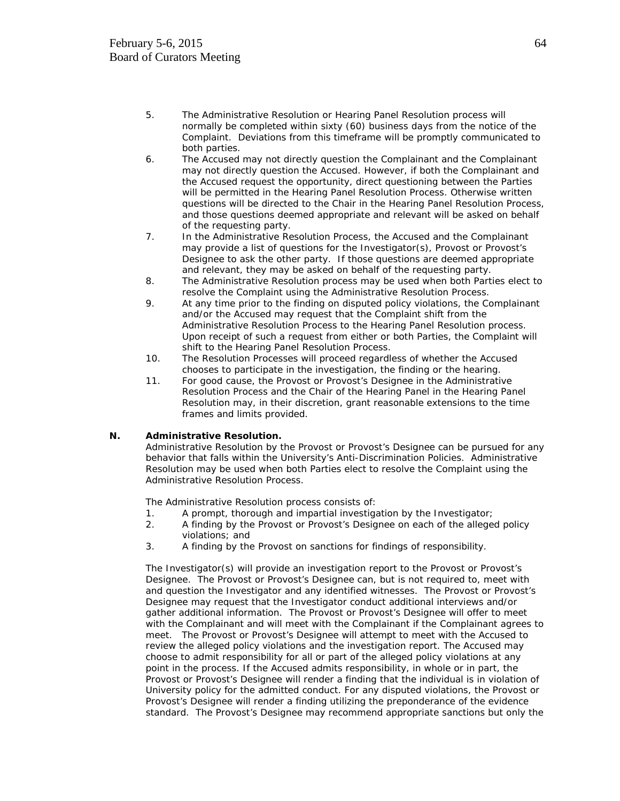- 5. The Administrative Resolution or Hearing Panel Resolution process will normally be completed within sixty (60) business days from the notice of the Complaint. Deviations from this timeframe will be promptly communicated to both parties.
- 6. The Accused may not directly question the Complainant and the Complainant may not directly question the Accused. However, if both the Complainant and the Accused request the opportunity, direct questioning between the Parties will be permitted in the Hearing Panel Resolution Process. Otherwise written questions will be directed to the Chair in the Hearing Panel Resolution Process, and those questions deemed appropriate and relevant will be asked on behalf of the requesting party.
- 7. In the Administrative Resolution Process, the Accused and the Complainant may provide a list of questions for the Investigator(s), Provost or Provost's Designee to ask the other party. If those questions are deemed appropriate and relevant, they may be asked on behalf of the requesting party.
- 8. The Administrative Resolution process may be used when both Parties elect to resolve the Complaint using the Administrative Resolution Process.
- 9. At any time prior to the finding on disputed policy violations, the Complainant and/or the Accused may request that the Complaint shift from the Administrative Resolution Process to the Hearing Panel Resolution process. Upon receipt of such a request from either or both Parties, the Complaint will shift to the Hearing Panel Resolution Process.
- 10. The Resolution Processes will proceed regardless of whether the Accused chooses to participate in the investigation, the finding or the hearing.
- 11. For good cause, the Provost or Provost's Designee in the Administrative Resolution Process and the Chair of the Hearing Panel in the Hearing Panel Resolution may, in their discretion, grant reasonable extensions to the time frames and limits provided.

## **N. Administrative Resolution.**

Administrative Resolution by the Provost or Provost's Designee can be pursued for any behavior that falls within the University's Anti-Discrimination Policies. Administrative Resolution may be used when both Parties elect to resolve the Complaint using the Administrative Resolution Process.

The Administrative Resolution process consists of:

- 1. A prompt, thorough and impartial investigation by the Investigator;
- 2. A finding by the Provost or Provost's Designee on each of the alleged policy violations; and
- 3. A finding by the Provost on sanctions for findings of responsibility.

The Investigator(s) will provide an investigation report to the Provost or Provost's Designee. The Provost or Provost's Designee can, but is not required to, meet with and question the Investigator and any identified witnesses. The Provost or Provost's Designee may request that the Investigator conduct additional interviews and/or gather additional information. The Provost or Provost's Designee will offer to meet with the Complainant and will meet with the Complainant if the Complainant agrees to meet. The Provost or Provost's Designee will attempt to meet with the Accused to review the alleged policy violations and the investigation report. The Accused may choose to admit responsibility for all or part of the alleged policy violations at any point in the process. If the Accused admits responsibility, in whole or in part, the Provost or Provost's Designee will render a finding that the individual is in violation of University policy for the admitted conduct. For any disputed violations, the Provost or Provost's Designee will render a finding utilizing the preponderance of the evidence standard. The Provost's Designee may recommend appropriate sanctions but only the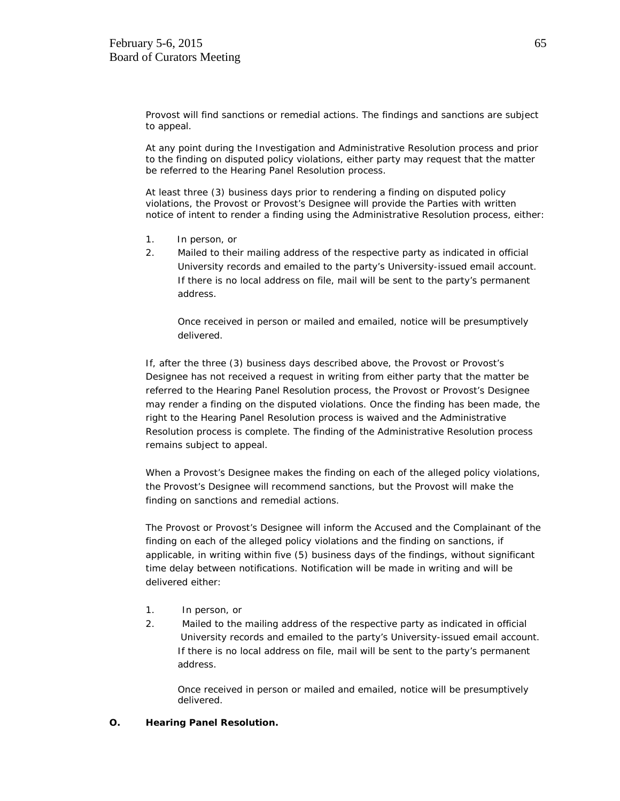Provost will find sanctions or remedial actions. The findings and sanctions are subject to appeal.

At any point during the Investigation and Administrative Resolution process and prior to the finding on disputed policy violations, either party may request that the matter be referred to the Hearing Panel Resolution process.

At least three (3) business days prior to rendering a finding on disputed policy violations, the Provost or Provost's Designee will provide the Parties with written notice of intent to render a finding using the Administrative Resolution process, either:

- 1. In person, or
- 2. Mailed to their mailing address of the respective party as indicated in official University records and emailed to the party's University-issued email account. If there is no local address on file, mail will be sent to the party's permanent address.

Once received in person or mailed and emailed, notice will be presumptively delivered.

If, after the three (3) business days described above, the Provost or Provost's Designee has not received a request in writing from either party that the matter be referred to the Hearing Panel Resolution process, the Provost or Provost's Designee may render a finding on the disputed violations. Once the finding has been made, the right to the Hearing Panel Resolution process is waived and the Administrative Resolution process is complete. The finding of the Administrative Resolution process remains subject to appeal.

When a Provost's Designee makes the finding on each of the alleged policy violations, the Provost's Designee will recommend sanctions, but the Provost will make the finding on sanctions and remedial actions.

The Provost or Provost's Designee will inform the Accused and the Complainant of the finding on each of the alleged policy violations and the finding on sanctions, if applicable, in writing within five (5) business days of the findings, without significant time delay between notifications. Notification will be made in writing and will be delivered either:

- 1. In person, or
- 2. Mailed to the mailing address of the respective party as indicated in official University records and emailed to the party's University-issued email account. If there is no local address on file, mail will be sent to the party's permanent address.

Once received in person or mailed and emailed, notice will be presumptively delivered.

## **O. Hearing Panel Resolution.**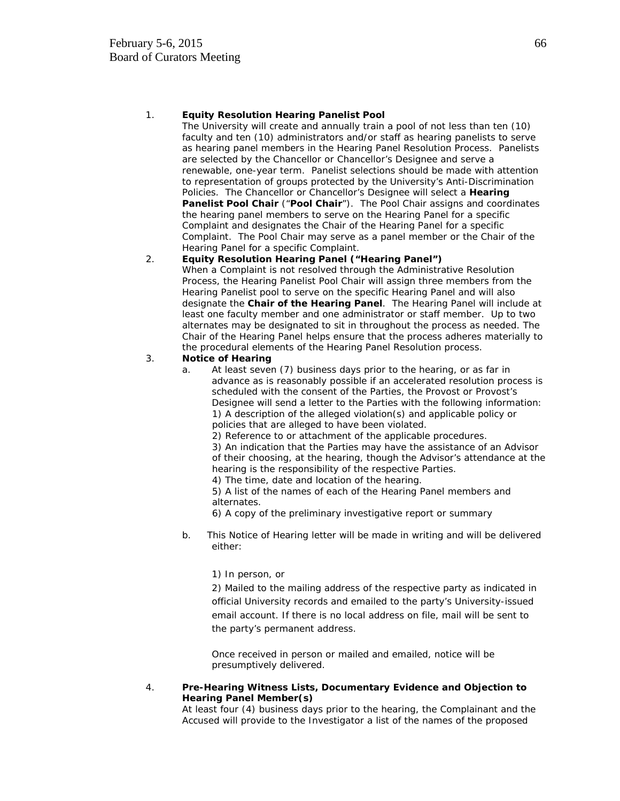## 1. **Equity Resolution Hearing Panelist Pool**

The University will create and annually train a pool of not less than ten (10) faculty and ten (10) administrators and/or staff as hearing panelists to serve as hearing panel members in the Hearing Panel Resolution Process. Panelists are selected by the Chancellor or Chancellor's Designee and serve a renewable, one-year term. Panelist selections should be made with attention to representation of groups protected by the University's Anti-Discrimination Policies. The Chancellor or Chancellor's Designee will select a **Hearing Panelist Pool Chair** ("**Pool Chair**"). The Pool Chair assigns and coordinates the hearing panel members to serve on the Hearing Panel for a specific Complaint and designates the Chair of the Hearing Panel for a specific Complaint. The Pool Chair may serve as a panel member or the Chair of the Hearing Panel for a specific Complaint.

## 2. **Equity Resolution Hearing Panel ("Hearing Panel")**

When a Complaint is not resolved through the Administrative Resolution Process, the Hearing Panelist Pool Chair will assign three members from the Hearing Panelist pool to serve on the specific Hearing Panel and will also designate the **Chair of the Hearing Panel**. The Hearing Panel will include at least one faculty member and one administrator or staff member. Up to two alternates may be designated to sit in throughout the process as needed. The Chair of the Hearing Panel helps ensure that the process adheres materially to the procedural elements of the Hearing Panel Resolution process.

## 3. **Notice of Hearing**

- a. At least seven (7) business days prior to the hearing, or as far in advance as is reasonably possible if an accelerated resolution process is scheduled with the consent of the Parties, the Provost or Provost's Designee will send a letter to the Parties with the following information: 1) A description of the alleged violation(s) and applicable policy or policies that are alleged to have been violated.
	- 2) Reference to or attachment of the applicable procedures.

3) An indication that the Parties may have the assistance of an Advisor of their choosing, at the hearing, though the Advisor's attendance at the hearing is the responsibility of the respective Parties.

4) The time, date and location of the hearing.

5) A list of the names of each of the Hearing Panel members and alternates.

6) A copy of the preliminary investigative report or summary

 b. This Notice of Hearing letter will be made in writing and will be delivered either:

## 1) In person, or

2) Mailed to the mailing address of the respective party as indicated in official University records and emailed to the party's University-issued email account. If there is no local address on file, mail will be sent to the party's permanent address.

Once received in person or mailed and emailed, notice will be presumptively delivered.

## 4. **Pre-Hearing Witness Lists, Documentary Evidence and Objection to Hearing Panel Member(s)**

At least four (4) business days prior to the hearing, the Complainant and the Accused will provide to the Investigator a list of the names of the proposed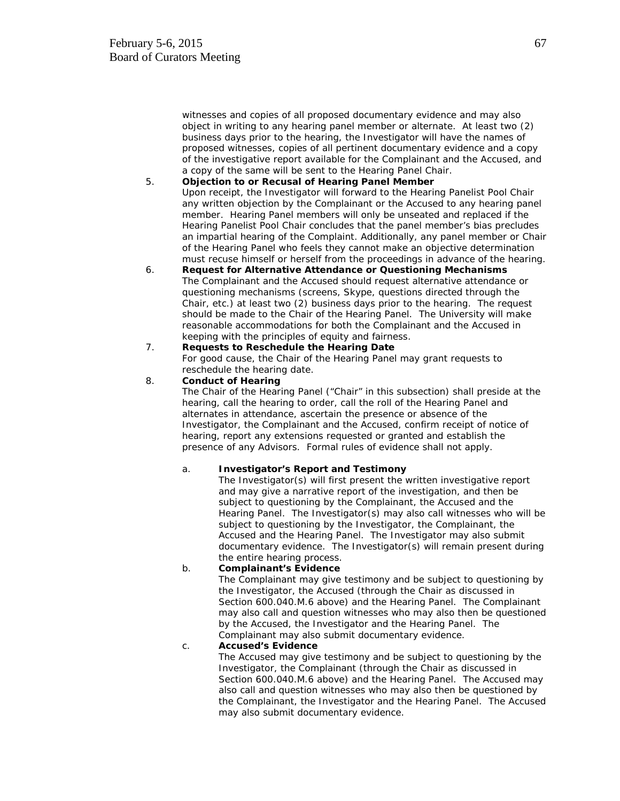witnesses and copies of all proposed documentary evidence and may also object in writing to any hearing panel member or alternate. At least two (2) business days prior to the hearing, the Investigator will have the names of proposed witnesses, copies of all pertinent documentary evidence and a copy of the investigative report available for the Complainant and the Accused, and a copy of the same will be sent to the Hearing Panel Chair.

#### 5. **Objection to or Recusal of Hearing Panel Member**

Upon receipt, the Investigator will forward to the Hearing Panelist Pool Chair any written objection by the Complainant or the Accused to any hearing panel member. Hearing Panel members will only be unseated and replaced if the Hearing Panelist Pool Chair concludes that the panel member's bias precludes an impartial hearing of the Complaint. Additionally, any panel member or Chair of the Hearing Panel who feels they cannot make an objective determination must recuse himself or herself from the proceedings in advance of the hearing.

6. **Request for Alternative Attendance or Questioning Mechanisms** The Complainant and the Accused should request alternative attendance or questioning mechanisms (screens, Skype, questions directed through the Chair, etc.) at least two (2) business days prior to the hearing. The request should be made to the Chair of the Hearing Panel. The University will make reasonable accommodations for both the Complainant and the Accused in keeping with the principles of equity and fairness.

## 7. **Requests to Reschedule the Hearing Date**

For good cause, the Chair of the Hearing Panel may grant requests to reschedule the hearing date.

#### 8. **Conduct of Hearing**

The Chair of the Hearing Panel ("Chair" in this subsection) shall preside at the hearing, call the hearing to order, call the roll of the Hearing Panel and alternates in attendance, ascertain the presence or absence of the Investigator, the Complainant and the Accused, confirm receipt of notice of hearing, report any extensions requested or granted and establish the presence of any Advisors. Formal rules of evidence shall not apply.

#### a. **Investigator's Report and Testimony**

The Investigator(s) will first present the written investigative report and may give a narrative report of the investigation, and then be subject to questioning by the Complainant, the Accused and the Hearing Panel. The Investigator(s) may also call witnesses who will be subject to questioning by the Investigator, the Complainant, the Accused and the Hearing Panel. The Investigator may also submit documentary evidence. The Investigator(s) will remain present during the entire hearing process.

#### b. **Complainant's Evidence**

The Complainant may give testimony and be subject to questioning by the Investigator, the Accused (through the Chair as discussed in Section 600.040.M.6 above) and the Hearing Panel. The Complainant may also call and question witnesses who may also then be questioned by the Accused, the Investigator and the Hearing Panel. The Complainant may also submit documentary evidence.

#### c. **Accused's Evidence**

The Accused may give testimony and be subject to questioning by the Investigator, the Complainant (through the Chair as discussed in Section 600.040.M.6 above) and the Hearing Panel. The Accused may also call and question witnesses who may also then be questioned by the Complainant, the Investigator and the Hearing Panel. The Accused may also submit documentary evidence.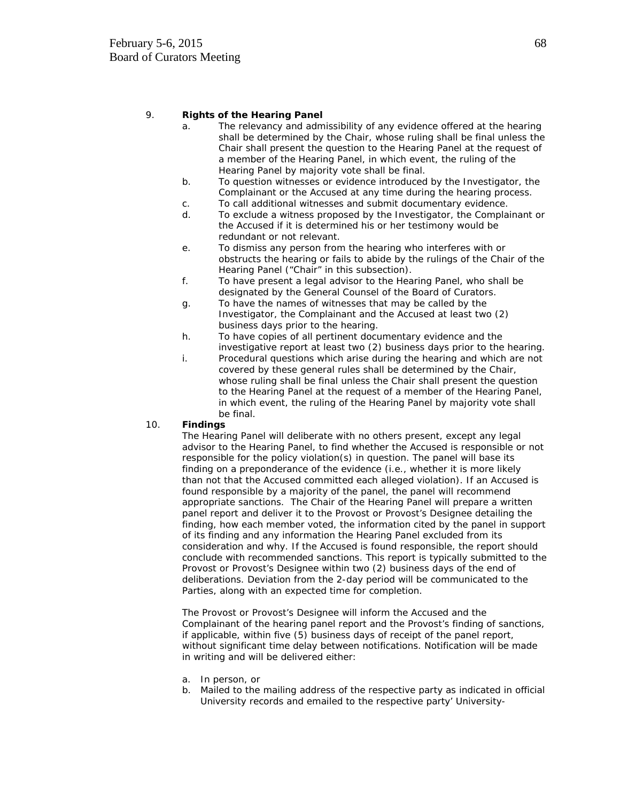## 9. **Rights of the Hearing Panel**

- a. The relevancy and admissibility of any evidence offered at the hearing shall be determined by the Chair, whose ruling shall be final unless the Chair shall present the question to the Hearing Panel at the request of a member of the Hearing Panel, in which event, the ruling of the Hearing Panel by majority vote shall be final.
- b. To question witnesses or evidence introduced by the Investigator, the Complainant or the Accused at any time during the hearing process.
- c. To call additional witnesses and submit documentary evidence.
- d. To exclude a witness proposed by the Investigator, the Complainant or the Accused if it is determined his or her testimony would be redundant or not relevant.
- e. To dismiss any person from the hearing who interferes with or obstructs the hearing or fails to abide by the rulings of the Chair of the Hearing Panel ("Chair" in this subsection).
- f. To have present a legal advisor to the Hearing Panel, who shall be designated by the General Counsel of the Board of Curators.
- g. To have the names of witnesses that may be called by the Investigator, the Complainant and the Accused at least two (2) business days prior to the hearing.
- h. To have copies of all pertinent documentary evidence and the investigative report at least two (2) business days prior to the hearing.
- i. Procedural questions which arise during the hearing and which are not covered by these general rules shall be determined by the Chair, whose ruling shall be final unless the Chair shall present the question to the Hearing Panel at the request of a member of the Hearing Panel, in which event, the ruling of the Hearing Panel by majority vote shall be final.

## 10. **Findings**

The Hearing Panel will deliberate with no others present, except any legal advisor to the Hearing Panel, to find whether the Accused is responsible or not responsible for the policy violation(s) in question. The panel will base its finding on a preponderance of the evidence (i.e., whether it is more likely than not that the Accused committed each alleged violation). If an Accused is found responsible by a majority of the panel, the panel will recommend appropriate sanctions. The Chair of the Hearing Panel will prepare a written panel report and deliver it to the Provost or Provost's Designee detailing the finding, how each member voted, the information cited by the panel in support of its finding and any information the Hearing Panel excluded from its consideration and why. If the Accused is found responsible, the report should conclude with recommended sanctions. This report is typically submitted to the Provost or Provost's Designee within two (2) business days of the end of deliberations. Deviation from the 2-day period will be communicated to the Parties, along with an expected time for completion.

The Provost or Provost's Designee will inform the Accused and the Complainant of the hearing panel report and the Provost's finding of sanctions, if applicable, within five (5) business days of receipt of the panel report, without significant time delay between notifications. Notification will be made in writing and will be delivered either:

- a. In person, or
- b. Mailed to the mailing address of the respective party as indicated in official University records and emailed to the respective party' University-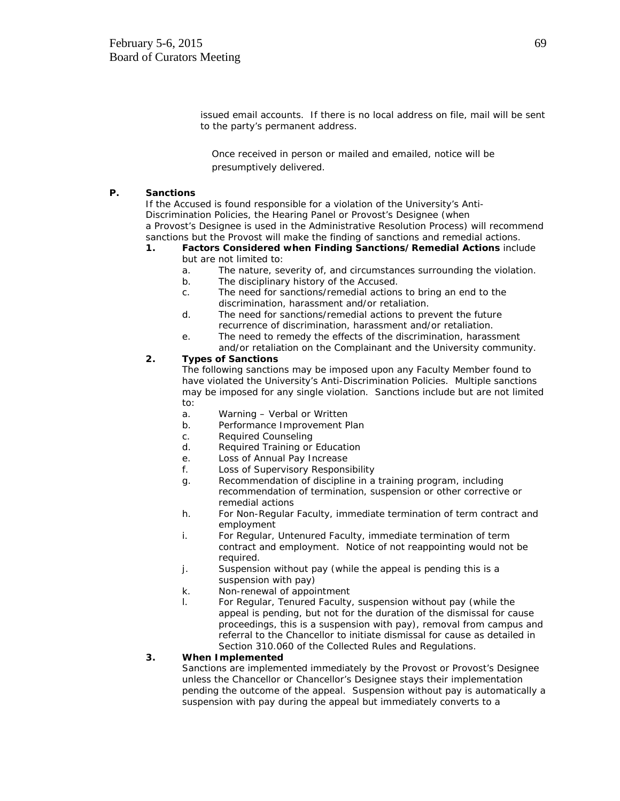issued email accounts. If there is no local address on file, mail will be sent to the party's permanent address.

Once received in person or mailed and emailed, notice will be presumptively delivered.

#### **P. Sanctions**

If the Accused is found responsible for a violation of the University's Anti-Discrimination Policies, the Hearing Panel or Provost's Designee (when a Provost's Designee is used in the Administrative Resolution Process) will recommend sanctions but the Provost will make the finding of sanctions and remedial actions.

#### **1. Factors Considered when Finding Sanctions/Remedial Actions** include but are not limited to:

- a. The nature, severity of, and circumstances surrounding the violation.
- b. The disciplinary history of the Accused.
- c. The need for sanctions/remedial actions to bring an end to the discrimination, harassment and/or retaliation.
- d. The need for sanctions/remedial actions to prevent the future recurrence of discrimination, harassment and/or retaliation.
- e. The need to remedy the effects of the discrimination, harassment and/or retaliation on the Complainant and the University community.

## **2. Types of Sanctions**

The following sanctions may be imposed upon any Faculty Member found to have violated the University's Anti-Discrimination Policies. Multiple sanctions may be imposed for any single violation. Sanctions include but are not limited to:

- a. Warning Verbal or Written
- b. Performance Improvement Plan
- c. Required Counseling
- d. Required Training or Education
- e. Loss of Annual Pay Increase
- f. Loss of Supervisory Responsibility
- g. Recommendation of discipline in a training program, including recommendation of termination, suspension or other corrective or remedial actions
- h. For Non-Regular Faculty, immediate termination of term contract and employment
- i. For Regular, Untenured Faculty, immediate termination of term contract and employment. Notice of not reappointing would not be required.
- j. Suspension without pay (while the appeal is pending this is a suspension with pay)
- k. Non-renewal of appointment
- l. For Regular, Tenured Faculty, suspension without pay (while the appeal is pending, but not for the duration of the dismissal for cause proceedings, this is a suspension with pay), removal from campus and referral to the Chancellor to initiate dismissal for cause as detailed in Section 310.060 of the Collected Rules and Regulations.

## **3. When Implemented**

Sanctions are implemented immediately by the Provost or Provost's Designee unless the Chancellor or Chancellor's Designee stays their implementation pending the outcome of the appeal. Suspension without pay is automatically a suspension with pay during the appeal but immediately converts to a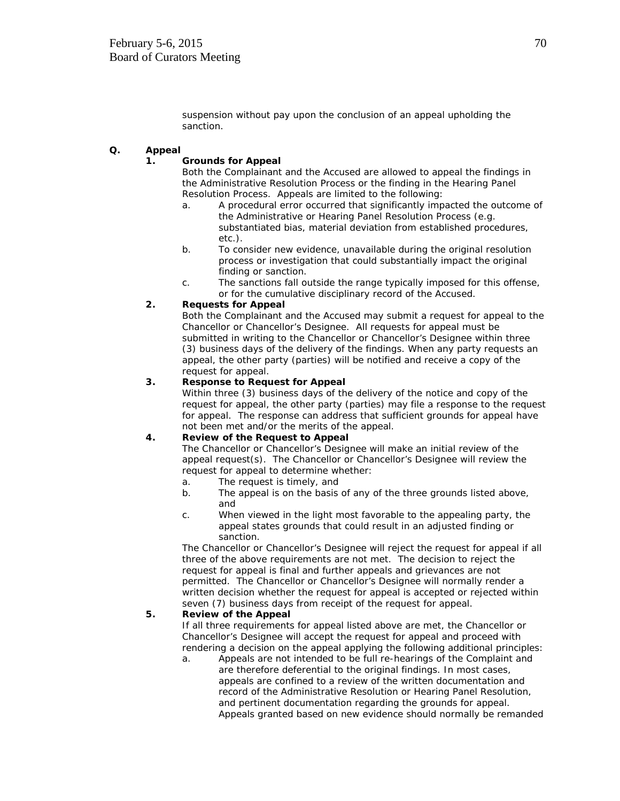suspension without pay upon the conclusion of an appeal upholding the sanction.

## **Q. Appeal**

#### **1. Grounds for Appeal**

Both the Complainant and the Accused are allowed to appeal the findings in the Administrative Resolution Process or the finding in the Hearing Panel Resolution Process. Appeals are limited to the following:

- a. A procedural error occurred that significantly impacted the outcome of the Administrative or Hearing Panel Resolution Process (e.g. substantiated bias, material deviation from established procedures, etc.).
- b. To consider new evidence, unavailable during the original resolution process or investigation that could substantially impact the original finding or sanction.
- c. The sanctions fall outside the range typically imposed for this offense, or for the cumulative disciplinary record of the Accused.

## **2. Requests for Appeal**

Both the Complainant and the Accused may submit a request for appeal to the Chancellor or Chancellor's Designee. All requests for appeal must be submitted in writing to the Chancellor or Chancellor's Designee within three (3) business days of the delivery of the findings. When any party requests an appeal, the other party (parties) will be notified and receive a copy of the request for appeal.

## **3. Response to Request for Appeal**

Within three (3) business days of the delivery of the notice and copy of the request for appeal, the other party (parties) may file a response to the request for appeal. The response can address that sufficient grounds for appeal have not been met and/or the merits of the appeal.

# **4. Review of the Request to Appeal**

The Chancellor or Chancellor's Designee will make an initial review of the appeal request(s). The Chancellor or Chancellor's Designee will review the request for appeal to determine whether:

- a. The request is timely, and
- b. The appeal is on the basis of any of the three grounds listed above, and
- c. When viewed in the light most favorable to the appealing party, the appeal states grounds that could result in an adjusted finding or sanction.

The Chancellor or Chancellor's Designee will reject the request for appeal if all three of the above requirements are not met. The decision to reject the request for appeal is final and further appeals and grievances are not permitted. The Chancellor or Chancellor's Designee will normally render a written decision whether the request for appeal is accepted or rejected within seven (7) business days from receipt of the request for appeal.

## **5. Review of the Appeal**

If all three requirements for appeal listed above are met, the Chancellor or Chancellor's Designee will accept the request for appeal and proceed with rendering a decision on the appeal applying the following additional principles:

a. Appeals are not intended to be full re-hearings of the Complaint and are therefore deferential to the original findings. In most cases, appeals are confined to a review of the written documentation and record of the Administrative Resolution or Hearing Panel Resolution, and pertinent documentation regarding the grounds for appeal. Appeals granted based on new evidence should normally be remanded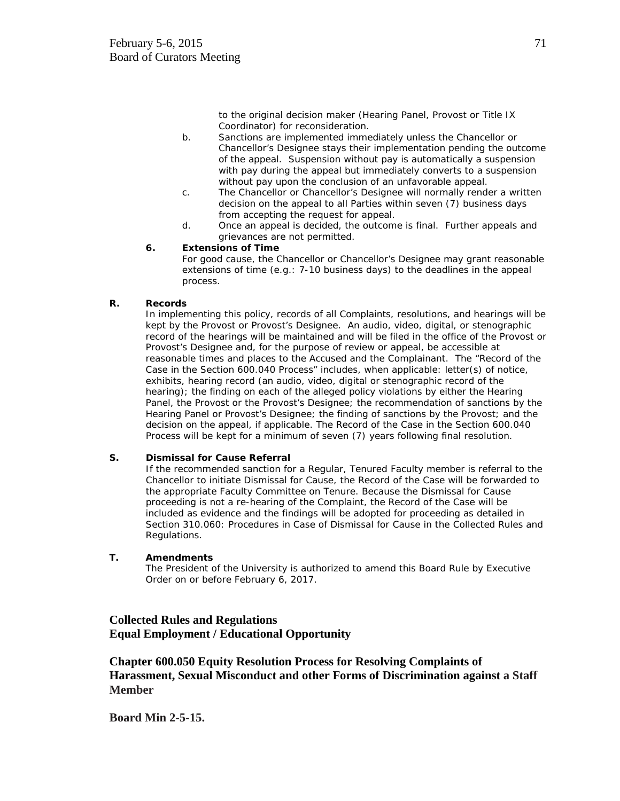to the original decision maker (Hearing Panel, Provost or Title IX Coordinator) for reconsideration.

- b. Sanctions are implemented immediately unless the Chancellor or Chancellor's Designee stays their implementation pending the outcome of the appeal. Suspension without pay is automatically a suspension with pay during the appeal but immediately converts to a suspension without pay upon the conclusion of an unfavorable appeal.
- c. The Chancellor or Chancellor's Designee will normally render a written decision on the appeal to all Parties within seven (7) business days from accepting the request for appeal.
- d. Once an appeal is decided, the outcome is final. Further appeals and grievances are not permitted.

## **6. Extensions of Time**

For good cause, the Chancellor or Chancellor's Designee may grant reasonable extensions of time (e.g.: 7-10 business days) to the deadlines in the appeal process.

## **R. Records**

In implementing this policy, records of all Complaints, resolutions, and hearings will be kept by the Provost or Provost's Designee. An audio, video, digital, or stenographic record of the hearings will be maintained and will be filed in the office of the Provost or Provost's Designee and, for the purpose of review or appeal, be accessible at reasonable times and places to the Accused and the Complainant. The "Record of the Case in the Section 600.040 Process" includes, when applicable: letter(s) of notice, exhibits, hearing record (an audio, video, digital or stenographic record of the hearing); the finding on each of the alleged policy violations by either the Hearing Panel, the Provost or the Provost's Designee; the recommendation of sanctions by the Hearing Panel or Provost's Designee; the finding of sanctions by the Provost; and the decision on the appeal, if applicable. The Record of the Case in the Section 600.040 Process will be kept for a minimum of seven (7) years following final resolution.

## **S. Dismissal for Cause Referral**

If the recommended sanction for a Regular, Tenured Faculty member is referral to the Chancellor to initiate Dismissal for Cause, the Record of the Case will be forwarded to the appropriate Faculty Committee on Tenure. Because the Dismissal for Cause proceeding is not a re-hearing of the Complaint, the Record of the Case will be included as evidence and the findings will be adopted for proceeding as detailed in Section 310.060: Procedures in Case of Dismissal for Cause in the Collected Rules and Regulations.

## **T. Amendments**

The President of the University is authorized to amend this Board Rule by Executive Order on or before February 6, 2017.

# **Collected Rules and Regulations Equal Employment / Educational Opportunity**

**Chapter 600.050 Equity Resolution Process for Resolving Complaints of Harassment, Sexual Misconduct and other Forms of Discrimination against a Staff Member**

**Board Min 2-5-15.**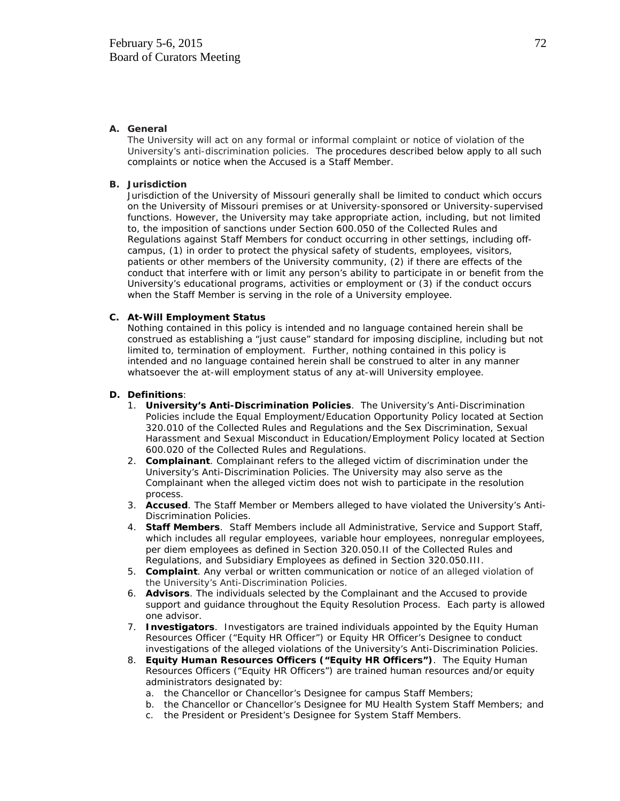#### **A. General**

The University will act on any formal or informal complaint or notice of violation of the University's anti-discrimination policies. The procedures described below apply to all such complaints or notice when the Accused is a Staff Member.

#### **B. Jurisdiction**

Jurisdiction of the University of Missouri generally shall be limited to conduct which occurs on the University of Missouri premises or at University-sponsored or University-supervised functions. However, the University may take appropriate action, including, but not limited to, the imposition of sanctions under Section 600.050 of the Collected Rules and Regulations against Staff Members for conduct occurring in other settings, including offcampus, (1) in order to protect the physical safety of students, employees, visitors, patients or other members of the University community, (2) if there are effects of the conduct that interfere with or limit any person's ability to participate in or benefit from the University's educational programs, activities or employment or (3) if the conduct occurs when the Staff Member is serving in the role of a University employee.

#### **C. At-Will Employment Status**

Nothing contained in this policy is intended and no language contained herein shall be construed as establishing a "just cause" standard for imposing discipline, including but not limited to, termination of employment. Further, nothing contained in this policy is intended and no language contained herein shall be construed to alter in any manner whatsoever the at-will employment status of any at-will University employee.

#### **D. Definitions**:

- 1. **University's Anti-Discrimination Policies**. The University's Anti-Discrimination Policies include the Equal Employment/Education Opportunity Policy located at Section 320.010 of the Collected Rules and Regulations and the Sex Discrimination, Sexual Harassment and Sexual Misconduct in Education/Employment Policy located at Section 600.020 of the Collected Rules and Regulations.
- 2. **Complainant**. Complainant refers to the alleged victim of discrimination under the University's Anti-Discrimination Policies. The University may also serve as the Complainant when the alleged victim does not wish to participate in the resolution process.
- 3. **Accused**. The Staff Member or Members alleged to have violated the University's Anti-Discrimination Policies.
- 4. **Staff Members**. Staff Members include all Administrative, Service and Support Staff, which includes all regular employees, variable hour employees, nonregular employees, per diem employees as defined in Section 320.050.II of the Collected Rules and Regulations, and Subsidiary Employees as defined in Section 320.050.III.
- 5. **Complaint**. Any verbal or written communication or notice of an alleged violation of the University's Anti-Discrimination Policies.
- 6. **Advisors**. The individuals selected by the Complainant and the Accused to provide support and guidance throughout the Equity Resolution Process. Each party is allowed one advisor.
- 7. **Investigators**. Investigators are trained individuals appointed by the Equity Human Resources Officer ("Equity HR Officer") or Equity HR Officer's Designee to conduct investigations of the alleged violations of the University's Anti-Discrimination Policies.
- 8. **Equity Human Resources Officers ("Equity HR Officers")**. The Equity Human Resources Officers ("Equity HR Officers") are trained human resources and/or equity administrators designated by:
	- a. the Chancellor or Chancellor's Designee for campus Staff Members;
	- b. the Chancellor or Chancellor's Designee for MU Health System Staff Members; and
	- c. the President or President's Designee for System Staff Members.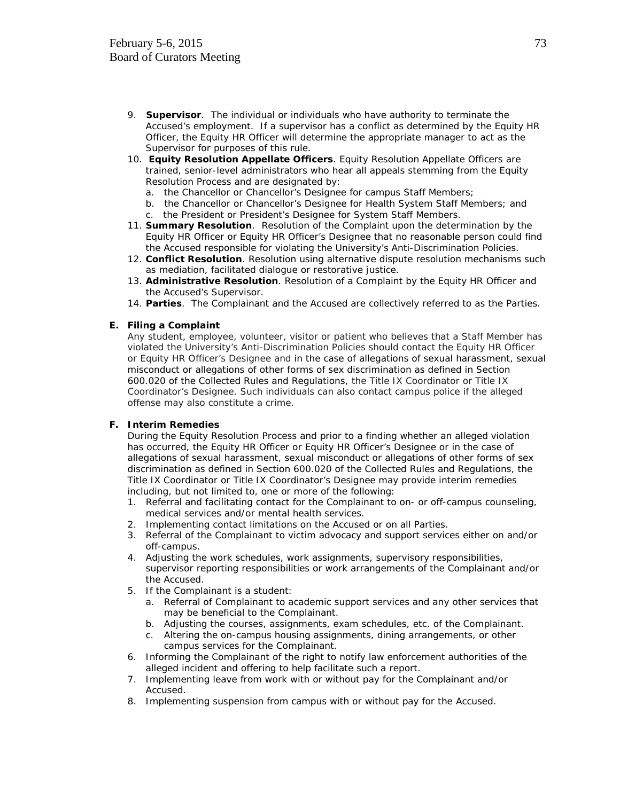- 9. **Supervisor**. The individual or individuals who have authority to terminate the Accused's employment. If a supervisor has a conflict as determined by the Equity HR Officer, the Equity HR Officer will determine the appropriate manager to act as the Supervisor for purposes of this rule.
- 10. **Equity Resolution Appellate Officers**. Equity Resolution Appellate Officers are trained, senior-level administrators who hear all appeals stemming from the Equity Resolution Process and are designated by:
	- a. the Chancellor or Chancellor's Designee for campus Staff Members;
	- b. the Chancellor or Chancellor's Designee for Health System Staff Members; and
	- c. the President or President's Designee for System Staff Members.
- 11. **Summary Resolution**. Resolution of the Complaint upon the determination by the Equity HR Officer or Equity HR Officer's Designee that no reasonable person could find the Accused responsible for violating the University's Anti-Discrimination Policies.
- 12. **Conflict Resolution**. Resolution using alternative dispute resolution mechanisms such as mediation, facilitated dialogue or restorative justice.
- 13. **Administrative Resolution**. Resolution of a Complaint by the Equity HR Officer and the Accused's Supervisor.
- 14. **Parties**. The Complainant and the Accused are collectively referred to as the Parties.

#### **E. Filing a Complaint**

Any student, employee, volunteer, visitor or patient who believes that a Staff Member has violated the University's Anti-Discrimination Policies should contact the Equity HR Officer or Equity HR Officer's Designee and in the case of allegations of sexual harassment, sexual misconduct or allegations of other forms of sex discrimination as defined in Section 600.020 of the Collected Rules and Regulations, the Title IX Coordinator or Title IX Coordinator's Designee. Such individuals can also contact campus police if the alleged offense may also constitute a crime.

#### **F. Interim Remedies**

During the Equity Resolution Process and prior to a finding whether an alleged violation has occurred, the Equity HR Officer or Equity HR Officer's Designee or in the case of allegations of sexual harassment, sexual misconduct or allegations of other forms of sex discrimination as defined in Section 600.020 of the Collected Rules and Regulations, the Title IX Coordinator or Title IX Coordinator's Designee may provide interim remedies including, but not limited to, one or more of the following:

- 1. Referral and facilitating contact for the Complainant to on- or off-campus counseling, medical services and/or mental health services.
- 2. Implementing contact limitations on the Accused or on all Parties.
- 3. Referral of the Complainant to victim advocacy and support services either on and/or off-campus.
- 4. Adjusting the work schedules, work assignments, supervisory responsibilities, supervisor reporting responsibilities or work arrangements of the Complainant and/or the Accused.
- 5. If the Complainant is a student:
	- a. Referral of Complainant to academic support services and any other services that may be beneficial to the Complainant.
	- b. Adjusting the courses, assignments, exam schedules, etc. of the Complainant.
	- c. Altering the on-campus housing assignments, dining arrangements, or other campus services for the Complainant.
- 6. Informing the Complainant of the right to notify law enforcement authorities of the alleged incident and offering to help facilitate such a report.
- 7. Implementing leave from work with or without pay for the Complainant and/or Accused.
- 8. Implementing suspension from campus with or without pay for the Accused.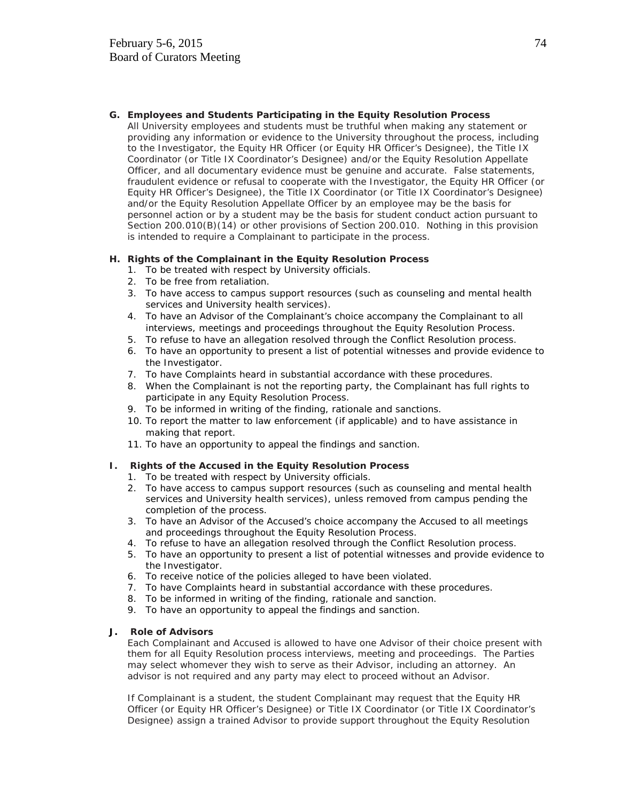#### **G. Employees and Students Participating in the Equity Resolution Process**

All University employees and students must be truthful when making any statement or providing any information or evidence to the University throughout the process, including to the Investigator, the Equity HR Officer (or Equity HR Officer's Designee), the Title IX Coordinator (or Title IX Coordinator's Designee) and/or the Equity Resolution Appellate Officer, and all documentary evidence must be genuine and accurate. False statements, fraudulent evidence or refusal to cooperate with the Investigator, the Equity HR Officer (or Equity HR Officer's Designee), the Title IX Coordinator (or Title IX Coordinator's Designee) and/or the Equity Resolution Appellate Officer by an employee may be the basis for personnel action or by a student may be the basis for student conduct action pursuant to Section 200.010(B)(14) or other provisions of Section 200.010. Nothing in this provision is intended to require a Complainant to participate in the process.

### **H. Rights of the Complainant in the Equity Resolution Process**

- 1. To be treated with respect by University officials.
- 2. To be free from retaliation.
- 3. To have access to campus support resources (such as counseling and mental health services and University health services).
- 4. To have an Advisor of the Complainant's choice accompany the Complainant to all interviews, meetings and proceedings throughout the Equity Resolution Process.
- 5. To refuse to have an allegation resolved through the Conflict Resolution process.
- 6. To have an opportunity to present a list of potential witnesses and provide evidence to the Investigator.
- 7. To have Complaints heard in substantial accordance with these procedures.
- 8. When the Complainant is not the reporting party, the Complainant has full rights to participate in any Equity Resolution Process.
- 9. To be informed in writing of the finding, rationale and sanctions.
- 10. To report the matter to law enforcement (if applicable) and to have assistance in making that report.
- 11. To have an opportunity to appeal the findings and sanction.

#### **I. Rights of the Accused in the Equity Resolution Process**

- 1. To be treated with respect by University officials.
- 2. To have access to campus support resources (such as counseling and mental health services and University health services), unless removed from campus pending the completion of the process.
- 3. To have an Advisor of the Accused's choice accompany the Accused to all meetings and proceedings throughout the Equity Resolution Process.
- 4. To refuse to have an allegation resolved through the Conflict Resolution process.
- 5. To have an opportunity to present a list of potential witnesses and provide evidence to the Investigator.
- 6. To receive notice of the policies alleged to have been violated.
- 7. To have Complaints heard in substantial accordance with these procedures.
- 8. To be informed in writing of the finding, rationale and sanction.
- 9. To have an opportunity to appeal the findings and sanction.

#### **J. Role of Advisors**

Each Complainant and Accused is allowed to have one Advisor of their choice present with them for all Equity Resolution process interviews, meeting and proceedings. The Parties may select whomever they wish to serve as their Advisor, including an attorney. An advisor is not required and any party may elect to proceed without an Advisor.

If Complainant is a student, the student Complainant may request that the Equity HR Officer (or Equity HR Officer's Designee) or Title IX Coordinator (or Title IX Coordinator's Designee) assign a trained Advisor to provide support throughout the Equity Resolution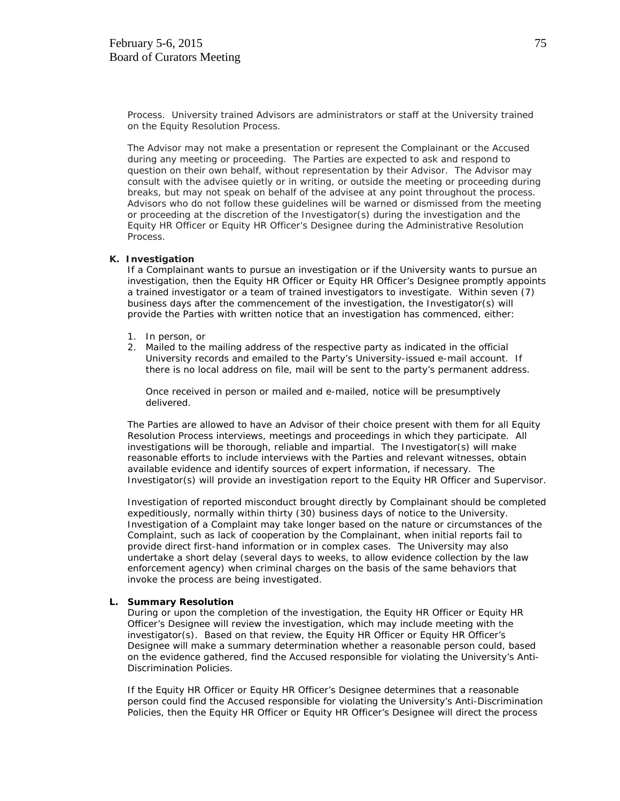Process. University trained Advisors are administrators or staff at the University trained on the Equity Resolution Process.

The Advisor may not make a presentation or represent the Complainant or the Accused during any meeting or proceeding. The Parties are expected to ask and respond to question on their own behalf, without representation by their Advisor. The Advisor may consult with the advisee quietly or in writing, or outside the meeting or proceeding during breaks, but may not speak on behalf of the advisee at any point throughout the process. Advisors who do not follow these guidelines will be warned or dismissed from the meeting or proceeding at the discretion of the Investigator(s) during the investigation and the Equity HR Officer or Equity HR Officer's Designee during the Administrative Resolution Process.

#### **K. Investigation**

If a Complainant wants to pursue an investigation or if the University wants to pursue an investigation, then the Equity HR Officer or Equity HR Officer's Designee promptly appoints a trained investigator or a team of trained investigators to investigate. Within seven (7) business days after the commencement of the investigation, the Investigator(s) will provide the Parties with written notice that an investigation has commenced, either:

- 1. In person, or
- 2. Mailed to the mailing address of the respective party as indicated in the official University records and emailed to the Party's University-issued e-mail account. If there is no local address on file, mail will be sent to the party's permanent address.

Once received in person or mailed and e-mailed, notice will be presumptively delivered.

The Parties are allowed to have an Advisor of their choice present with them for all Equity Resolution Process interviews, meetings and proceedings in which they participate. All investigations will be thorough, reliable and impartial. The Investigator(s) will make reasonable efforts to include interviews with the Parties and relevant witnesses, obtain available evidence and identify sources of expert information, if necessary. The Investigator(s) will provide an investigation report to the Equity HR Officer and Supervisor.

Investigation of reported misconduct brought directly by Complainant should be completed expeditiously, normally within thirty (30) business days of notice to the University. Investigation of a Complaint may take longer based on the nature or circumstances of the Complaint, such as lack of cooperation by the Complainant, when initial reports fail to provide direct first-hand information or in complex cases. The University may also undertake a short delay (several days to weeks, to allow evidence collection by the law enforcement agency) when criminal charges on the basis of the same behaviors that invoke the process are being investigated.

#### **L. Summary Resolution**

During or upon the completion of the investigation, the Equity HR Officer or Equity HR Officer's Designee will review the investigation, which may include meeting with the investigator(s). Based on that review, the Equity HR Officer or Equity HR Officer's Designee will make a summary determination whether a reasonable person could, based on the evidence gathered, find the Accused responsible for violating the University's Anti-Discrimination Policies.

If the Equity HR Officer or Equity HR Officer's Designee determines that a reasonable person could find the Accused responsible for violating the University's Anti-Discrimination Policies, then the Equity HR Officer or Equity HR Officer's Designee will direct the process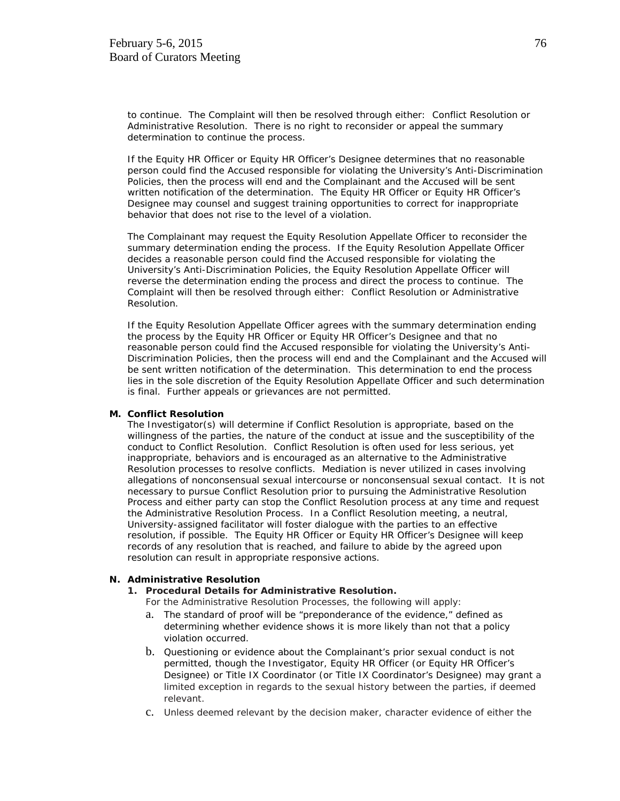to continue. The Complaint will then be resolved through either: Conflict Resolution or Administrative Resolution. There is no right to reconsider or appeal the summary determination to continue the process.

If the Equity HR Officer or Equity HR Officer's Designee determines that no reasonable person could find the Accused responsible for violating the University's Anti-Discrimination Policies, then the process will end and the Complainant and the Accused will be sent written notification of the determination. The Equity HR Officer or Equity HR Officer's Designee may counsel and suggest training opportunities to correct for inappropriate behavior that does not rise to the level of a violation.

The Complainant may request the Equity Resolution Appellate Officer to reconsider the summary determination ending the process. If the Equity Resolution Appellate Officer decides a reasonable person could find the Accused responsible for violating the University's Anti-Discrimination Policies, the Equity Resolution Appellate Officer will reverse the determination ending the process and direct the process to continue. The Complaint will then be resolved through either: Conflict Resolution or Administrative Resolution.

If the Equity Resolution Appellate Officer agrees with the summary determination ending the process by the Equity HR Officer or Equity HR Officer's Designee and that no reasonable person could find the Accused responsible for violating the University's Anti-Discrimination Policies, then the process will end and the Complainant and the Accused will be sent written notification of the determination. This determination to end the process lies in the sole discretion of the Equity Resolution Appellate Officer and such determination is final. Further appeals or grievances are not permitted.

#### **M. Conflict Resolution**

The Investigator(s) will determine if Conflict Resolution is appropriate, based on the willingness of the parties, the nature of the conduct at issue and the susceptibility of the conduct to Conflict Resolution. Conflict Resolution is often used for less serious, yet inappropriate, behaviors and is encouraged as an alternative to the Administrative Resolution processes to resolve conflicts. Mediation is never utilized in cases involving allegations of nonconsensual sexual intercourse or nonconsensual sexual contact. It is not necessary to pursue Conflict Resolution prior to pursuing the Administrative Resolution Process and either party can stop the Conflict Resolution process at any time and request the Administrative Resolution Process. In a Conflict Resolution meeting, a neutral, University-assigned facilitator will foster dialogue with the parties to an effective resolution, if possible. The Equity HR Officer or Equity HR Officer's Designee will keep records of any resolution that is reached, and failure to abide by the agreed upon resolution can result in appropriate responsive actions.

#### **N. Administrative Resolution**

**1. Procedural Details for Administrative Resolution.** 

For the Administrative Resolution Processes, the following will apply:

- a. The standard of proof will be "preponderance of the evidence," defined as determining whether evidence shows it is more likely than not that a policy violation occurred.
- b. Questioning or evidence about the Complainant's prior sexual conduct is not permitted, though the Investigator, Equity HR Officer (or Equity HR Officer's Designee) or Title IX Coordinator (or Title IX Coordinator's Designee) may grant a limited exception in regards to the sexual history between the parties, if deemed relevant.
- c. Unless deemed relevant by the decision maker, character evidence of either the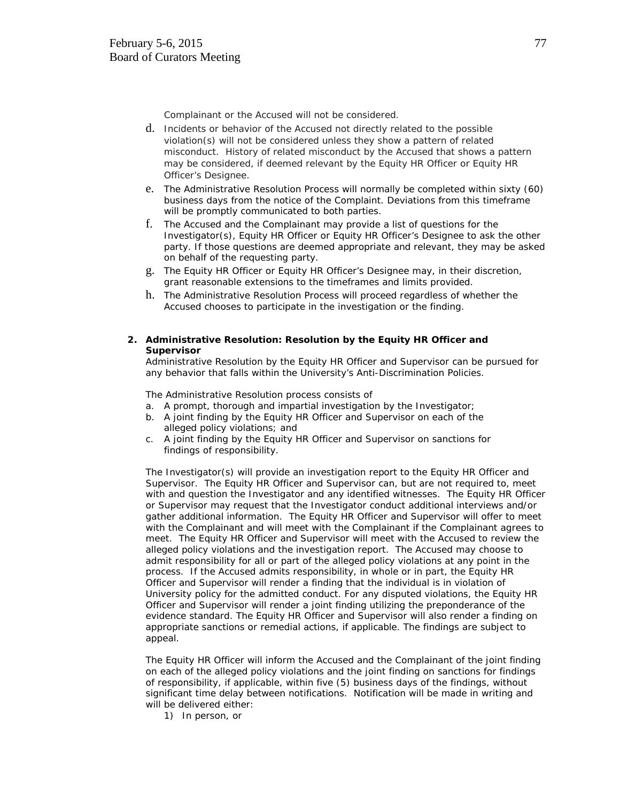Complainant or the Accused will not be considered.

- d. Incidents or behavior of the Accused not directly related to the possible violation(s) will not be considered unless they show a pattern of related misconduct. History of related misconduct by the Accused that shows a pattern may be considered, if deemed relevant by the Equity HR Officer or Equity HR Officer's Designee.
- e. The Administrative Resolution Process will normally be completed within sixty (60) business days from the notice of the Complaint. Deviations from this timeframe will be promptly communicated to both parties.
- f. The Accused and the Complainant may provide a list of questions for the Investigator(s), Equity HR Officer or Equity HR Officer's Designee to ask the other party. If those questions are deemed appropriate and relevant, they may be asked on behalf of the requesting party.
- g. The Equity HR Officer or Equity HR Officer's Designee may, in their discretion, grant reasonable extensions to the timeframes and limits provided.
- h. The Administrative Resolution Process will proceed regardless of whether the Accused chooses to participate in the investigation or the finding.
- **2. Administrative Resolution: Resolution by the Equity HR Officer and Supervisor**

Administrative Resolution by the Equity HR Officer and Supervisor can be pursued for any behavior that falls within the University's Anti-Discrimination Policies.

The Administrative Resolution process consists of

- a. A prompt, thorough and impartial investigation by the Investigator;
- b. A joint finding by the Equity HR Officer and Supervisor on each of the alleged policy violations; and
- c. A joint finding by the Equity HR Officer and Supervisor on sanctions for findings of responsibility.

The Investigator(s) will provide an investigation report to the Equity HR Officer and Supervisor. The Equity HR Officer and Supervisor can, but are not required to, meet with and question the Investigator and any identified witnesses. The Equity HR Officer or Supervisor may request that the Investigator conduct additional interviews and/or gather additional information. The Equity HR Officer and Supervisor will offer to meet with the Complainant and will meet with the Complainant if the Complainant agrees to meet. The Equity HR Officer and Supervisor will meet with the Accused to review the alleged policy violations and the investigation report. The Accused may choose to admit responsibility for all or part of the alleged policy violations at any point in the process. If the Accused admits responsibility, in whole or in part, the Equity HR Officer and Supervisor will render a finding that the individual is in violation of University policy for the admitted conduct. For any disputed violations, the Equity HR Officer and Supervisor will render a joint finding utilizing the preponderance of the evidence standard. The Equity HR Officer and Supervisor will also render a finding on appropriate sanctions or remedial actions, if applicable. The findings are subject to appeal.

The Equity HR Officer will inform the Accused and the Complainant of the joint finding on each of the alleged policy violations and the joint finding on sanctions for findings of responsibility, if applicable, within five (5) business days of the findings, without significant time delay between notifications. Notification will be made in writing and will be delivered either:

1) In person, or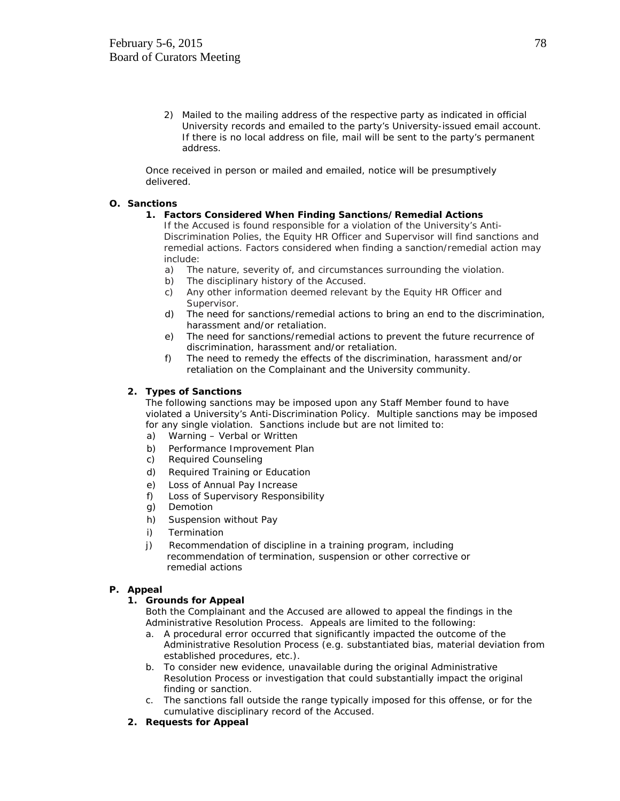2) Mailed to the mailing address of the respective party as indicated in official University records and emailed to the party's University-issued email account. If there is no local address on file, mail will be sent to the party's permanent address.

Once received in person or mailed and emailed, notice will be presumptively delivered.

#### **O. Sanctions**

#### **1. Factors Considered When Finding Sanctions/Remedial Actions**

If the Accused is found responsible for a violation of the University's Anti-Discrimination Polies, the Equity HR Officer and Supervisor will find sanctions and remedial actions. Factors considered when finding a sanction/remedial action may include:

- a) The nature, severity of, and circumstances surrounding the violation.
- b) The disciplinary history of the Accused.
- c) Any other information deemed relevant by the Equity HR Officer and Supervisor.
- d) The need for sanctions/remedial actions to bring an end to the discrimination, harassment and/or retaliation.
- e) The need for sanctions/remedial actions to prevent the future recurrence of discrimination, harassment and/or retaliation.
- f) The need to remedy the effects of the discrimination, harassment and/or retaliation on the Complainant and the University community.

#### **2. Types of Sanctions**

The following sanctions may be imposed upon any Staff Member found to have violated a University's Anti-Discrimination Policy. Multiple sanctions may be imposed for any single violation. Sanctions include but are not limited to:

- a) Warning Verbal or Written
- b) Performance Improvement Plan
- c) Required Counseling
- d) Required Training or Education
- e) Loss of Annual Pay Increase
- f) Loss of Supervisory Responsibility
- g) Demotion
- h) Suspension without Pay
- i) Termination
- j) Recommendation of discipline in a training program, including recommendation of termination, suspension or other corrective or remedial actions

#### **P. Appeal**

#### **1. Grounds for Appeal**

Both the Complainant and the Accused are allowed to appeal the findings in the Administrative Resolution Process. Appeals are limited to the following:

- a. A procedural error occurred that significantly impacted the outcome of the Administrative Resolution Process (e.g. substantiated bias, material deviation from established procedures, etc.).
- b. To consider new evidence, unavailable during the original Administrative Resolution Process or investigation that could substantially impact the original finding or sanction.
- c. The sanctions fall outside the range typically imposed for this offense, or for the cumulative disciplinary record of the Accused.
- **2. Requests for Appeal**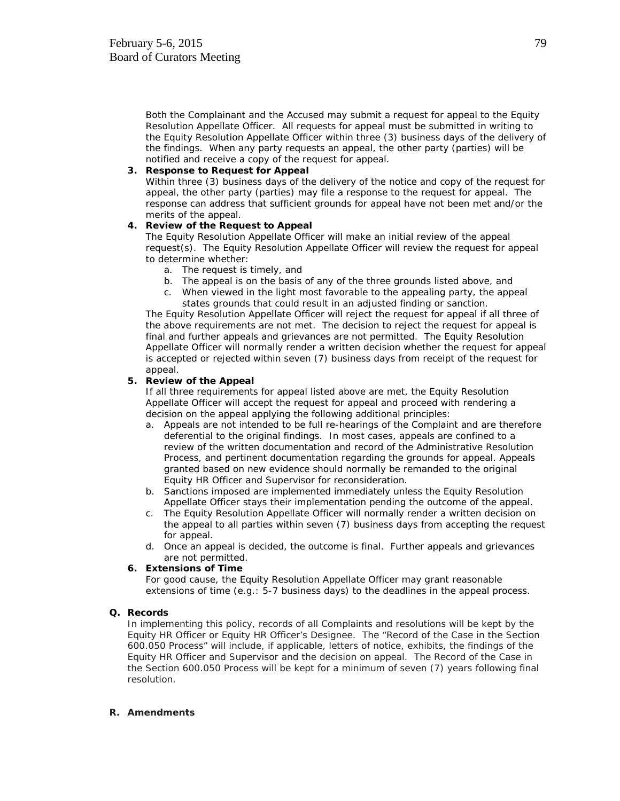Both the Complainant and the Accused may submit a request for appeal to the Equity Resolution Appellate Officer. All requests for appeal must be submitted in writing to the Equity Resolution Appellate Officer within three (3) business days of the delivery of the findings. When any party requests an appeal, the other party (parties) will be notified and receive a copy of the request for appeal.

#### **3. Response to Request for Appeal**

Within three (3) business days of the delivery of the notice and copy of the request for appeal, the other party (parties) may file a response to the request for appeal. The response can address that sufficient grounds for appeal have not been met and/or the merits of the appeal.

#### **4. Review of the Request to Appeal**

The Equity Resolution Appellate Officer will make an initial review of the appeal request(s). The Equity Resolution Appellate Officer will review the request for appeal to determine whether:

- a. The request is timely, and
- b. The appeal is on the basis of any of the three grounds listed above, and
- c. When viewed in the light most favorable to the appealing party, the appeal states grounds that could result in an adjusted finding or sanction.

The Equity Resolution Appellate Officer will reject the request for appeal if all three of the above requirements are not met. The decision to reject the request for appeal is final and further appeals and grievances are not permitted. The Equity Resolution Appellate Officer will normally render a written decision whether the request for appeal is accepted or rejected within seven (7) business days from receipt of the request for appeal.

#### **5. Review of the Appeal**

If all three requirements for appeal listed above are met, the Equity Resolution Appellate Officer will accept the request for appeal and proceed with rendering a decision on the appeal applying the following additional principles:

- a. Appeals are not intended to be full re-hearings of the Complaint and are therefore deferential to the original findings. In most cases, appeals are confined to a review of the written documentation and record of the Administrative Resolution Process, and pertinent documentation regarding the grounds for appeal. Appeals granted based on new evidence should normally be remanded to the original Equity HR Officer and Supervisor for reconsideration.
- b. Sanctions imposed are implemented immediately unless the Equity Resolution Appellate Officer stays their implementation pending the outcome of the appeal.
- c. The Equity Resolution Appellate Officer will normally render a written decision on the appeal to all parties within seven (7) business days from accepting the request for appeal.
- d. Once an appeal is decided, the outcome is final. Further appeals and grievances are not permitted.

#### **6. Extensions of Time**

For good cause, the Equity Resolution Appellate Officer may grant reasonable extensions of time (e.g.: 5-7 business days) to the deadlines in the appeal process.

#### **Q. Records**

In implementing this policy, records of all Complaints and resolutions will be kept by the Equity HR Officer or Equity HR Officer's Designee. The "Record of the Case in the Section 600.050 Process" will include, if applicable, letters of notice, exhibits, the findings of the Equity HR Officer and Supervisor and the decision on appeal. The Record of the Case in the Section 600.050 Process will be kept for a minimum of seven (7) years following final resolution.

#### **R. Amendments**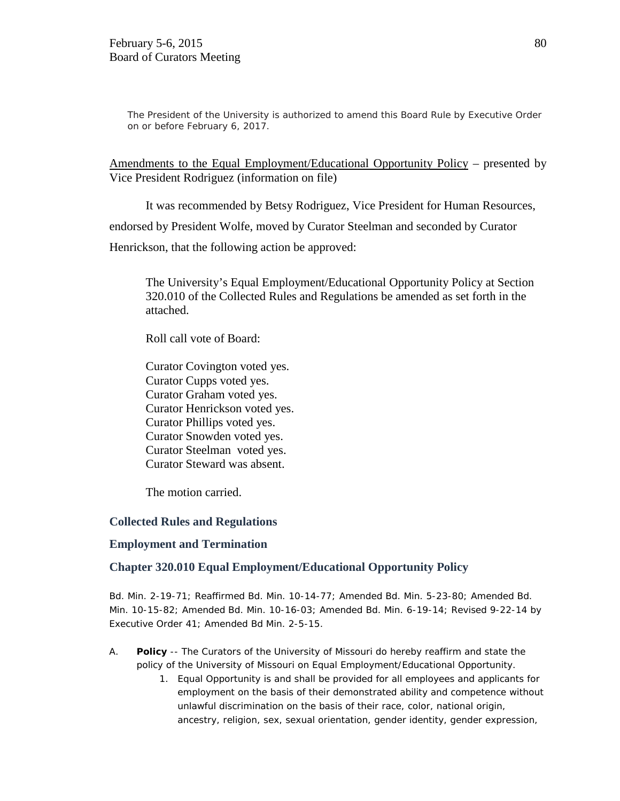The President of the University is authorized to amend this Board Rule by Executive Order on or before February 6, 2017.

Amendments to the Equal Employment/Educational Opportunity Policy – presented by Vice President Rodriguez (information on file)

It was recommended by Betsy Rodriguez, Vice President for Human Resources,

endorsed by President Wolfe, moved by Curator Steelman and seconded by Curator

Henrickson, that the following action be approved:

The University's Equal Employment/Educational Opportunity Policy at Section 320.010 of the Collected Rules and Regulations be amended as set forth in the attached.

Roll call vote of Board:

Curator Covington voted yes. Curator Cupps voted yes. Curator Graham voted yes. Curator Henrickson voted yes. Curator Phillips voted yes. Curator Snowden voted yes. Curator Steelman voted yes. Curator Steward was absent.

The motion carried.

### **Collected Rules and Regulations**

### **Employment and Termination**

### **Chapter 320.010 Equal Employment/Educational Opportunity Policy**

Bd. Min. 2-19-71; Reaffirmed Bd. Min. 10-14-77; Amended Bd. Min. 5-23-80; Amended Bd. Min. 10-15-82; Amended Bd. Min. 10-16-03; Amended Bd. Min. 6-19-14; Revised 9-22-14 by Executive Order 41; Amended Bd Min. 2-5-15.

- A. **Policy** -- The Curators of the University of Missouri do hereby reaffirm and state the policy of the University of Missouri on Equal Employment/Educational Opportunity.
	- 1. Equal Opportunity is and shall be provided for all employees and applicants for employment on the basis of their demonstrated ability and competence without unlawful discrimination on the basis of their race, color, national origin, ancestry, religion, sex, sexual orientation, gender identity, gender expression,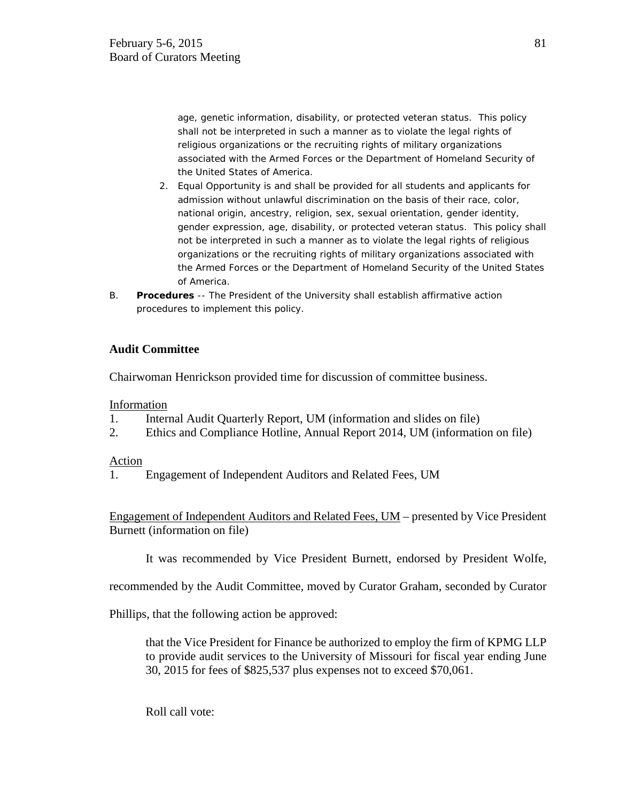age, genetic information, disability, or protected veteran status. This policy shall not be interpreted in such a manner as to violate the legal rights of religious organizations or the recruiting rights of military organizations associated with the Armed Forces or the Department of Homeland Security of the United States of America.

- 2. Equal Opportunity is and shall be provided for all students and applicants for admission without unlawful discrimination on the basis of their race, color, national origin, ancestry, religion, sex, sexual orientation, gender identity, gender expression, age, disability, or protected veteran status. This policy shall not be interpreted in such a manner as to violate the legal rights of religious organizations or the recruiting rights of military organizations associated with the Armed Forces or the Department of Homeland Security of the United States of America.
- B. **Procedures** -- The President of the University shall establish affirmative action procedures to implement this policy.

# **Audit Committee**

Chairwoman Henrickson provided time for discussion of committee business.

### Information

- 1. Internal Audit Quarterly Report, UM (information and slides on file)
- 2. Ethics and Compliance Hotline, Annual Report 2014, UM (information on file)

### Action

1. Engagement of Independent Auditors and Related Fees, UM

Engagement of Independent Auditors and Related Fees, UM – presented by Vice President Burnett (information on file)

It was recommended by Vice President Burnett, endorsed by President Wolfe,

recommended by the Audit Committee, moved by Curator Graham, seconded by Curator

Phillips, that the following action be approved:

that the Vice President for Finance be authorized to employ the firm of KPMG LLP to provide audit services to the University of Missouri for fiscal year ending June 30, 2015 for fees of \$825,537 plus expenses not to exceed \$70,061.

Roll call vote: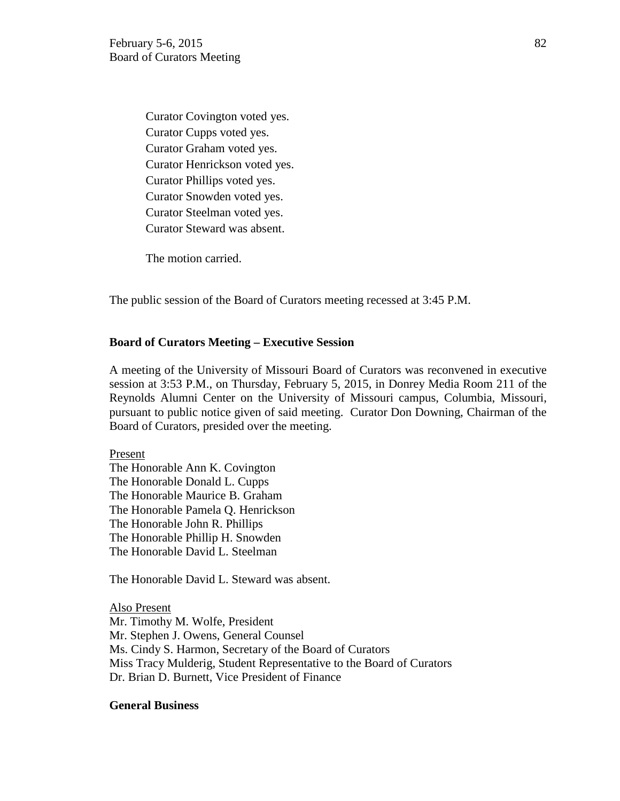Curator Covington voted yes. Curator Cupps voted yes. Curator Graham voted yes. Curator Henrickson voted yes. Curator Phillips voted yes. Curator Snowden voted yes. Curator Steelman voted yes. Curator Steward was absent.

The motion carried.

The public session of the Board of Curators meeting recessed at 3:45 P.M.

### **Board of Curators Meeting – Executive Session**

A meeting of the University of Missouri Board of Curators was reconvened in executive session at 3:53 P.M., on Thursday, February 5, 2015, in Donrey Media Room 211 of the Reynolds Alumni Center on the University of Missouri campus, Columbia, Missouri, pursuant to public notice given of said meeting. Curator Don Downing, Chairman of the Board of Curators, presided over the meeting.

Present The Honorable Ann K. Covington The Honorable Donald L. Cupps The Honorable Maurice B. Graham The Honorable Pamela Q. Henrickson The Honorable John R. Phillips The Honorable Phillip H. Snowden The Honorable David L. Steelman

The Honorable David L. Steward was absent.

Also Present Mr. Timothy M. Wolfe, President Mr. Stephen J. Owens, General Counsel Ms. Cindy S. Harmon, Secretary of the Board of Curators Miss Tracy Mulderig, Student Representative to the Board of Curators Dr. Brian D. Burnett, Vice President of Finance

### **General Business**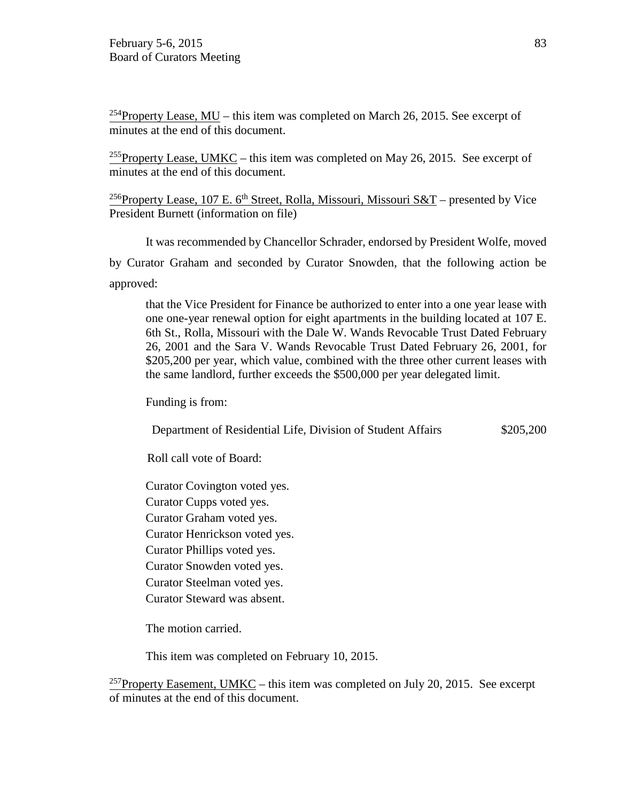<sup>254</sup>Property Lease, MU – this item was completed on March 26, 2015. See excerpt of minutes at the end of this document.

<sup>255</sup>Property Lease, UMKC – this item was completed on May 26, 2015. See excerpt of minutes at the end of this document.

<sup>256</sup>Property Lease, 107 E. 6<sup>th</sup> Street, Rolla, Missouri, Missouri S&T – presented by Vice President Burnett (information on file)

It was recommended by Chancellor Schrader, endorsed by President Wolfe, moved

by Curator Graham and seconded by Curator Snowden, that the following action be approved:

that the Vice President for Finance be authorized to enter into a one year lease with one one-year renewal option for eight apartments in the building located at 107 E. 6th St., Rolla, Missouri with the Dale W. Wands Revocable Trust Dated February 26, 2001 and the Sara V. Wands Revocable Trust Dated February 26, 2001, for \$205,200 per year, which value, combined with the three other current leases with the same landlord, further exceeds the \$500,000 per year delegated limit.

Funding is from:

Department of Residential Life, Division of Student Affairs \$205,200

Roll call vote of Board:

Curator Covington voted yes.

Curator Cupps voted yes.

Curator Graham voted yes.

Curator Henrickson voted yes.

Curator Phillips voted yes.

Curator Snowden voted yes.

Curator Steelman voted yes.

Curator Steward was absent.

The motion carried.

This item was completed on February 10, 2015.

<sup>257</sup>Property Easement, UMKC – this item was completed on July 20, 2015. See excerpt of minutes at the end of this document.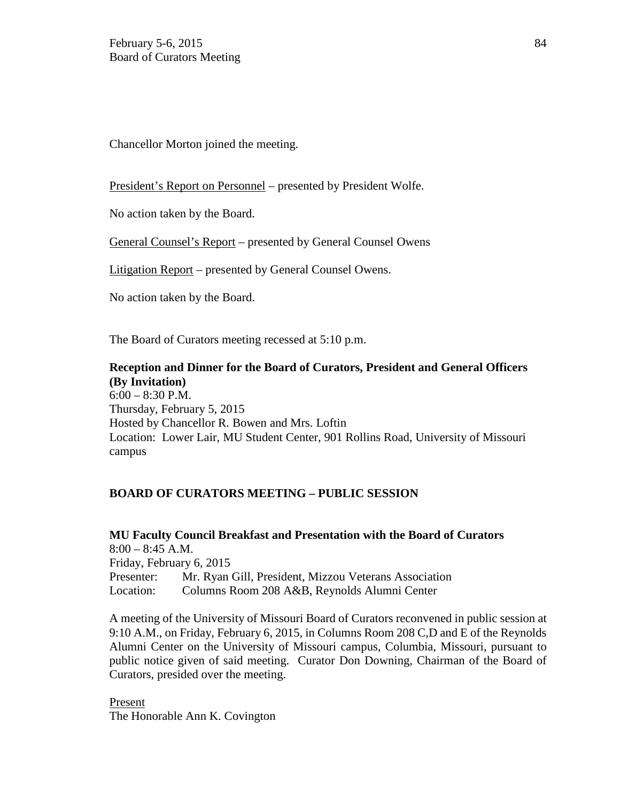Chancellor Morton joined the meeting.

President's Report on Personnel – presented by President Wolfe.

No action taken by the Board.

General Counsel's Report – presented by General Counsel Owens

Litigation Report – presented by General Counsel Owens.

No action taken by the Board.

The Board of Curators meeting recessed at 5:10 p.m.

**Reception and Dinner for the Board of Curators, President and General Officers (By Invitation)**  6:00 – 8:30 P.M. Thursday, February 5, 2015 Hosted by Chancellor R. Bowen and Mrs. Loftin Location: Lower Lair, MU Student Center, 901 Rollins Road, University of Missouri campus

# **BOARD OF CURATORS MEETING – PUBLIC SESSION**

**MU Faculty Council Breakfast and Presentation with the Board of Curators**  8:00 – 8:45 A.M. Friday, February 6, 2015 Presenter: Mr. Ryan Gill, President, Mizzou Veterans Association Location: Columns Room 208 A&B, Reynolds Alumni Center

A meeting of the University of Missouri Board of Curators reconvened in public session at 9:10 A.M., on Friday, February 6, 2015, in Columns Room 208 C,D and E of the Reynolds Alumni Center on the University of Missouri campus, Columbia, Missouri, pursuant to public notice given of said meeting. Curator Don Downing, Chairman of the Board of Curators, presided over the meeting.

Present The Honorable Ann K. Covington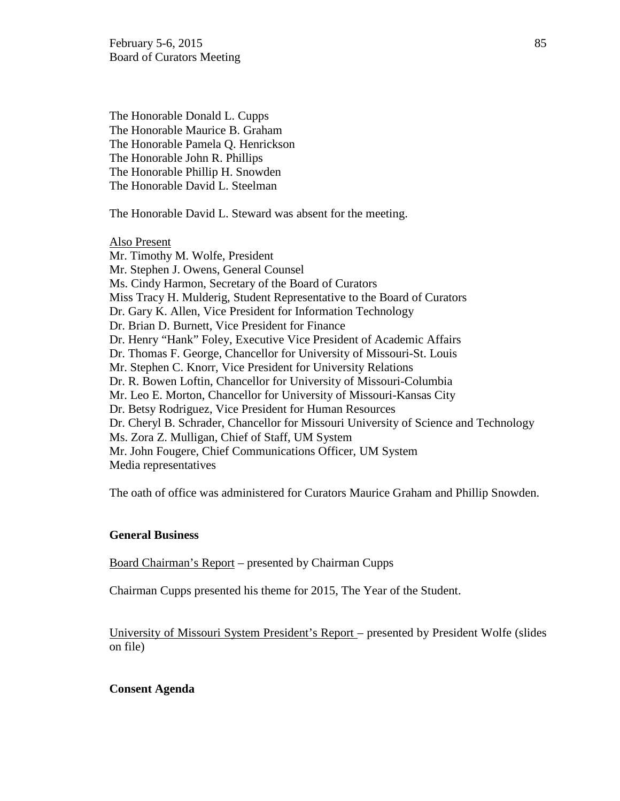The Honorable Donald L. Cupps The Honorable Maurice B. Graham The Honorable Pamela Q. Henrickson The Honorable John R. Phillips The Honorable Phillip H. Snowden The Honorable David L. Steelman

The Honorable David L. Steward was absent for the meeting.

Also Present Mr. Timothy M. Wolfe, President Mr. Stephen J. Owens, General Counsel Ms. Cindy Harmon, Secretary of the Board of Curators Miss Tracy H. Mulderig, Student Representative to the Board of Curators Dr. Gary K. Allen, Vice President for Information Technology Dr. Brian D. Burnett, Vice President for Finance Dr. Henry "Hank" Foley, Executive Vice President of Academic Affairs Dr. Thomas F. George, Chancellor for University of Missouri-St. Louis Mr. Stephen C. Knorr, Vice President for University Relations Dr. R. Bowen Loftin, Chancellor for University of Missouri-Columbia Mr. Leo E. Morton, Chancellor for University of Missouri-Kansas City Dr. Betsy Rodriguez, Vice President for Human Resources Dr. Cheryl B. Schrader, Chancellor for Missouri University of Science and Technology Ms. Zora Z. Mulligan, Chief of Staff, UM System Mr. John Fougere, Chief Communications Officer, UM System Media representatives

The oath of office was administered for Curators Maurice Graham and Phillip Snowden.

### **General Business**

Board Chairman's Report – presented by Chairman Cupps

Chairman Cupps presented his theme for 2015, The Year of the Student.

University of Missouri System President's Report – presented by President Wolfe (slides on file)

### **Consent Agenda**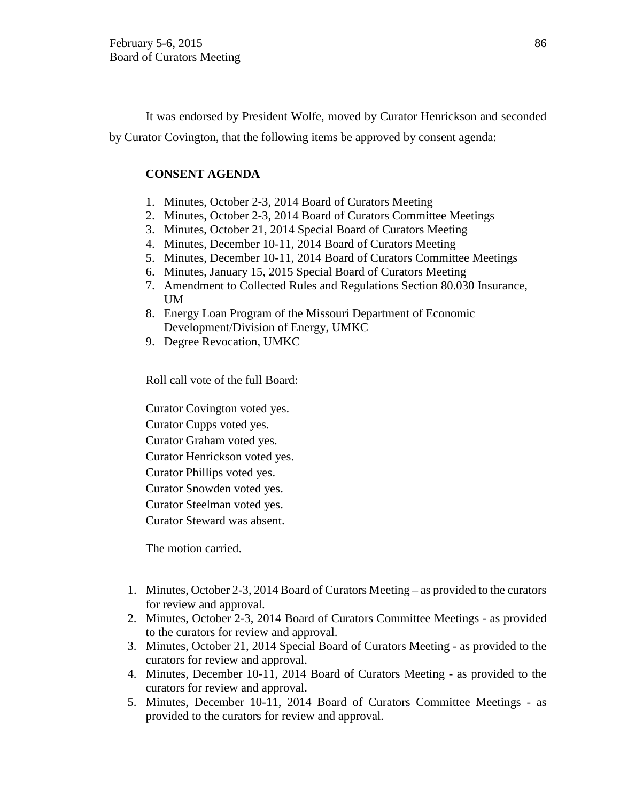It was endorsed by President Wolfe, moved by Curator Henrickson and seconded by Curator Covington, that the following items be approved by consent agenda:

### **CONSENT AGENDA**

- 1. Minutes, October 2-3, 2014 Board of Curators Meeting
- 2. Minutes, October 2-3, 2014 Board of Curators Committee Meetings
- 3. Minutes, October 21, 2014 Special Board of Curators Meeting
- 4. Minutes, December 10-11, 2014 Board of Curators Meeting
- 5. Minutes, December 10-11, 2014 Board of Curators Committee Meetings
- 6. Minutes, January 15, 2015 Special Board of Curators Meeting
- 7. Amendment to Collected Rules and Regulations Section 80.030 Insurance, UM
- 8. Energy Loan Program of the Missouri Department of Economic Development/Division of Energy, UMKC
- 9. Degree Revocation, UMKC

Roll call vote of the full Board:

Curator Covington voted yes.

Curator Cupps voted yes.

Curator Graham voted yes.

Curator Henrickson voted yes.

Curator Phillips voted yes.

Curator Snowden voted yes.

Curator Steelman voted yes.

Curator Steward was absent.

The motion carried.

- 1. Minutes, October 2-3, 2014 Board of Curators Meeting as provided to the curators for review and approval.
- 2. Minutes, October 2-3, 2014 Board of Curators Committee Meetings as provided to the curators for review and approval.
- 3. Minutes, October 21, 2014 Special Board of Curators Meeting as provided to the curators for review and approval.
- 4. Minutes, December 10-11, 2014 Board of Curators Meeting as provided to the curators for review and approval.
- 5. Minutes, December 10-11, 2014 Board of Curators Committee Meetings as provided to the curators for review and approval.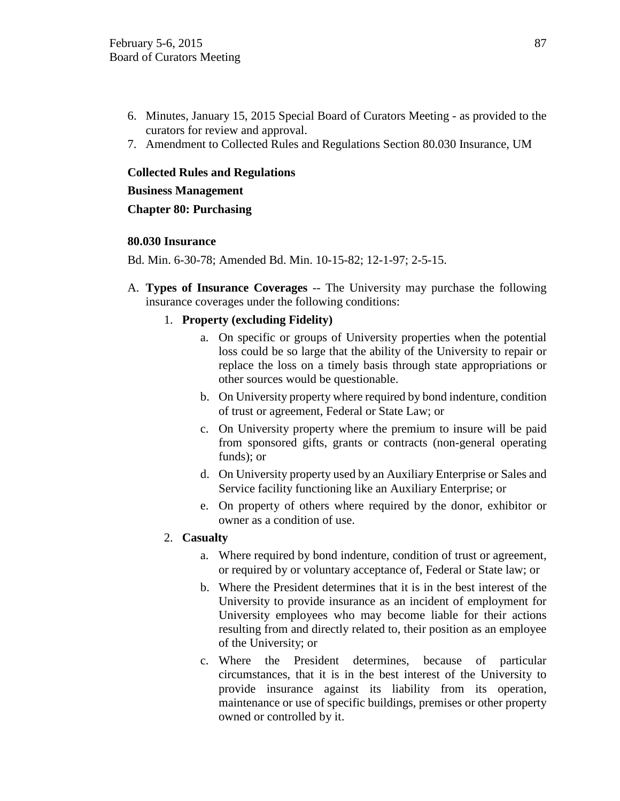- 6. Minutes, January 15, 2015 Special Board of Curators Meeting as provided to the curators for review and approval.
- 7. Amendment to Collected Rules and Regulations Section 80.030 Insurance, UM

### **Collected Rules and Regulations**

### **Business Management**

**Chapter 80: Purchasing**

### **80.030 Insurance**

Bd. Min. 6-30-78; Amended Bd. Min. 10-15-82; 12-1-97; 2-5-15.

A. **Types of Insurance Coverages** -- The University may purchase the following insurance coverages under the following conditions:

### 1. **Property (excluding Fidelity)**

- a. On specific or groups of University properties when the potential loss could be so large that the ability of the University to repair or replace the loss on a timely basis through state appropriations or other sources would be questionable.
- b. On University property where required by bond indenture, condition of trust or agreement, Federal or State Law; or
- c. On University property where the premium to insure will be paid from sponsored gifts, grants or contracts (non-general operating funds); or
- d. On University property used by an Auxiliary Enterprise or Sales and Service facility functioning like an Auxiliary Enterprise; or
- e. On property of others where required by the donor, exhibitor or owner as a condition of use.

### 2. **Casualty**

- a. Where required by bond indenture, condition of trust or agreement, or required by or voluntary acceptance of, Federal or State law; or
- b. Where the President determines that it is in the best interest of the University to provide insurance as an incident of employment for University employees who may become liable for their actions resulting from and directly related to, their position as an employee of the University; or
- c. Where the President determines, because of particular circumstances, that it is in the best interest of the University to provide insurance against its liability from its operation, maintenance or use of specific buildings, premises or other property owned or controlled by it.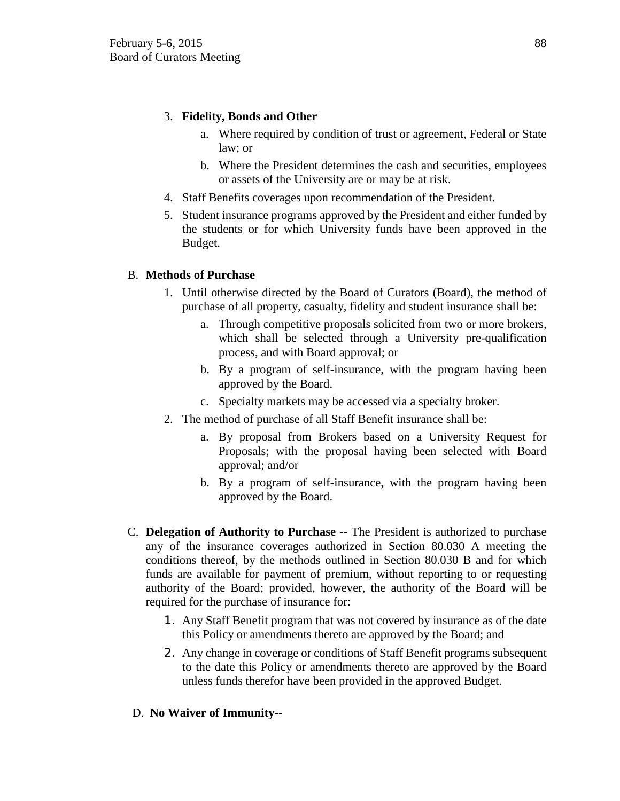# 3. **Fidelity, Bonds and Other**

- a. Where required by condition of trust or agreement, Federal or State law; or
- b. Where the President determines the cash and securities, employees or assets of the University are or may be at risk.
- 4. Staff Benefits coverages upon recommendation of the President.
- 5. Student insurance programs approved by the President and either funded by the students or for which University funds have been approved in the Budget.

# B. **Methods of Purchase**

- 1. Until otherwise directed by the Board of Curators (Board), the method of purchase of all property, casualty, fidelity and student insurance shall be:
	- a. Through competitive proposals solicited from two or more brokers, which shall be selected through a University pre-qualification process, and with Board approval; or
	- b. By a program of self-insurance, with the program having been approved by the Board.
	- c. Specialty markets may be accessed via a specialty broker.
- 2. The method of purchase of all Staff Benefit insurance shall be:
	- a. By proposal from Brokers based on a University Request for Proposals; with the proposal having been selected with Board approval; and/or
	- b. By a program of self-insurance, with the program having been approved by the Board.
- C. **Delegation of Authority to Purchase** -- The President is authorized to purchase any of the insurance coverages authorized in Section 80.030 A meeting the conditions thereof, by the methods outlined in Section 80.030 B and for which funds are available for payment of premium, without reporting to or requesting authority of the Board; provided, however, the authority of the Board will be required for the purchase of insurance for:
	- 1. Any Staff Benefit program that was not covered by insurance as of the date this Policy or amendments thereto are approved by the Board; and
	- 2. Any change in coverage or conditions of Staff Benefit programs subsequent to the date this Policy or amendments thereto are approved by the Board unless funds therefor have been provided in the approved Budget.

# D. **No Waiver of Immunity**--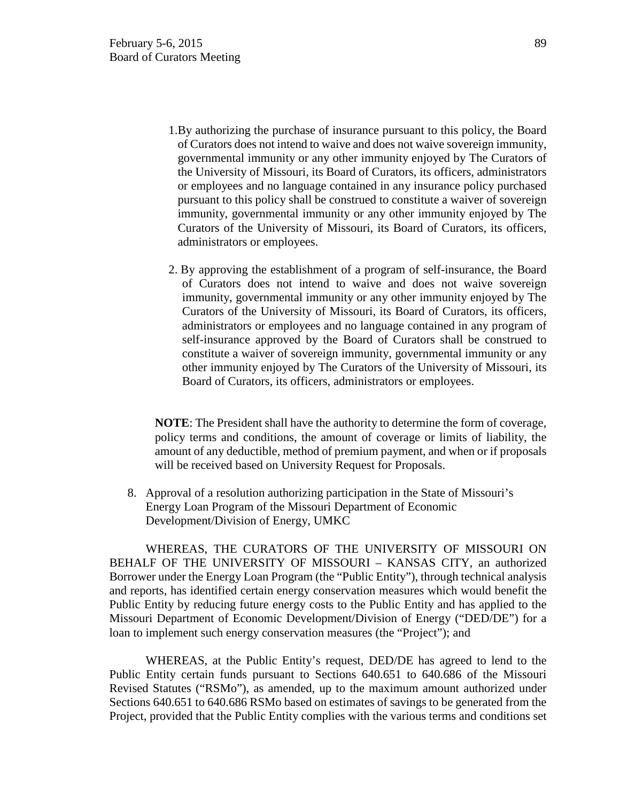- 1.By authorizing the purchase of insurance pursuant to this policy, the Board of Curators does not intend to waive and does not waive sovereign immunity, governmental immunity or any other immunity enjoyed by The Curators of the University of Missouri, its Board of Curators, its officers, administrators or employees and no language contained in any insurance policy purchased pursuant to this policy shall be construed to constitute a waiver of sovereign immunity, governmental immunity or any other immunity enjoyed by The Curators of the University of Missouri, its Board of Curators, its officers, administrators or employees.
- 2. By approving the establishment of a program of self-insurance, the Board of Curators does not intend to waive and does not waive sovereign immunity, governmental immunity or any other immunity enjoyed by The Curators of the University of Missouri, its Board of Curators, its officers, administrators or employees and no language contained in any program of self-insurance approved by the Board of Curators shall be construed to constitute a waiver of sovereign immunity, governmental immunity or any other immunity enjoyed by The Curators of the University of Missouri, its Board of Curators, its officers, administrators or employees.

**NOTE**: The President shall have the authority to determine the form of coverage, policy terms and conditions, the amount of coverage or limits of liability, the amount of any deductible, method of premium payment, and when or if proposals will be received based on University Request for Proposals.

8. Approval of a resolution authorizing participation in the State of Missouri's Energy Loan Program of the Missouri Department of Economic Development/Division of Energy, UMKC

WHEREAS, THE CURATORS OF THE UNIVERSITY OF MISSOURI ON BEHALF OF THE UNIVERSITY OF MISSOURI – KANSAS CITY, an authorized Borrower under the Energy Loan Program (the "Public Entity"), through technical analysis and reports, has identified certain energy conservation measures which would benefit the Public Entity by reducing future energy costs to the Public Entity and has applied to the Missouri Department of Economic Development/Division of Energy ("DED/DE") for a loan to implement such energy conservation measures (the "Project"); and

WHEREAS, at the Public Entity's request, DED/DE has agreed to lend to the Public Entity certain funds pursuant to Sections 640.651 to 640.686 of the Missouri Revised Statutes ("RSMo"), as amended, up to the maximum amount authorized under Sections 640.651 to 640.686 RSMo based on estimates of savings to be generated from the Project, provided that the Public Entity complies with the various terms and conditions set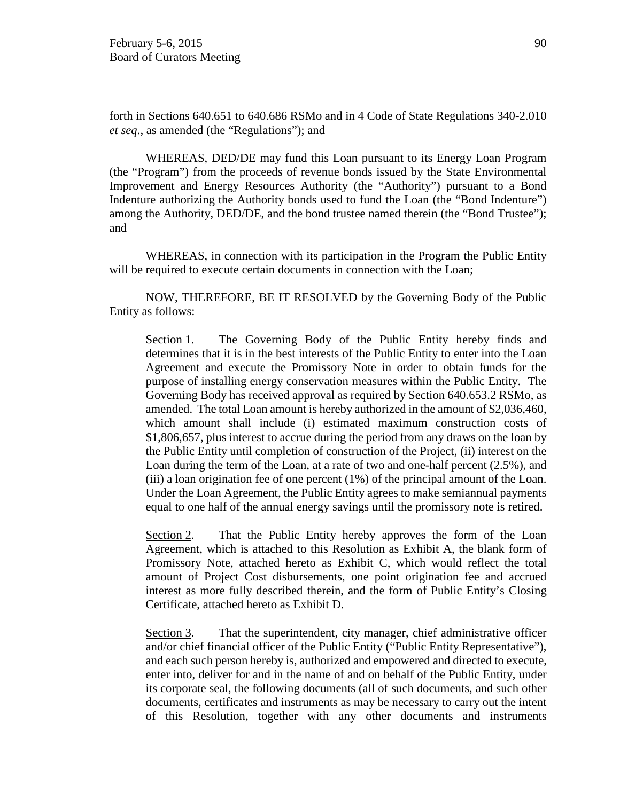forth in Sections 640.651 to 640.686 RSMo and in 4 Code of State Regulations 340-2.010 *et seq*., as amended (the "Regulations"); and

WHEREAS, DED/DE may fund this Loan pursuant to its Energy Loan Program (the "Program") from the proceeds of revenue bonds issued by the State Environmental Improvement and Energy Resources Authority (the "Authority") pursuant to a Bond Indenture authorizing the Authority bonds used to fund the Loan (the "Bond Indenture") among the Authority, DED/DE, and the bond trustee named therein (the "Bond Trustee"); and

WHEREAS, in connection with its participation in the Program the Public Entity will be required to execute certain documents in connection with the Loan;

NOW, THEREFORE, BE IT RESOLVED by the Governing Body of the Public Entity as follows:

Section 1. The Governing Body of the Public Entity hereby finds and determines that it is in the best interests of the Public Entity to enter into the Loan Agreement and execute the Promissory Note in order to obtain funds for the purpose of installing energy conservation measures within the Public Entity. The Governing Body has received approval as required by Section 640.653.2 RSMo, as amended. The total Loan amount is hereby authorized in the amount of \$2,036,460, which amount shall include (i) estimated maximum construction costs of \$1,806,657, plus interest to accrue during the period from any draws on the loan by the Public Entity until completion of construction of the Project, (ii) interest on the Loan during the term of the Loan, at a rate of two and one-half percent (2.5%), and (iii) a loan origination fee of one percent (1%) of the principal amount of the Loan. Under the Loan Agreement, the Public Entity agrees to make semiannual payments equal to one half of the annual energy savings until the promissory note is retired.

Section 2. That the Public Entity hereby approves the form of the Loan Agreement, which is attached to this Resolution as Exhibit A, the blank form of Promissory Note, attached hereto as Exhibit C, which would reflect the total amount of Project Cost disbursements, one point origination fee and accrued interest as more fully described therein, and the form of Public Entity's Closing Certificate, attached hereto as Exhibit D.

Section 3. That the superintendent, city manager, chief administrative officer and/or chief financial officer of the Public Entity ("Public Entity Representative"), and each such person hereby is, authorized and empowered and directed to execute, enter into, deliver for and in the name of and on behalf of the Public Entity, under its corporate seal, the following documents (all of such documents, and such other documents, certificates and instruments as may be necessary to carry out the intent of this Resolution, together with any other documents and instruments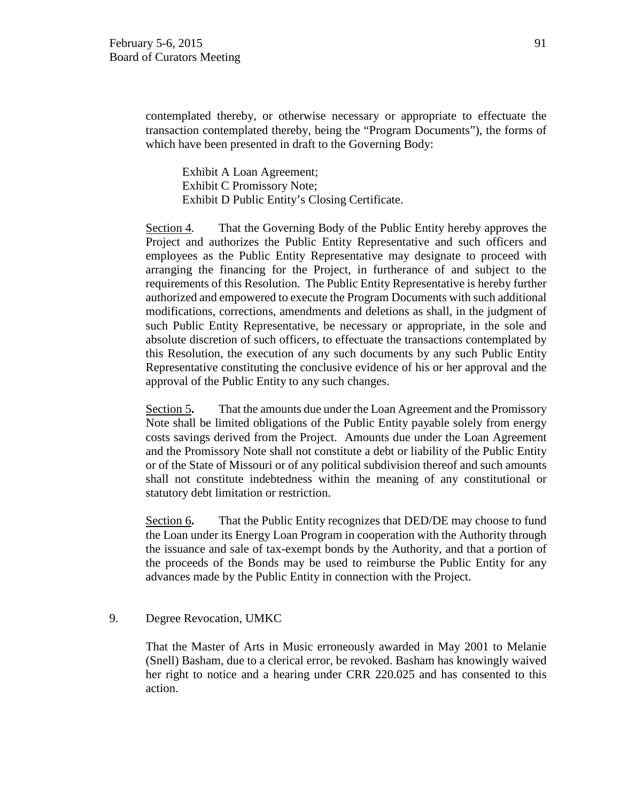contemplated thereby, or otherwise necessary or appropriate to effectuate the transaction contemplated thereby, being the "Program Documents"), the forms of which have been presented in draft to the Governing Body:

Exhibit A Loan Agreement; Exhibit C Promissory Note; Exhibit D Public Entity's Closing Certificate.

Section 4. That the Governing Body of the Public Entity hereby approves the Project and authorizes the Public Entity Representative and such officers and employees as the Public Entity Representative may designate to proceed with arranging the financing for the Project, in furtherance of and subject to the requirements of this Resolution. The Public Entity Representative is hereby further authorized and empowered to execute the Program Documents with such additional modifications, corrections, amendments and deletions as shall, in the judgment of such Public Entity Representative, be necessary or appropriate, in the sole and absolute discretion of such officers, to effectuate the transactions contemplated by this Resolution, the execution of any such documents by any such Public Entity Representative constituting the conclusive evidence of his or her approval and the approval of the Public Entity to any such changes.

Section 5**.** That the amounts due under the Loan Agreement and the Promissory Note shall be limited obligations of the Public Entity payable solely from energy costs savings derived from the Project. Amounts due under the Loan Agreement and the Promissory Note shall not constitute a debt or liability of the Public Entity or of the State of Missouri or of any political subdivision thereof and such amounts shall not constitute indebtedness within the meaning of any constitutional or statutory debt limitation or restriction.

Section 6**.** That the Public Entity recognizes that DED/DE may choose to fund the Loan under its Energy Loan Program in cooperation with the Authority through the issuance and sale of tax-exempt bonds by the Authority, and that a portion of the proceeds of the Bonds may be used to reimburse the Public Entity for any advances made by the Public Entity in connection with the Project.

### 9. Degree Revocation, UMKC

That the Master of Arts in Music erroneously awarded in May 2001 to Melanie (Snell) Basham, due to a clerical error, be revoked. Basham has knowingly waived her right to notice and a hearing under CRR 220.025 and has consented to this action.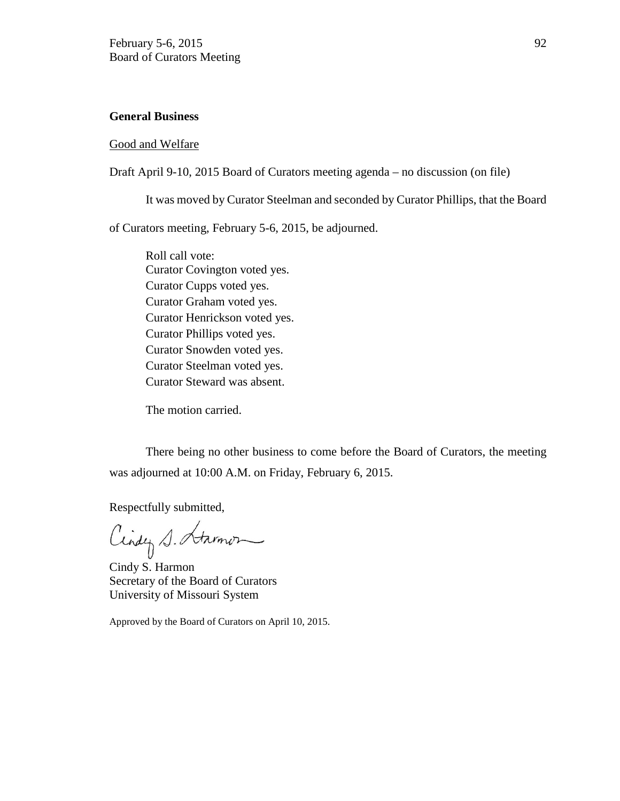### **General Business**

### Good and Welfare

Draft April 9-10, 2015 Board of Curators meeting agenda – no discussion (on file)

It was moved by Curator Steelman and seconded by Curator Phillips, that the Board

of Curators meeting, February 5-6, 2015, be adjourned.

Roll call vote: Curator Covington voted yes. Curator Cupps voted yes. Curator Graham voted yes. Curator Henrickson voted yes. Curator Phillips voted yes. Curator Snowden voted yes. Curator Steelman voted yes. Curator Steward was absent.

The motion carried.

There being no other business to come before the Board of Curators, the meeting was adjourned at 10:00 A.M. on Friday, February 6, 2015.

Respectfully submitted,

Cindy S. Starmon

Cindy S. Harmon Secretary of the Board of Curators University of Missouri System

Approved by the Board of Curators on April 10, 2015.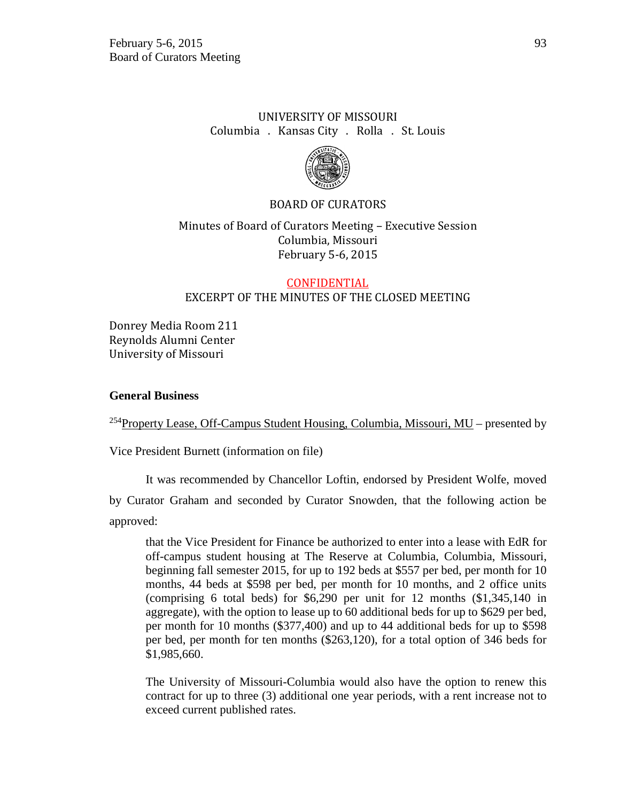# UNIVERSITY OF MISSOURI Columbia . Kansas City . Rolla . St. Louis



## BOARD OF CURATORS

# Minutes of Board of Curators Meeting – Executive Session Columbia, Missouri February 5-6, 2015

# CONFIDENTIAL EXCERPT OF THE MINUTES OF THE CLOSED MEETING

Donrey Media Room 211 Reynolds Alumni Center University of Missouri

### **General Business**

<sup>254</sup>Property Lease, Off-Campus Student Housing, Columbia, Missouri,  $MU$  – presented by

Vice President Burnett (information on file)

It was recommended by Chancellor Loftin, endorsed by President Wolfe, moved

by Curator Graham and seconded by Curator Snowden, that the following action be approved:

that the Vice President for Finance be authorized to enter into a lease with EdR for off-campus student housing at The Reserve at Columbia, Columbia, Missouri, beginning fall semester 2015, for up to 192 beds at \$557 per bed, per month for 10 months, 44 beds at \$598 per bed, per month for 10 months, and 2 office units (comprising 6 total beds) for \$6,290 per unit for 12 months (\$1,345,140 in aggregate), with the option to lease up to 60 additional beds for up to \$629 per bed, per month for 10 months (\$377,400) and up to 44 additional beds for up to \$598 per bed, per month for ten months (\$263,120), for a total option of 346 beds for \$1,985,660.

The University of Missouri-Columbia would also have the option to renew this contract for up to three (3) additional one year periods, with a rent increase not to exceed current published rates.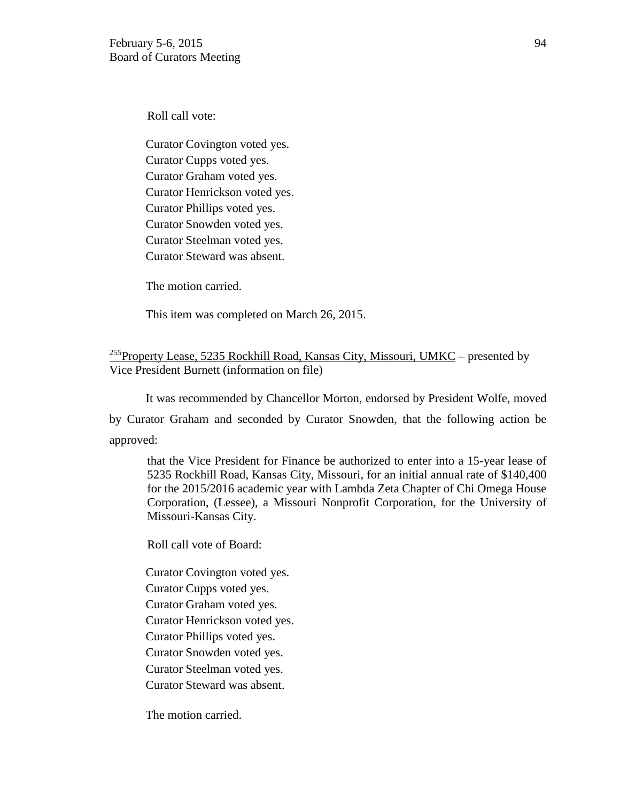Roll call vote:

Curator Covington voted yes. Curator Cupps voted yes. Curator Graham voted yes. Curator Henrickson voted yes. Curator Phillips voted yes. Curator Snowden voted yes. Curator Steelman voted yes. Curator Steward was absent.

The motion carried.

This item was completed on March 26, 2015.

## <sup>255</sup>Property Lease, 5235 Rockhill Road, Kansas City, Missouri, UMKC – presented by Vice President Burnett (information on file)

It was recommended by Chancellor Morton, endorsed by President Wolfe, moved by Curator Graham and seconded by Curator Snowden, that the following action be approved:

that the Vice President for Finance be authorized to enter into a 15-year lease of 5235 Rockhill Road, Kansas City, Missouri, for an initial annual rate of \$140,400 for the 2015/2016 academic year with Lambda Zeta Chapter of Chi Omega House Corporation, (Lessee), a Missouri Nonprofit Corporation, for the University of Missouri-Kansas City.

Roll call vote of Board:

Curator Covington voted yes.

Curator Cupps voted yes.

Curator Graham voted yes.

Curator Henrickson voted yes.

Curator Phillips voted yes.

Curator Snowden voted yes.

Curator Steelman voted yes.

Curator Steward was absent.

The motion carried.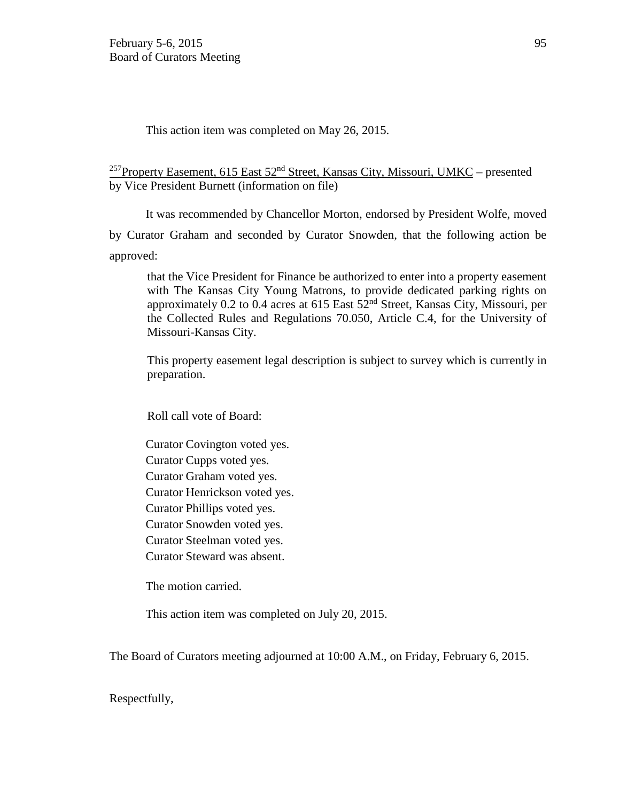This action item was completed on May 26, 2015.

<sup>257</sup>Property Easement, 615 East 52<sup>nd</sup> Street, Kansas City, Missouri, UMKC – presented by Vice President Burnett (information on file)

It was recommended by Chancellor Morton, endorsed by President Wolfe, moved

by Curator Graham and seconded by Curator Snowden, that the following action be approved:

that the Vice President for Finance be authorized to enter into a property easement with The Kansas City Young Matrons, to provide dedicated parking rights on approximately 0.2 to 0.4 acres at 615 East 52nd Street, Kansas City, Missouri, per the Collected Rules and Regulations 70.050, Article C.4, for the University of Missouri-Kansas City.

This property easement legal description is subject to survey which is currently in preparation.

Roll call vote of Board:

Curator Covington voted yes. Curator Cupps voted yes. Curator Graham voted yes. Curator Henrickson voted yes. Curator Phillips voted yes. Curator Snowden voted yes. Curator Steelman voted yes. Curator Steward was absent.

The motion carried.

This action item was completed on July 20, 2015.

The Board of Curators meeting adjourned at 10:00 A.M., on Friday, February 6, 2015.

Respectfully,